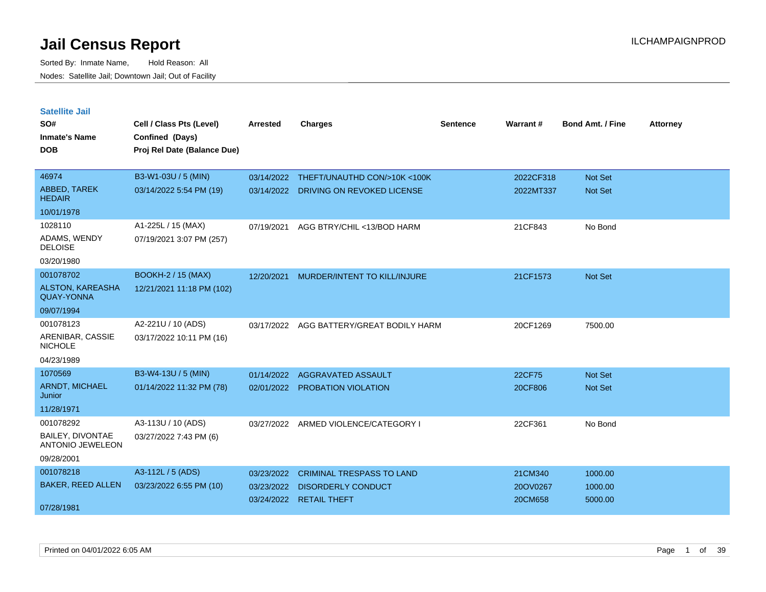| <b>Satellite Jail</b>                                                         |                                                |            |                                  |          |           |                         |                 |
|-------------------------------------------------------------------------------|------------------------------------------------|------------|----------------------------------|----------|-----------|-------------------------|-----------------|
| SO#                                                                           | Cell / Class Pts (Level)                       | Arrested   | <b>Charges</b>                   | Sentence | Warrant#  | <b>Bond Amt. / Fine</b> | <b>Attorney</b> |
| <b>Inmate's Name</b>                                                          | Confined (Days)                                |            |                                  |          |           |                         |                 |
| <b>DOB</b>                                                                    | Proj Rel Date (Balance Due)                    |            |                                  |          |           |                         |                 |
| 46974                                                                         | B3-W1-03U / 5 (MIN)                            | 03/14/2022 | THEFT/UNAUTHD CON/>10K <100K     |          | 2022CF318 | <b>Not Set</b>          |                 |
| ABBED, TAREK<br><b>HEDAIR</b>                                                 | 03/14/2022 5:54 PM (19)                        | 03/14/2022 | DRIVING ON REVOKED LICENSE       |          | 2022MT337 | Not Set                 |                 |
| 10/01/1978                                                                    |                                                |            |                                  |          |           |                         |                 |
| 1028110<br>ADAMS, WENDY<br><b>DELOISE</b>                                     | A1-225L / 15 (MAX)<br>07/19/2021 3:07 PM (257) | 07/19/2021 | AGG BTRY/CHIL <13/BOD HARM       |          | 21CF843   | No Bond                 |                 |
| 03/20/1980                                                                    |                                                |            |                                  |          |           |                         |                 |
| 001078702                                                                     | <b>BOOKH-2 / 15 (MAX)</b>                      | 12/20/2021 | MURDER/INTENT TO KILL/INJURE     |          | 21CF1573  | Not Set                 |                 |
| ALSTON, KAREASHA<br><b>QUAY-YONNA</b>                                         | 12/21/2021 11:18 PM (102)                      |            |                                  |          |           |                         |                 |
| 09/07/1994                                                                    |                                                |            |                                  |          |           |                         |                 |
| 001078123                                                                     | A2-221U / 10 (ADS)                             | 03/17/2022 | AGG BATTERY/GREAT BODILY HARM    |          | 20CF1269  | 7500.00                 |                 |
| ARENIBAR, CASSIE<br><b>NICHOLE</b>                                            | 03/17/2022 10:11 PM (16)                       |            |                                  |          |           |                         |                 |
| 04/23/1989                                                                    |                                                |            |                                  |          |           |                         |                 |
| 1070569                                                                       | B3-W4-13U / 5 (MIN)                            | 01/14/2022 | AGGRAVATED ASSAULT               |          | 22CF75    | Not Set                 |                 |
| ARNDT, MICHAEL<br>Junior                                                      | 01/14/2022 11:32 PM (78)                       | 02/01/2022 | <b>PROBATION VIOLATION</b>       |          | 20CF806   | Not Set                 |                 |
| 11/28/1971                                                                    |                                                |            |                                  |          |           |                         |                 |
| 001078292<br><b>BAILEY, DIVONTAE</b><br><b>ANTONIO JEWELEON</b><br>09/28/2001 | A3-113U / 10 (ADS)<br>03/27/2022 7:43 PM (6)   | 03/27/2022 | ARMED VIOLENCE/CATEGORY I        |          | 22CF361   | No Bond                 |                 |
| 001078218                                                                     | A3-112L / 5 (ADS)                              | 03/23/2022 | <b>CRIMINAL TRESPASS TO LAND</b> |          | 21CM340   | 1000.00                 |                 |
| <b>BAKER, REED ALLEN</b>                                                      | 03/23/2022 6:55 PM (10)                        | 03/23/2022 | <b>DISORDERLY CONDUCT</b>        |          | 20OV0267  | 1000.00                 |                 |
| 07/28/1981                                                                    |                                                | 03/24/2022 | <b>RETAIL THEFT</b>              |          | 20CM658   | 5000.00                 |                 |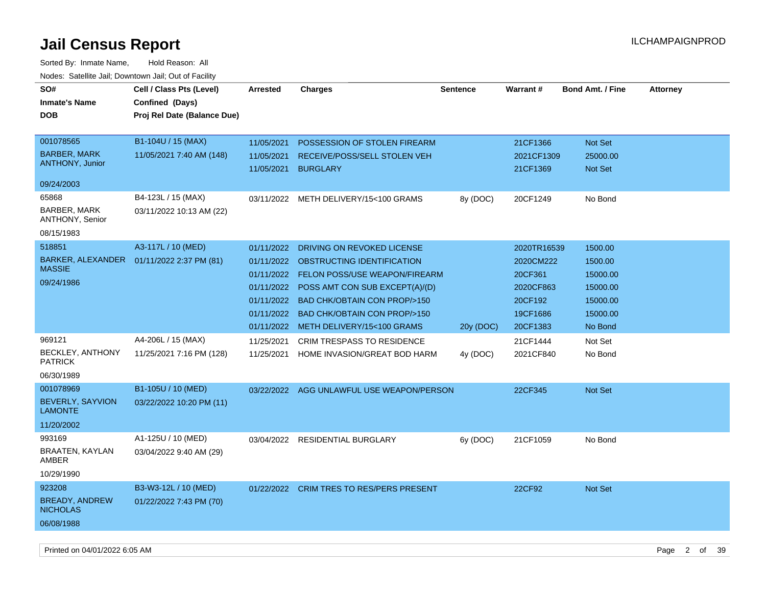| SO#<br><b>Inmate's Name</b><br><b>DOB</b><br>001078565<br><b>BARBER, MARK</b>                                                                                                                    | Cell / Class Pts (Level)<br>Confined (Days)<br>Proj Rel Date (Balance Due)<br>B1-104U / 15 (MAX)<br>11/05/2021 7:40 AM (148)                      | Arrested<br>11/05/2021<br>11/05/2021                                                           | <b>Charges</b><br>POSSESSION OF STOLEN FIREARM<br>RECEIVE/POSS/SELL STOLEN VEH                                                                                                                                                                                                                                                                                                        | <b>Sentence</b>       | <b>Warrant#</b><br>21CF1366<br>2021CF1309                                                                               | <b>Bond Amt. / Fine</b><br><b>Not Set</b><br>25000.00                                                          | <b>Attorney</b> |
|--------------------------------------------------------------------------------------------------------------------------------------------------------------------------------------------------|---------------------------------------------------------------------------------------------------------------------------------------------------|------------------------------------------------------------------------------------------------|---------------------------------------------------------------------------------------------------------------------------------------------------------------------------------------------------------------------------------------------------------------------------------------------------------------------------------------------------------------------------------------|-----------------------|-------------------------------------------------------------------------------------------------------------------------|----------------------------------------------------------------------------------------------------------------|-----------------|
| <b>ANTHONY, Junior</b>                                                                                                                                                                           |                                                                                                                                                   | 11/05/2021                                                                                     | <b>BURGLARY</b>                                                                                                                                                                                                                                                                                                                                                                       |                       | 21CF1369                                                                                                                | Not Set                                                                                                        |                 |
| 09/24/2003                                                                                                                                                                                       |                                                                                                                                                   |                                                                                                |                                                                                                                                                                                                                                                                                                                                                                                       |                       |                                                                                                                         |                                                                                                                |                 |
| 65868<br>BARBER, MARK<br><b>ANTHONY, Senior</b>                                                                                                                                                  | B4-123L / 15 (MAX)<br>03/11/2022 10:13 AM (22)                                                                                                    |                                                                                                | 03/11/2022 METH DELIVERY/15<100 GRAMS                                                                                                                                                                                                                                                                                                                                                 | 8y (DOC)              | 20CF1249                                                                                                                | No Bond                                                                                                        |                 |
| 08/15/1983                                                                                                                                                                                       |                                                                                                                                                   |                                                                                                |                                                                                                                                                                                                                                                                                                                                                                                       |                       |                                                                                                                         |                                                                                                                |                 |
| 518851<br>BARKER, ALEXANDER<br><b>MASSIE</b><br>09/24/1986<br>969121<br><b>BECKLEY, ANTHONY</b><br><b>PATRICK</b><br>06/30/1989<br>001078969<br>BEVERLY, SAYVION<br><b>LAMONTE</b><br>11/20/2002 | A3-117L / 10 (MED)<br>01/11/2022 2:37 PM (81)<br>A4-206L / 15 (MAX)<br>11/25/2021 7:16 PM (128)<br>B1-105U / 10 (MED)<br>03/22/2022 10:20 PM (11) | 01/11/2022<br>01/11/2022<br>01/11/2022<br>01/11/2022<br>01/11/2022<br>11/25/2021<br>11/25/2021 | DRIVING ON REVOKED LICENSE<br>OBSTRUCTING IDENTIFICATION<br>01/11/2022 FELON POSS/USE WEAPON/FIREARM<br>01/11/2022 POSS AMT CON SUB EXCEPT(A)/(D)<br><b>BAD CHK/OBTAIN CON PROP/&gt;150</b><br><b>BAD CHK/OBTAIN CON PROP/&gt;150</b><br>METH DELIVERY/15<100 GRAMS<br><b>CRIM TRESPASS TO RESIDENCE</b><br>HOME INVASION/GREAT BOD HARM<br>03/22/2022 AGG UNLAWFUL USE WEAPON/PERSON | 20y (DOC)<br>4y (DOC) | 2020TR16539<br>2020CM222<br>20CF361<br>2020CF863<br>20CF192<br>19CF1686<br>20CF1383<br>21CF1444<br>2021CF840<br>22CF345 | 1500.00<br>1500.00<br>15000.00<br>15000.00<br>15000.00<br>15000.00<br>No Bond<br>Not Set<br>No Bond<br>Not Set |                 |
| 993169<br>BRAATEN, KAYLAN<br>AMBER<br>10/29/1990<br>923208<br><b>BREADY, ANDREW</b>                                                                                                              | A1-125U / 10 (MED)<br>03/04/2022 9:40 AM (29)<br>B3-W3-12L / 10 (MED)<br>01/22/2022 7:43 PM (70)                                                  | 01/22/2022                                                                                     | 03/04/2022 RESIDENTIAL BURGLARY<br><b>CRIM TRES TO RES/PERS PRESENT</b>                                                                                                                                                                                                                                                                                                               | 6y (DOC)              | 21CF1059<br>22CF92                                                                                                      | No Bond<br><b>Not Set</b>                                                                                      |                 |
| <b>NICHOLAS</b><br>06/08/1988                                                                                                                                                                    |                                                                                                                                                   |                                                                                                |                                                                                                                                                                                                                                                                                                                                                                                       |                       |                                                                                                                         |                                                                                                                |                 |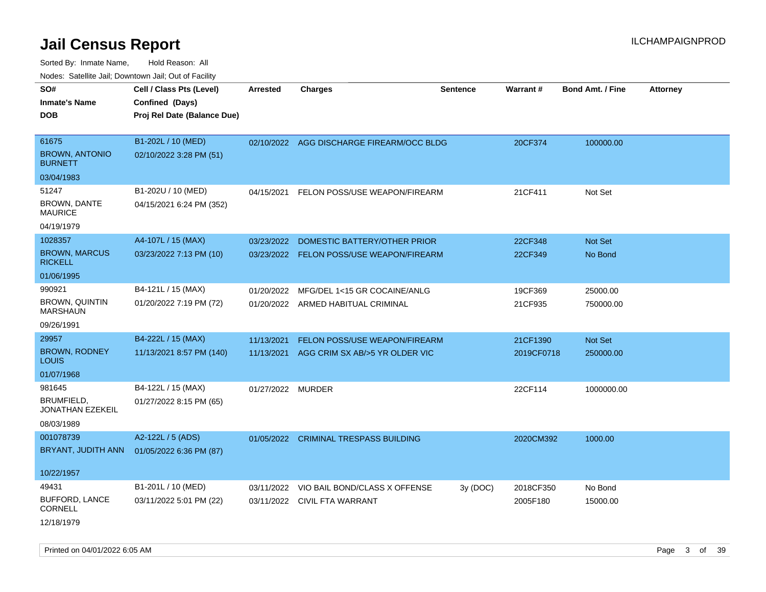| roaco. Calcinio dan, Downtown dan, Cal or Fability |            |                                |                                                                                                                       |                                                                                                                                                         |                 |                         |
|----------------------------------------------------|------------|--------------------------------|-----------------------------------------------------------------------------------------------------------------------|---------------------------------------------------------------------------------------------------------------------------------------------------------|-----------------|-------------------------|
| Cell / Class Pts (Level)                           | Arrested   | <b>Charges</b>                 | <b>Sentence</b>                                                                                                       |                                                                                                                                                         |                 | <b>Attorney</b>         |
| Confined (Days)                                    |            |                                |                                                                                                                       |                                                                                                                                                         |                 |                         |
| Proj Rel Date (Balance Due)                        |            |                                |                                                                                                                       |                                                                                                                                                         |                 |                         |
|                                                    |            |                                |                                                                                                                       |                                                                                                                                                         |                 |                         |
| B1-202L / 10 (MED)                                 |            |                                |                                                                                                                       | 20CF374                                                                                                                                                 | 100000.00       |                         |
| 02/10/2022 3:28 PM (51)                            |            |                                |                                                                                                                       |                                                                                                                                                         |                 |                         |
|                                                    |            |                                |                                                                                                                       |                                                                                                                                                         |                 |                         |
| B1-202U / 10 (MED)                                 | 04/15/2021 |                                |                                                                                                                       | 21CF411                                                                                                                                                 | Not Set         |                         |
| 04/15/2021 6:24 PM (352)                           |            |                                |                                                                                                                       |                                                                                                                                                         |                 |                         |
|                                                    |            |                                |                                                                                                                       |                                                                                                                                                         |                 |                         |
| A4-107L / 15 (MAX)                                 | 03/23/2022 | DOMESTIC BATTERY/OTHER PRIOR   |                                                                                                                       | 22CF348                                                                                                                                                 | <b>Not Set</b>  |                         |
| 03/23/2022 7:13 PM (10)                            |            |                                |                                                                                                                       | 22CF349                                                                                                                                                 | No Bond         |                         |
|                                                    |            |                                |                                                                                                                       |                                                                                                                                                         |                 |                         |
| B4-121L / 15 (MAX)                                 | 01/20/2022 | MFG/DEL 1<15 GR COCAINE/ANLG   |                                                                                                                       | 19CF369                                                                                                                                                 | 25000.00        |                         |
| 01/20/2022 7:19 PM (72)                            | 01/20/2022 |                                |                                                                                                                       | 21CF935                                                                                                                                                 | 750000.00       |                         |
|                                                    |            |                                |                                                                                                                       |                                                                                                                                                         |                 |                         |
| B4-222L / 15 (MAX)                                 | 11/13/2021 |                                |                                                                                                                       | 21CF1390                                                                                                                                                | Not Set         |                         |
| 11/13/2021 8:57 PM (140)                           | 11/13/2021 | AGG CRIM SX AB/>5 YR OLDER VIC |                                                                                                                       | 2019CF0718                                                                                                                                              | 250000.00       |                         |
|                                                    |            |                                |                                                                                                                       |                                                                                                                                                         |                 |                         |
| B4-122L / 15 (MAX)                                 |            |                                |                                                                                                                       | 22CF114                                                                                                                                                 | 1000000.00      |                         |
| 01/27/2022 8:15 PM (65)                            |            |                                |                                                                                                                       |                                                                                                                                                         |                 |                         |
|                                                    |            |                                |                                                                                                                       |                                                                                                                                                         |                 |                         |
| A2-122L / 5 (ADS)                                  |            |                                |                                                                                                                       | 2020CM392                                                                                                                                               | 1000.00         |                         |
| BRYANT, JUDITH ANN 01/05/2022 6:36 PM (87)         |            |                                |                                                                                                                       |                                                                                                                                                         |                 |                         |
|                                                    |            |                                |                                                                                                                       |                                                                                                                                                         |                 |                         |
| B1-201L / 10 (MED)                                 | 03/11/2022 | VIO BAIL BOND/CLASS X OFFENSE  | 3y (DOC)                                                                                                              | 2018CF350                                                                                                                                               | No Bond         |                         |
| 03/11/2022 5:01 PM (22)                            |            |                                |                                                                                                                       | 2005F180                                                                                                                                                | 15000.00        |                         |
|                                                    |            |                                |                                                                                                                       |                                                                                                                                                         |                 |                         |
|                                                    |            |                                | ARMED HABITUAL CRIMINAL<br>01/27/2022 MURDER<br>01/05/2022 CRIMINAL TRESPASS BUILDING<br>03/11/2022 CIVIL FTA WARRANT | 02/10/2022 AGG DISCHARGE FIREARM/OCC BLDG<br>FELON POSS/USE WEAPON/FIREARM<br>03/23/2022 FELON POSS/USE WEAPON/FIREARM<br>FELON POSS/USE WEAPON/FIREARM | <b>Warrant#</b> | <b>Bond Amt. / Fine</b> |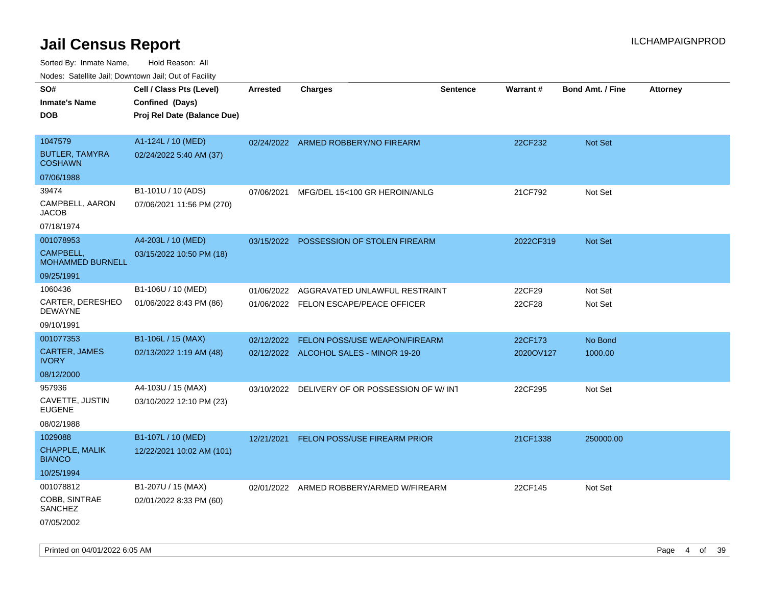Sorted By: Inmate Name, Hold Reason: All

Nodes: Satellite Jail; Downtown Jail; Out of Facility

| roaco. Calcinio dan, Downtown dan, Oal or Fability |                             |                 |                                               |                 |                 |                         |                 |
|----------------------------------------------------|-----------------------------|-----------------|-----------------------------------------------|-----------------|-----------------|-------------------------|-----------------|
| SO#                                                | Cell / Class Pts (Level)    | <b>Arrested</b> | <b>Charges</b>                                | <b>Sentence</b> | <b>Warrant#</b> | <b>Bond Amt. / Fine</b> | <b>Attorney</b> |
| <b>Inmate's Name</b>                               | Confined (Days)             |                 |                                               |                 |                 |                         |                 |
| <b>DOB</b>                                         | Proj Rel Date (Balance Due) |                 |                                               |                 |                 |                         |                 |
|                                                    |                             |                 |                                               |                 |                 |                         |                 |
| 1047579                                            | A1-124L / 10 (MED)          |                 | 02/24/2022 ARMED ROBBERY/NO FIREARM           |                 | 22CF232         | Not Set                 |                 |
| <b>BUTLER, TAMYRA</b><br><b>COSHAWN</b>            | 02/24/2022 5:40 AM (37)     |                 |                                               |                 |                 |                         |                 |
| 07/06/1988                                         |                             |                 |                                               |                 |                 |                         |                 |
| 39474                                              | B1-101U / 10 (ADS)          | 07/06/2021      | MFG/DEL 15<100 GR HEROIN/ANLG                 |                 | 21CF792         | Not Set                 |                 |
| CAMPBELL, AARON<br><b>JACOB</b>                    | 07/06/2021 11:56 PM (270)   |                 |                                               |                 |                 |                         |                 |
| 07/18/1974                                         |                             |                 |                                               |                 |                 |                         |                 |
| 001078953                                          | A4-203L / 10 (MED)          |                 | 03/15/2022 POSSESSION OF STOLEN FIREARM       |                 | 2022CF319       | <b>Not Set</b>          |                 |
| <b>CAMPBELL,</b><br><b>MOHAMMED BURNELL</b>        | 03/15/2022 10:50 PM (18)    |                 |                                               |                 |                 |                         |                 |
| 09/25/1991                                         |                             |                 |                                               |                 |                 |                         |                 |
| 1060436                                            | B1-106U / 10 (MED)          | 01/06/2022      | AGGRAVATED UNLAWFUL RESTRAINT                 |                 | 22CF29          | Not Set                 |                 |
| CARTER, DERESHEO<br><b>DEWAYNE</b>                 | 01/06/2022 8:43 PM (86)     |                 | 01/06/2022 FELON ESCAPE/PEACE OFFICER         |                 | 22CF28          | Not Set                 |                 |
| 09/10/1991                                         |                             |                 |                                               |                 |                 |                         |                 |
| 001077353                                          | B1-106L / 15 (MAX)          | 02/12/2022      | <b>FELON POSS/USE WEAPON/FIREARM</b>          |                 | 22CF173         | No Bond                 |                 |
| CARTER, JAMES<br><b>IVORY</b>                      | 02/13/2022 1:19 AM (48)     |                 | 02/12/2022 ALCOHOL SALES - MINOR 19-20        |                 | 2020OV127       | 1000.00                 |                 |
| 08/12/2000                                         |                             |                 |                                               |                 |                 |                         |                 |
| 957936                                             | A4-103U / 15 (MAX)          |                 | 03/10/2022 DELIVERY OF OR POSSESSION OF W/INT |                 | 22CF295         | Not Set                 |                 |
| CAVETTE, JUSTIN<br><b>EUGENE</b>                   | 03/10/2022 12:10 PM (23)    |                 |                                               |                 |                 |                         |                 |
| 08/02/1988                                         |                             |                 |                                               |                 |                 |                         |                 |
| 1029088                                            | B1-107L / 10 (MED)          | 12/21/2021      | <b>FELON POSS/USE FIREARM PRIOR</b>           |                 | 21CF1338        | 250000.00               |                 |
| CHAPPLE, MALIK<br><b>BIANCO</b>                    | 12/22/2021 10:02 AM (101)   |                 |                                               |                 |                 |                         |                 |
| 10/25/1994                                         |                             |                 |                                               |                 |                 |                         |                 |
| 001078812                                          | B1-207U / 15 (MAX)          |                 | 02/01/2022 ARMED ROBBERY/ARMED W/FIREARM      |                 | 22CF145         | Not Set                 |                 |
| COBB, SINTRAE<br>SANCHEZ                           | 02/01/2022 8:33 PM (60)     |                 |                                               |                 |                 |                         |                 |
| 07/05/2002                                         |                             |                 |                                               |                 |                 |                         |                 |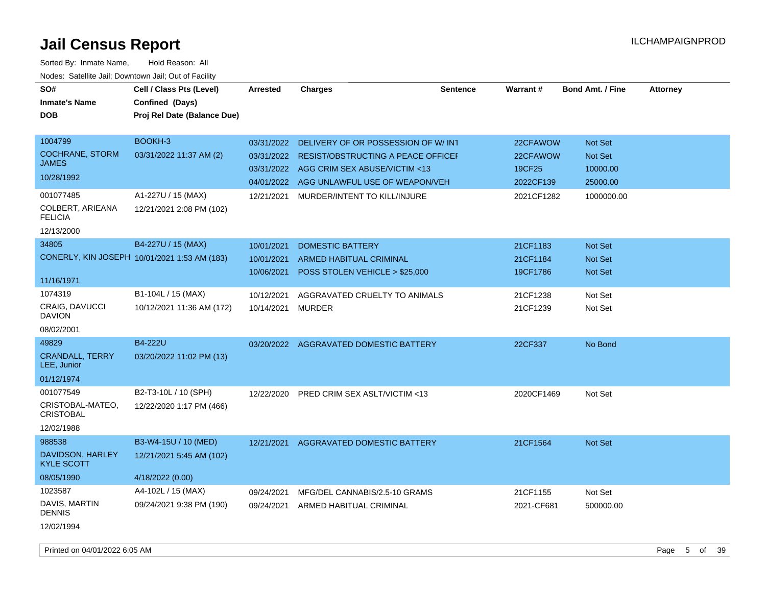| routs. Saltille Jali, Downlown Jali, Out of Facility |                                              |                   |                                           |                 |                 |                         |                 |
|------------------------------------------------------|----------------------------------------------|-------------------|-------------------------------------------|-----------------|-----------------|-------------------------|-----------------|
| SO#                                                  | Cell / Class Pts (Level)                     | <b>Arrested</b>   | <b>Charges</b>                            | <b>Sentence</b> | <b>Warrant#</b> | <b>Bond Amt. / Fine</b> | <b>Attorney</b> |
| <b>Inmate's Name</b>                                 | Confined (Days)                              |                   |                                           |                 |                 |                         |                 |
| <b>DOB</b>                                           | Proj Rel Date (Balance Due)                  |                   |                                           |                 |                 |                         |                 |
|                                                      |                                              |                   |                                           |                 |                 |                         |                 |
| 1004799                                              | BOOKH-3                                      | 03/31/2022        | DELIVERY OF OR POSSESSION OF W/INT        |                 | 22CFAWOW        | Not Set                 |                 |
| <b>COCHRANE, STORM</b>                               | 03/31/2022 11:37 AM (2)                      | 03/31/2022        | <b>RESIST/OBSTRUCTING A PEACE OFFICEF</b> |                 | 22CFAWOW        | Not Set                 |                 |
| JAMES                                                |                                              |                   | 03/31/2022 AGG CRIM SEX ABUSE/VICTIM <13  |                 | 19CF25          | 10000.00                |                 |
| 10/28/1992                                           |                                              |                   | 04/01/2022 AGG UNLAWFUL USE OF WEAPON/VEH |                 | 2022CF139       | 25000.00                |                 |
| 001077485                                            | A1-227U / 15 (MAX)                           | 12/21/2021        | MURDER/INTENT TO KILL/INJURE              |                 | 2021CF1282      | 1000000.00              |                 |
| COLBERT, ARIEANA<br><b>FELICIA</b>                   | 12/21/2021 2:08 PM (102)                     |                   |                                           |                 |                 |                         |                 |
| 12/13/2000                                           |                                              |                   |                                           |                 |                 |                         |                 |
| 34805                                                | B4-227U / 15 (MAX)                           | 10/01/2021        | DOMESTIC BATTERY                          |                 | 21CF1183        | Not Set                 |                 |
|                                                      | CONERLY, KIN JOSEPH 10/01/2021 1:53 AM (183) | 10/01/2021        | ARMED HABITUAL CRIMINAL                   |                 | 21CF1184        | <b>Not Set</b>          |                 |
|                                                      |                                              | 10/06/2021        | POSS STOLEN VEHICLE > \$25,000            |                 | 19CF1786        | <b>Not Set</b>          |                 |
| 11/16/1971                                           |                                              |                   |                                           |                 |                 |                         |                 |
| 1074319                                              | B1-104L / 15 (MAX)                           | 10/12/2021        | AGGRAVATED CRUELTY TO ANIMALS             |                 | 21CF1238        | Not Set                 |                 |
| CRAIG, DAVUCCI<br><b>DAVION</b>                      | 10/12/2021 11:36 AM (172)                    | 10/14/2021 MURDER |                                           |                 | 21CF1239        | Not Set                 |                 |
| 08/02/2001                                           |                                              |                   |                                           |                 |                 |                         |                 |
| 49829                                                | <b>B4-222U</b>                               |                   | 03/20/2022 AGGRAVATED DOMESTIC BATTERY    |                 | 22CF337         | No Bond                 |                 |
| <b>CRANDALL, TERRY</b><br>LEE, Junior                | 03/20/2022 11:02 PM (13)                     |                   |                                           |                 |                 |                         |                 |
| 01/12/1974                                           |                                              |                   |                                           |                 |                 |                         |                 |
| 001077549                                            | B2-T3-10L / 10 (SPH)                         | 12/22/2020        | <b>PRED CRIM SEX ASLT/VICTIM &lt;13</b>   |                 | 2020CF1469      | Not Set                 |                 |
| CRISTOBAL-MATEO,<br><b>CRISTOBAL</b>                 | 12/22/2020 1:17 PM (466)                     |                   |                                           |                 |                 |                         |                 |
| 12/02/1988                                           |                                              |                   |                                           |                 |                 |                         |                 |
| 988538                                               | B3-W4-15U / 10 (MED)                         | 12/21/2021        | AGGRAVATED DOMESTIC BATTERY               |                 | 21CF1564        | Not Set                 |                 |
| DAVIDSON, HARLEY<br><b>KYLE SCOTT</b>                | 12/21/2021 5:45 AM (102)                     |                   |                                           |                 |                 |                         |                 |
| 08/05/1990                                           | 4/18/2022 (0.00)                             |                   |                                           |                 |                 |                         |                 |
| 1023587                                              | A4-102L / 15 (MAX)                           | 09/24/2021        | MFG/DEL CANNABIS/2.5-10 GRAMS             |                 | 21CF1155        | Not Set                 |                 |
| DAVIS, MARTIN<br><b>DENNIS</b>                       | 09/24/2021 9:38 PM (190)                     |                   | 09/24/2021 ARMED HABITUAL CRIMINAL        |                 | 2021-CF681      | 500000.00               |                 |
| 12/02/1994                                           |                                              |                   |                                           |                 |                 |                         |                 |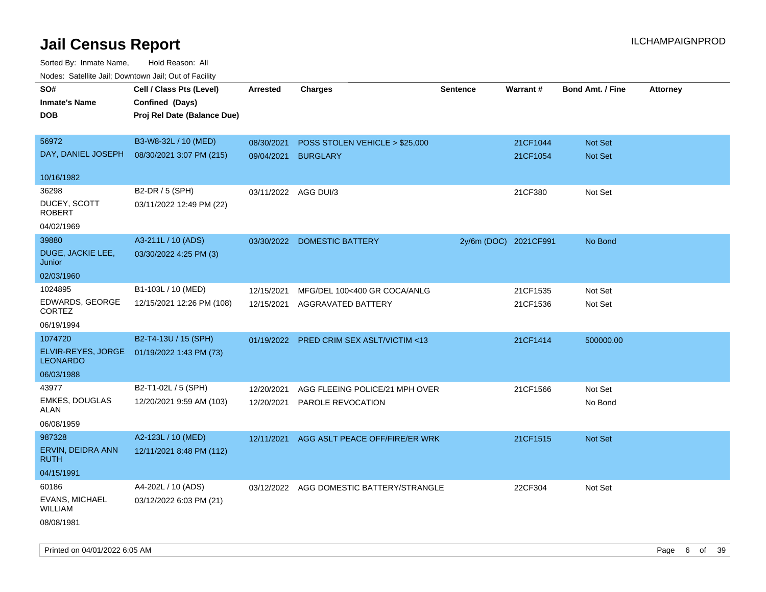| roacs. Catellite Jall, Downtown Jall, Out of Facility |                                             |                      |                                          |                 |                       |                         |                 |
|-------------------------------------------------------|---------------------------------------------|----------------------|------------------------------------------|-----------------|-----------------------|-------------------------|-----------------|
| SO#<br><b>Inmate's Name</b>                           | Cell / Class Pts (Level)<br>Confined (Days) | <b>Arrested</b>      | <b>Charges</b>                           | <b>Sentence</b> | Warrant#              | <b>Bond Amt. / Fine</b> | <b>Attorney</b> |
| <b>DOB</b>                                            | Proj Rel Date (Balance Due)                 |                      |                                          |                 |                       |                         |                 |
| 56972                                                 | B3-W8-32L / 10 (MED)                        | 08/30/2021           | POSS STOLEN VEHICLE > \$25,000           |                 | 21CF1044              | Not Set                 |                 |
| DAY, DANIEL JOSEPH                                    | 08/30/2021 3:07 PM (215)                    | 09/04/2021           | <b>BURGLARY</b>                          |                 | 21CF1054              | Not Set                 |                 |
| 10/16/1982                                            |                                             |                      |                                          |                 |                       |                         |                 |
| 36298                                                 | B2-DR / 5 (SPH)                             | 03/11/2022 AGG DUI/3 |                                          |                 | 21CF380               | Not Set                 |                 |
| DUCEY, SCOTT<br><b>ROBERT</b>                         | 03/11/2022 12:49 PM (22)                    |                      |                                          |                 |                       |                         |                 |
| 04/02/1969                                            |                                             |                      |                                          |                 |                       |                         |                 |
| 39880                                                 | A3-211L / 10 (ADS)                          |                      | 03/30/2022 DOMESTIC BATTERY              |                 | 2y/6m (DOC) 2021CF991 | No Bond                 |                 |
| DUGE, JACKIE LEE,<br>Junior                           | 03/30/2022 4:25 PM (3)                      |                      |                                          |                 |                       |                         |                 |
| 02/03/1960                                            |                                             |                      |                                          |                 |                       |                         |                 |
| 1024895                                               | B1-103L / 10 (MED)                          | 12/15/2021           | MFG/DEL 100<400 GR COCA/ANLG             |                 | 21CF1535              | Not Set                 |                 |
| EDWARDS, GEORGE<br><b>CORTEZ</b>                      | 12/15/2021 12:26 PM (108)                   | 12/15/2021           | AGGRAVATED BATTERY                       |                 | 21CF1536              | Not Set                 |                 |
| 06/19/1994                                            |                                             |                      |                                          |                 |                       |                         |                 |
| 1074720                                               | B2-T4-13U / 15 (SPH)                        |                      | 01/19/2022 PRED CRIM SEX ASLT/VICTIM <13 |                 | 21CF1414              | 500000.00               |                 |
| ELVIR-REYES, JORGE<br><b>LEONARDO</b>                 | 01/19/2022 1:43 PM (73)                     |                      |                                          |                 |                       |                         |                 |
| 06/03/1988                                            |                                             |                      |                                          |                 |                       |                         |                 |
| 43977                                                 | B2-T1-02L / 5 (SPH)                         | 12/20/2021           | AGG FLEEING POLICE/21 MPH OVER           |                 | 21CF1566              | Not Set                 |                 |
| <b>EMKES, DOUGLAS</b><br>ALAN                         | 12/20/2021 9:59 AM (103)                    | 12/20/2021           | PAROLE REVOCATION                        |                 |                       | No Bond                 |                 |
| 06/08/1959                                            |                                             |                      |                                          |                 |                       |                         |                 |
| 987328                                                | A2-123L / 10 (MED)                          | 12/11/2021           | AGG ASLT PEACE OFF/FIRE/ER WRK           |                 | 21CF1515              | <b>Not Set</b>          |                 |
| ERVIN, DEIDRA ANN<br><b>RUTH</b>                      | 12/11/2021 8:48 PM (112)                    |                      |                                          |                 |                       |                         |                 |
| 04/15/1991                                            |                                             |                      |                                          |                 |                       |                         |                 |
| 60186                                                 | A4-202L / 10 (ADS)                          |                      | 03/12/2022 AGG DOMESTIC BATTERY/STRANGLE |                 | 22CF304               | Not Set                 |                 |
| <b>EVANS, MICHAEL</b><br><b>WILLIAM</b>               | 03/12/2022 6:03 PM (21)                     |                      |                                          |                 |                       |                         |                 |
| 08/08/1981                                            |                                             |                      |                                          |                 |                       |                         |                 |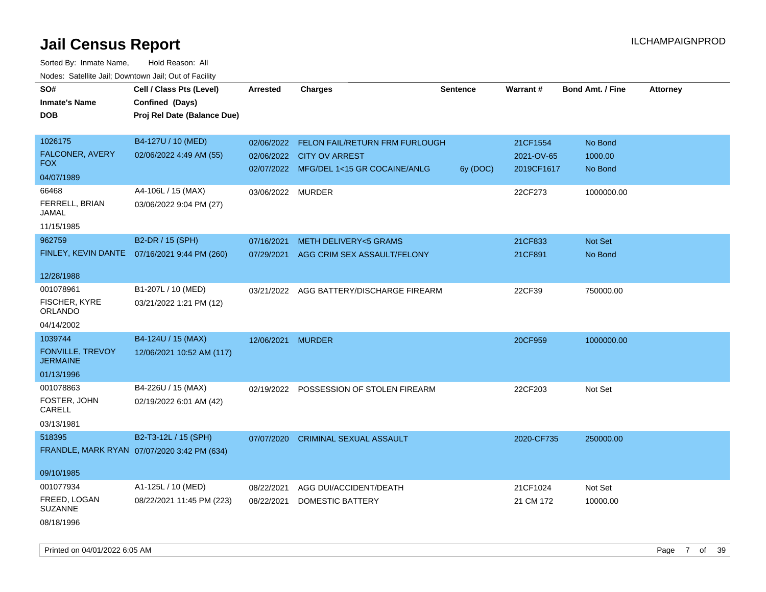| SO#                                 | Cell / Class Pts (Level)                     | <b>Arrested</b>   | <b>Charges</b>                            | <b>Sentence</b> | Warrant#   | <b>Bond Amt. / Fine</b> | <b>Attorney</b> |
|-------------------------------------|----------------------------------------------|-------------------|-------------------------------------------|-----------------|------------|-------------------------|-----------------|
| <b>Inmate's Name</b>                | Confined (Days)                              |                   |                                           |                 |            |                         |                 |
| <b>DOB</b>                          | Proj Rel Date (Balance Due)                  |                   |                                           |                 |            |                         |                 |
|                                     |                                              |                   |                                           |                 |            |                         |                 |
| 1026175                             | B4-127U / 10 (MED)                           |                   | 02/06/2022 FELON FAIL/RETURN FRM FURLOUGH |                 | 21CF1554   | No Bond                 |                 |
| FALCONER, AVERY                     | 02/06/2022 4:49 AM (55)                      |                   | 02/06/2022 CITY OV ARREST                 |                 | 2021-OV-65 | 1000.00                 |                 |
| <b>FOX</b>                          |                                              |                   | 02/07/2022 MFG/DEL 1<15 GR COCAINE/ANLG   | 6y (DOC)        | 2019CF1617 | No Bond                 |                 |
| 04/07/1989                          |                                              |                   |                                           |                 |            |                         |                 |
| 66468                               | A4-106L / 15 (MAX)                           | 03/06/2022 MURDER |                                           |                 | 22CF273    | 1000000.00              |                 |
| FERRELL, BRIAN<br>JAMAL             | 03/06/2022 9:04 PM (27)                      |                   |                                           |                 |            |                         |                 |
| 11/15/1985                          |                                              |                   |                                           |                 |            |                         |                 |
| 962759                              | B2-DR / 15 (SPH)                             | 07/16/2021        | <b>METH DELIVERY&lt;5 GRAMS</b>           |                 | 21CF833    | Not Set                 |                 |
|                                     | FINLEY, KEVIN DANTE 07/16/2021 9:44 PM (260) | 07/29/2021        | AGG CRIM SEX ASSAULT/FELONY               |                 | 21CF891    | No Bond                 |                 |
|                                     |                                              |                   |                                           |                 |            |                         |                 |
| 12/28/1988                          |                                              |                   |                                           |                 |            |                         |                 |
| 001078961                           | B1-207L / 10 (MED)                           |                   | 03/21/2022 AGG BATTERY/DISCHARGE FIREARM  |                 | 22CF39     | 750000.00               |                 |
| FISCHER, KYRE<br><b>ORLANDO</b>     | 03/21/2022 1:21 PM (12)                      |                   |                                           |                 |            |                         |                 |
| 04/14/2002                          |                                              |                   |                                           |                 |            |                         |                 |
| 1039744                             | B4-124U / 15 (MAX)                           | 12/06/2021 MURDER |                                           |                 | 20CF959    | 1000000.00              |                 |
| FONVILLE, TREVOY<br><b>JERMAINE</b> | 12/06/2021 10:52 AM (117)                    |                   |                                           |                 |            |                         |                 |
| 01/13/1996                          |                                              |                   |                                           |                 |            |                         |                 |
| 001078863                           | B4-226U / 15 (MAX)                           |                   | 02/19/2022 POSSESSION OF STOLEN FIREARM   |                 | 22CF203    | Not Set                 |                 |
| FOSTER, JOHN<br>CARELL              | 02/19/2022 6:01 AM (42)                      |                   |                                           |                 |            |                         |                 |
| 03/13/1981                          |                                              |                   |                                           |                 |            |                         |                 |
| 518395                              | B2-T3-12L / 15 (SPH)                         | 07/07/2020        | <b>CRIMINAL SEXUAL ASSAULT</b>            |                 | 2020-CF735 | 250000.00               |                 |
|                                     | FRANDLE, MARK RYAN 07/07/2020 3:42 PM (634)  |                   |                                           |                 |            |                         |                 |
|                                     |                                              |                   |                                           |                 |            |                         |                 |
| 09/10/1985                          |                                              |                   |                                           |                 |            |                         |                 |
| 001077934                           | A1-125L / 10 (MED)                           | 08/22/2021        | AGG DUI/ACCIDENT/DEATH                    |                 | 21CF1024   | Not Set                 |                 |
| FREED, LOGAN<br><b>SUZANNE</b>      | 08/22/2021 11:45 PM (223)                    | 08/22/2021        | DOMESTIC BATTERY                          |                 | 21 CM 172  | 10000.00                |                 |
| 08/18/1996                          |                                              |                   |                                           |                 |            |                         |                 |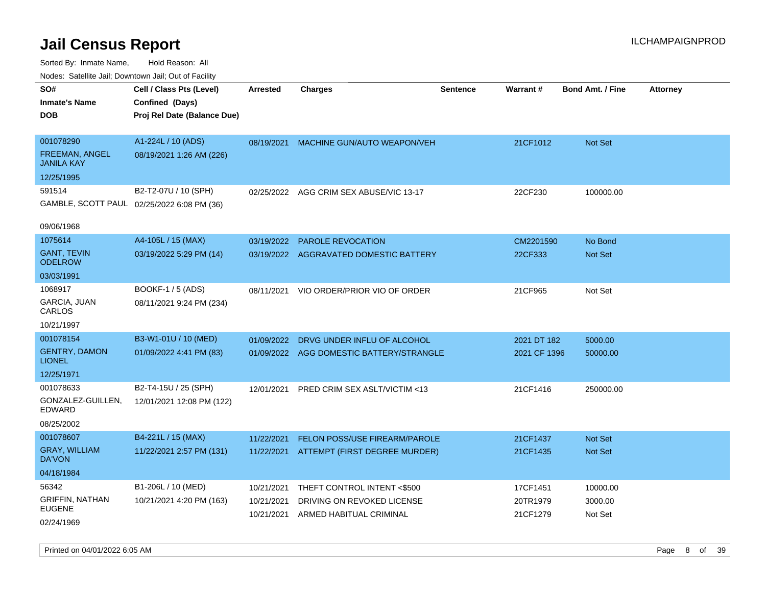Sorted By: Inmate Name, Hold Reason: All Nodes: Satellite Jail; Downtown Jail; Out of Facility

| ivuutos. Saltiilit Jall, Duwilluwii Jall, Oul of Facility |                                            |            |                                          |                 |              |                         |                 |
|-----------------------------------------------------------|--------------------------------------------|------------|------------------------------------------|-----------------|--------------|-------------------------|-----------------|
| SO#                                                       | Cell / Class Pts (Level)                   | Arrested   | <b>Charges</b>                           | <b>Sentence</b> | Warrant#     | <b>Bond Amt. / Fine</b> | <b>Attorney</b> |
| <b>Inmate's Name</b>                                      | Confined (Days)                            |            |                                          |                 |              |                         |                 |
| <b>DOB</b>                                                | Proj Rel Date (Balance Due)                |            |                                          |                 |              |                         |                 |
|                                                           |                                            |            |                                          |                 |              |                         |                 |
| 001078290                                                 | A1-224L / 10 (ADS)                         | 08/19/2021 | MACHINE GUN/AUTO WEAPON/VEH              |                 | 21CF1012     | Not Set                 |                 |
| <b>FREEMAN, ANGEL</b><br>JANILA KAY                       | 08/19/2021 1:26 AM (226)                   |            |                                          |                 |              |                         |                 |
| 12/25/1995                                                |                                            |            |                                          |                 |              |                         |                 |
| 591514                                                    | B2-T2-07U / 10 (SPH)                       | 02/25/2022 | AGG CRIM SEX ABUSE/VIC 13-17             |                 | 22CF230      | 100000.00               |                 |
|                                                           | GAMBLE, SCOTT PAUL 02/25/2022 6:08 PM (36) |            |                                          |                 |              |                         |                 |
| 09/06/1968                                                |                                            |            |                                          |                 |              |                         |                 |
| 1075614                                                   | A4-105L / 15 (MAX)                         | 03/19/2022 | <b>PAROLE REVOCATION</b>                 |                 | CM2201590    | No Bond                 |                 |
| GANT, TEVIN<br>ODELROW                                    | 03/19/2022 5:29 PM (14)                    | 03/19/2022 | AGGRAVATED DOMESTIC BATTERY              |                 | 22CF333      | <b>Not Set</b>          |                 |
| 03/03/1991                                                |                                            |            |                                          |                 |              |                         |                 |
| 1068917                                                   | BOOKF-1 / 5 (ADS)                          | 08/11/2021 | VIO ORDER/PRIOR VIO OF ORDER             |                 | 21CF965      | Not Set                 |                 |
| GARCIA, JUAN<br>CARLOS                                    | 08/11/2021 9:24 PM (234)                   |            |                                          |                 |              |                         |                 |
| 10/21/1997                                                |                                            |            |                                          |                 |              |                         |                 |
| 001078154                                                 | B3-W1-01U / 10 (MED)                       | 01/09/2022 | DRVG UNDER INFLU OF ALCOHOL              |                 | 2021 DT 182  | 5000.00                 |                 |
| <b>GENTRY, DAMON</b><br>LIONEL                            | 01/09/2022 4:41 PM (83)                    |            | 01/09/2022 AGG DOMESTIC BATTERY/STRANGLE |                 | 2021 CF 1396 | 50000.00                |                 |
| 12/25/1971                                                |                                            |            |                                          |                 |              |                         |                 |
| 001078633                                                 | B2-T4-15U / 25 (SPH)                       | 12/01/2021 | PRED CRIM SEX ASLT/VICTIM <13            |                 | 21CF1416     | 250000.00               |                 |
| GONZALEZ-GUILLEN,<br>EDWARD                               | 12/01/2021 12:08 PM (122)                  |            |                                          |                 |              |                         |                 |
| 08/25/2002                                                |                                            |            |                                          |                 |              |                         |                 |
| 001078607                                                 | B4-221L / 15 (MAX)                         | 11/22/2021 | <b>FELON POSS/USE FIREARM/PAROLE</b>     |                 | 21CF1437     | <b>Not Set</b>          |                 |
| <b>GRAY, WILLIAM</b><br>DA'VON                            | 11/22/2021 2:57 PM (131)                   |            | 11/22/2021 ATTEMPT (FIRST DEGREE MURDER) |                 | 21CF1435     | <b>Not Set</b>          |                 |
| 04/18/1984                                                |                                            |            |                                          |                 |              |                         |                 |
| 56342                                                     | B1-206L / 10 (MED)                         | 10/21/2021 | THEFT CONTROL INTENT <\$500              |                 | 17CF1451     | 10000.00                |                 |
| <b>GRIFFIN, NATHAN</b>                                    | 10/21/2021 4:20 PM (163)                   | 10/21/2021 | DRIVING ON REVOKED LICENSE               |                 | 20TR1979     | 3000.00                 |                 |
| EUGENE                                                    |                                            | 10/21/2021 | ARMED HABITUAL CRIMINAL                  |                 | 21CF1279     | Not Set                 |                 |
| 02/24/1969                                                |                                            |            |                                          |                 |              |                         |                 |

Printed on 04/01/2022 6:05 AM **Page 8 of 39**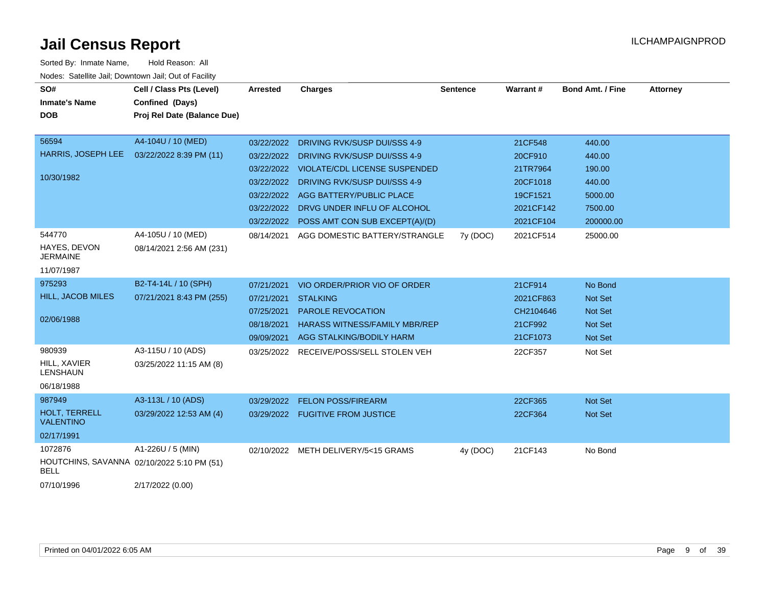| SO#                                      | Cell / Class Pts (Level)                   | Arrested   | <b>Charges</b>                            | <b>Sentence</b> | Warrant#  | <b>Bond Amt. / Fine</b> | <b>Attorney</b> |
|------------------------------------------|--------------------------------------------|------------|-------------------------------------------|-----------------|-----------|-------------------------|-----------------|
| <b>Inmate's Name</b>                     | Confined (Days)                            |            |                                           |                 |           |                         |                 |
| <b>DOB</b>                               | Proj Rel Date (Balance Due)                |            |                                           |                 |           |                         |                 |
|                                          |                                            |            |                                           |                 |           |                         |                 |
| 56594                                    | A4-104U / 10 (MED)                         |            | 03/22/2022 DRIVING RVK/SUSP DUI/SSS 4-9   |                 | 21CF548   | 440.00                  |                 |
| HARRIS, JOSEPH LEE                       | 03/22/2022 8:39 PM (11)                    | 03/22/2022 | DRIVING RVK/SUSP DUI/SSS 4-9              |                 | 20CF910   | 440.00                  |                 |
|                                          |                                            | 03/22/2022 | <b>VIOLATE/CDL LICENSE SUSPENDED</b>      |                 | 21TR7964  | 190.00                  |                 |
| 10/30/1982                               |                                            | 03/22/2022 | DRIVING RVK/SUSP DUI/SSS 4-9              |                 | 20CF1018  | 440.00                  |                 |
|                                          |                                            | 03/22/2022 | AGG BATTERY/PUBLIC PLACE                  |                 | 19CF1521  | 5000.00                 |                 |
|                                          |                                            | 03/22/2022 | DRVG UNDER INFLU OF ALCOHOL               |                 | 2021CF142 | 7500.00                 |                 |
|                                          |                                            |            | 03/22/2022 POSS AMT CON SUB EXCEPT(A)/(D) |                 | 2021CF104 | 200000.00               |                 |
| 544770                                   | A4-105U / 10 (MED)                         | 08/14/2021 | AGG DOMESTIC BATTERY/STRANGLE             | 7y (DOC)        | 2021CF514 | 25000.00                |                 |
| HAYES, DEVON<br><b>JERMAINE</b>          | 08/14/2021 2:56 AM (231)                   |            |                                           |                 |           |                         |                 |
| 11/07/1987                               |                                            |            |                                           |                 |           |                         |                 |
| 975293                                   | B2-T4-14L / 10 (SPH)                       | 07/21/2021 | VIO ORDER/PRIOR VIO OF ORDER              |                 | 21CF914   | No Bond                 |                 |
| <b>HILL, JACOB MILES</b>                 | 07/21/2021 8:43 PM (255)                   | 07/21/2021 | <b>STALKING</b>                           |                 | 2021CF863 | Not Set                 |                 |
|                                          |                                            | 07/25/2021 | <b>PAROLE REVOCATION</b>                  |                 | CH2104646 | Not Set                 |                 |
| 02/06/1988                               |                                            | 08/18/2021 | <b>HARASS WITNESS/FAMILY MBR/REP</b>      |                 | 21CF992   | Not Set                 |                 |
|                                          |                                            | 09/09/2021 | AGG STALKING/BODILY HARM                  |                 | 21CF1073  | Not Set                 |                 |
| 980939                                   | A3-115U / 10 (ADS)                         |            | 03/25/2022 RECEIVE/POSS/SELL STOLEN VEH   |                 | 22CF357   | Not Set                 |                 |
| HILL, XAVIER<br><b>LENSHAUN</b>          | 03/25/2022 11:15 AM (8)                    |            |                                           |                 |           |                         |                 |
| 06/18/1988                               |                                            |            |                                           |                 |           |                         |                 |
| 987949                                   | A3-113L / 10 (ADS)                         | 03/29/2022 | <b>FELON POSS/FIREARM</b>                 |                 | 22CF365   | <b>Not Set</b>          |                 |
| <b>HOLT. TERRELL</b><br><b>VALENTINO</b> | 03/29/2022 12:53 AM (4)                    |            | 03/29/2022 FUGITIVE FROM JUSTICE          |                 | 22CF364   | Not Set                 |                 |
| 02/17/1991                               |                                            |            |                                           |                 |           |                         |                 |
| 1072876                                  | A1-226U / 5 (MIN)                          |            | 02/10/2022 METH DELIVERY/5<15 GRAMS       | 4y (DOC)        | 21CF143   | No Bond                 |                 |
| <b>BELL</b>                              | HOUTCHINS, SAVANNA 02/10/2022 5:10 PM (51) |            |                                           |                 |           |                         |                 |
| 07/10/1996                               | 2/17/2022 (0.00)                           |            |                                           |                 |           |                         |                 |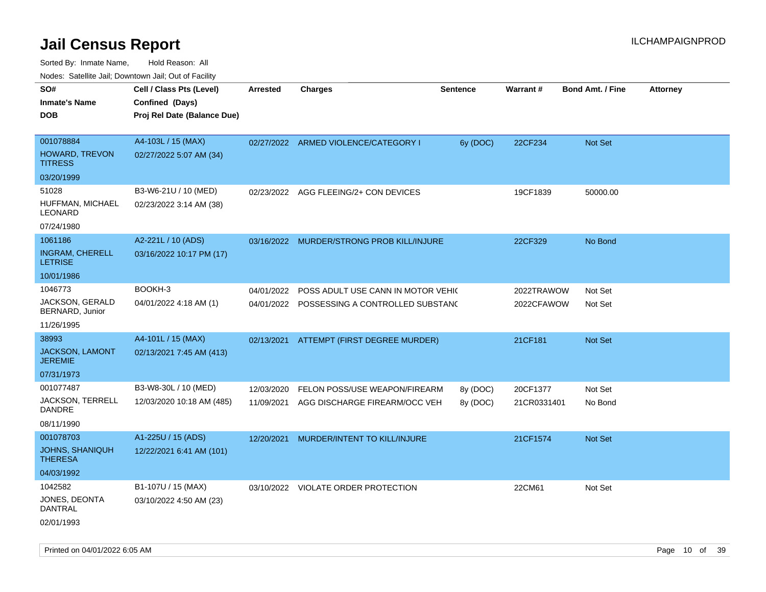Sorted By: Inmate Name, Hold Reason: All

|                                           | Nodes: Satellite Jail; Downtown Jail; Out of Facility |                 |                                           |                 |                 |                         |          |
|-------------------------------------------|-------------------------------------------------------|-----------------|-------------------------------------------|-----------------|-----------------|-------------------------|----------|
| SO#                                       | Cell / Class Pts (Level)                              | <b>Arrested</b> | <b>Charges</b>                            | <b>Sentence</b> | <b>Warrant#</b> | <b>Bond Amt. / Fine</b> | Attorney |
| <b>Inmate's Name</b>                      | Confined (Days)                                       |                 |                                           |                 |                 |                         |          |
| <b>DOB</b>                                | Proj Rel Date (Balance Due)                           |                 |                                           |                 |                 |                         |          |
|                                           |                                                       |                 |                                           |                 |                 |                         |          |
| 001078884                                 | A4-103L / 15 (MAX)                                    |                 | 02/27/2022 ARMED VIOLENCE/CATEGORY I      | 6y (DOC)        | 22CF234         | <b>Not Set</b>          |          |
| HOWARD, TREVON<br><b>TITRESS</b>          | 02/27/2022 5:07 AM (34)                               |                 |                                           |                 |                 |                         |          |
| 03/20/1999                                |                                                       |                 |                                           |                 |                 |                         |          |
| 51028                                     | B3-W6-21U / 10 (MED)                                  | 02/23/2022      | AGG FLEEING/2+ CON DEVICES                |                 | 19CF1839        | 50000.00                |          |
| HUFFMAN, MICHAEL<br><b>LEONARD</b>        | 02/23/2022 3:14 AM (38)                               |                 |                                           |                 |                 |                         |          |
| 07/24/1980                                |                                                       |                 |                                           |                 |                 |                         |          |
| 1061186                                   | A2-221L / 10 (ADS)                                    |                 | 03/16/2022 MURDER/STRONG PROB KILL/INJURE |                 | 22CF329         | No Bond                 |          |
| <b>INGRAM, CHERELL</b><br><b>LETRISE</b>  | 03/16/2022 10:17 PM (17)                              |                 |                                           |                 |                 |                         |          |
| 10/01/1986                                |                                                       |                 |                                           |                 |                 |                         |          |
| 1046773                                   | BOOKH-3                                               | 04/01/2022      | POSS ADULT USE CANN IN MOTOR VEHIC        |                 | 2022TRAWOW      | Not Set                 |          |
| <b>JACKSON, GERALD</b><br>BERNARD, Junior | 04/01/2022 4:18 AM (1)                                | 04/01/2022      | POSSESSING A CONTROLLED SUBSTANC          |                 | 2022CFAWOW      | Not Set                 |          |
| 11/26/1995                                |                                                       |                 |                                           |                 |                 |                         |          |
| 38993                                     | A4-101L / 15 (MAX)                                    | 02/13/2021      | ATTEMPT (FIRST DEGREE MURDER)             |                 | 21CF181         | Not Set                 |          |
| <b>JACKSON, LAMONT</b><br><b>JEREMIE</b>  | 02/13/2021 7:45 AM (413)                              |                 |                                           |                 |                 |                         |          |
| 07/31/1973                                |                                                       |                 |                                           |                 |                 |                         |          |
| 001077487                                 | B3-W8-30L / 10 (MED)                                  | 12/03/2020      | FELON POSS/USE WEAPON/FIREARM             | 8y (DOC)        | 20CF1377        | Not Set                 |          |
| JACKSON, TERRELL<br><b>DANDRE</b>         | 12/03/2020 10:18 AM (485)                             | 11/09/2021      | AGG DISCHARGE FIREARM/OCC VEH             | 8y (DOC)        | 21CR0331401     | No Bond                 |          |
| 08/11/1990                                |                                                       |                 |                                           |                 |                 |                         |          |
| 001078703                                 | A1-225U / 15 (ADS)                                    | 12/20/2021      | MURDER/INTENT TO KILL/INJURE              |                 | 21CF1574        | <b>Not Set</b>          |          |
| JOHNS, SHANIQUH<br><b>THERESA</b>         | 12/22/2021 6:41 AM (101)                              |                 |                                           |                 |                 |                         |          |
| 04/03/1992                                |                                                       |                 |                                           |                 |                 |                         |          |
| 1042582                                   | B1-107U / 15 (MAX)                                    | 03/10/2022      | VIOLATE ORDER PROTECTION                  |                 | 22CM61          | Not Set                 |          |
| JONES, DEONTA<br><b>DANTRAL</b>           | 03/10/2022 4:50 AM (23)                               |                 |                                           |                 |                 |                         |          |
| 02/01/1993                                |                                                       |                 |                                           |                 |                 |                         |          |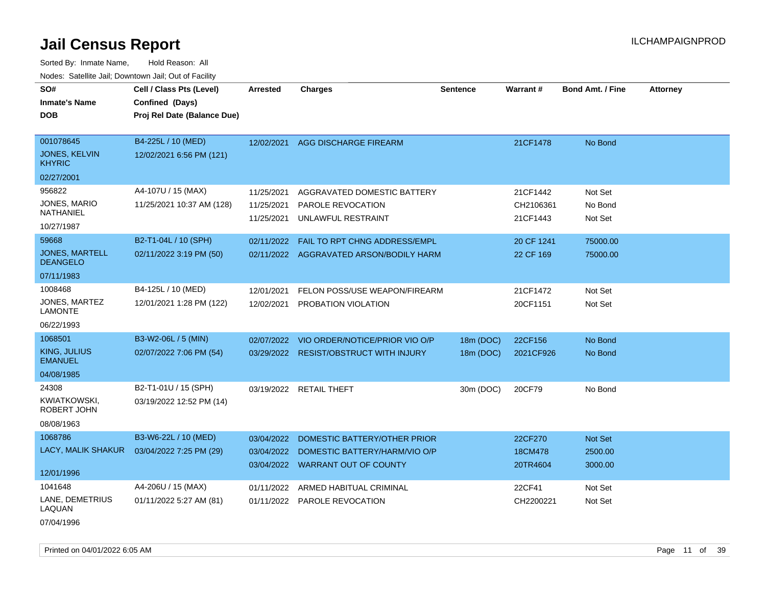Sorted By: Inmate Name, Hold Reason: All Nodes: Satellite Jail; Downtown Jail; Out of Facility

| SO#<br><b>Inmate's Name</b><br><b>DOB</b>          | Cell / Class Pts (Level)<br>Confined (Days)<br>Proj Rel Date (Balance Due) | <b>Arrested</b>                        | <b>Charges</b>                                                         | Sentence  | Warrant#                          | <b>Bond Amt. / Fine</b>       | <b>Attorney</b> |
|----------------------------------------------------|----------------------------------------------------------------------------|----------------------------------------|------------------------------------------------------------------------|-----------|-----------------------------------|-------------------------------|-----------------|
| 001078645<br><b>JONES, KELVIN</b><br><b>KHYRIC</b> | B4-225L / 10 (MED)<br>12/02/2021 6:56 PM (121)                             | 12/02/2021                             | <b>AGG DISCHARGE FIREARM</b>                                           |           | 21CF1478                          | No Bond                       |                 |
| 02/27/2001                                         |                                                                            |                                        |                                                                        |           |                                   |                               |                 |
| 956822<br>JONES, MARIO<br>NATHANIEL<br>10/27/1987  | A4-107U / 15 (MAX)<br>11/25/2021 10:37 AM (128)                            | 11/25/2021<br>11/25/2021<br>11/25/2021 | AGGRAVATED DOMESTIC BATTERY<br>PAROLE REVOCATION<br>UNLAWFUL RESTRAINT |           | 21CF1442<br>CH2106361<br>21CF1443 | Not Set<br>No Bond<br>Not Set |                 |
| 59668                                              | B2-T1-04L / 10 (SPH)                                                       | 02/11/2022                             | FAIL TO RPT CHNG ADDRESS/EMPL                                          |           | 20 CF 1241                        | 75000.00                      |                 |
| <b>JONES, MARTELL</b><br><b>DEANGELO</b>           | 02/11/2022 3:19 PM (50)                                                    |                                        | 02/11/2022 AGGRAVATED ARSON/BODILY HARM                                |           | 22 CF 169                         | 75000.00                      |                 |
| 07/11/1983                                         |                                                                            |                                        |                                                                        |           |                                   |                               |                 |
| 1008468                                            | B4-125L / 10 (MED)                                                         | 12/01/2021                             | FELON POSS/USE WEAPON/FIREARM                                          |           | 21CF1472                          | Not Set                       |                 |
| JONES, MARTEZ<br><b>LAMONTE</b>                    | 12/01/2021 1:28 PM (122)                                                   | 12/02/2021                             | PROBATION VIOLATION                                                    |           | 20CF1151                          | Not Set                       |                 |
| 06/22/1993                                         |                                                                            |                                        |                                                                        |           |                                   |                               |                 |
| 1068501                                            | B3-W2-06L / 5 (MIN)                                                        | 02/07/2022                             | VIO ORDER/NOTICE/PRIOR VIO O/P                                         | 18m (DOC) | 22CF156                           | No Bond                       |                 |
| <b>KING, JULIUS</b><br><b>EMANUEL</b>              | 02/07/2022 7:06 PM (54)                                                    |                                        | 03/29/2022 RESIST/OBSTRUCT WITH INJURY                                 | 18m (DOC) | 2021CF926                         | No Bond                       |                 |
| 04/08/1985                                         |                                                                            |                                        |                                                                        |           |                                   |                               |                 |
| 24308<br>KWIATKOWSKI,<br>ROBERT JOHN<br>08/08/1963 | B2-T1-01U / 15 (SPH)<br>03/19/2022 12:52 PM (14)                           |                                        | 03/19/2022 RETAIL THEFT                                                | 30m (DOC) | 20CF79                            | No Bond                       |                 |
| 1068786                                            | B3-W6-22L / 10 (MED)                                                       | 03/04/2022                             | DOMESTIC BATTERY/OTHER PRIOR                                           |           | 22CF270                           | <b>Not Set</b>                |                 |
| LACY, MALIK SHAKUR                                 | 03/04/2022 7:25 PM (29)                                                    | 03/04/2022                             | DOMESTIC BATTERY/HARM/VIO O/P<br>03/04/2022 WARRANT OUT OF COUNTY      |           | 18CM478<br>20TR4604               | 2500.00<br>3000.00            |                 |
| 12/01/1996                                         |                                                                            |                                        |                                                                        |           |                                   |                               |                 |
| 1041648<br>LANE, DEMETRIUS<br><b>LAQUAN</b>        | A4-206U / 15 (MAX)<br>01/11/2022 5:27 AM (81)                              | 01/11/2022<br>01/11/2022               | ARMED HABITUAL CRIMINAL<br>PAROLE REVOCATION                           |           | 22CF41<br>CH2200221               | Not Set<br>Not Set            |                 |
|                                                    |                                                                            |                                        |                                                                        |           |                                   |                               |                 |

07/04/1996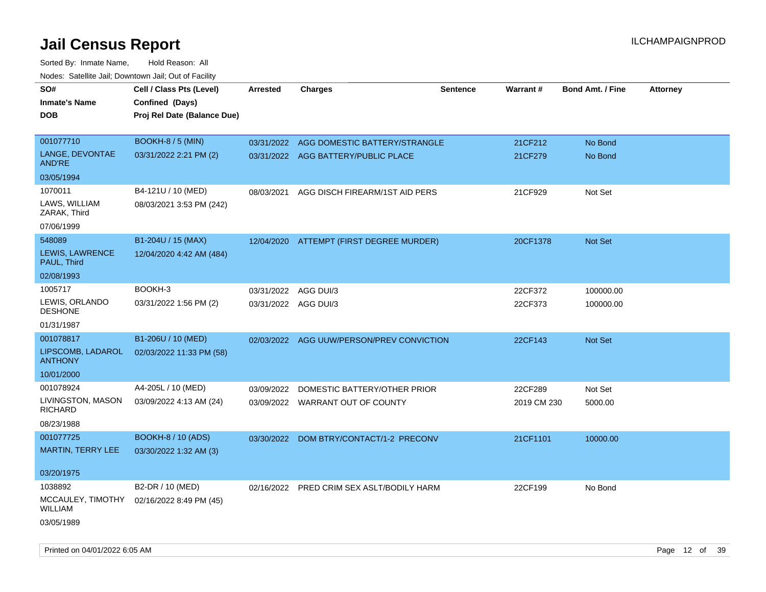Sorted By: Inmate Name, Hold Reason: All Nodes: Satellite Jail; Downtown Jail; Out of Facility

| roaco. Odichile Jan, Downtown Jan, Out of Facility |                             |                      |                                           |                 |             |                         |                 |
|----------------------------------------------------|-----------------------------|----------------------|-------------------------------------------|-----------------|-------------|-------------------------|-----------------|
| SO#                                                | Cell / Class Pts (Level)    | <b>Arrested</b>      | <b>Charges</b>                            | <b>Sentence</b> | Warrant#    | <b>Bond Amt. / Fine</b> | <b>Attorney</b> |
| <b>Inmate's Name</b>                               | Confined (Days)             |                      |                                           |                 |             |                         |                 |
| <b>DOB</b>                                         | Proj Rel Date (Balance Due) |                      |                                           |                 |             |                         |                 |
|                                                    |                             |                      |                                           |                 |             |                         |                 |
| 001077710                                          | <b>BOOKH-8/5 (MIN)</b>      |                      | 03/31/2022 AGG DOMESTIC BATTERY/STRANGLE  |                 | 21CF212     | No Bond                 |                 |
| LANGE, DEVONTAE<br><b>AND'RE</b>                   | 03/31/2022 2:21 PM (2)      |                      | 03/31/2022 AGG BATTERY/PUBLIC PLACE       |                 | 21CF279     | No Bond                 |                 |
| 03/05/1994                                         |                             |                      |                                           |                 |             |                         |                 |
| 1070011                                            | B4-121U / 10 (MED)          | 08/03/2021           | AGG DISCH FIREARM/1ST AID PERS            |                 | 21CF929     | Not Set                 |                 |
| LAWS, WILLIAM<br>ZARAK, Third                      | 08/03/2021 3:53 PM (242)    |                      |                                           |                 |             |                         |                 |
| 07/06/1999                                         |                             |                      |                                           |                 |             |                         |                 |
| 548089                                             | B1-204U / 15 (MAX)          |                      | 12/04/2020 ATTEMPT (FIRST DEGREE MURDER)  |                 | 20CF1378    | Not Set                 |                 |
| LEWIS, LAWRENCE<br>PAUL, Third                     | 12/04/2020 4:42 AM (484)    |                      |                                           |                 |             |                         |                 |
| 02/08/1993                                         |                             |                      |                                           |                 |             |                         |                 |
| 1005717                                            | BOOKH-3                     | 03/31/2022 AGG DUI/3 |                                           |                 | 22CF372     | 100000.00               |                 |
| LEWIS, ORLANDO<br><b>DESHONE</b>                   | 03/31/2022 1:56 PM (2)      | 03/31/2022 AGG DUI/3 |                                           |                 | 22CF373     | 100000.00               |                 |
| 01/31/1987                                         |                             |                      |                                           |                 |             |                         |                 |
| 001078817                                          | B1-206U / 10 (MED)          |                      | 02/03/2022 AGG UUW/PERSON/PREV CONVICTION |                 | 22CF143     | <b>Not Set</b>          |                 |
| LIPSCOMB, LADAROL<br><b>ANTHONY</b>                | 02/03/2022 11:33 PM (58)    |                      |                                           |                 |             |                         |                 |
| 10/01/2000                                         |                             |                      |                                           |                 |             |                         |                 |
| 001078924                                          | A4-205L / 10 (MED)          | 03/09/2022           | DOMESTIC BATTERY/OTHER PRIOR              |                 | 22CF289     | Not Set                 |                 |
| LIVINGSTON, MASON<br><b>RICHARD</b>                | 03/09/2022 4:13 AM (24)     |                      | 03/09/2022 WARRANT OUT OF COUNTY          |                 | 2019 CM 230 | 5000.00                 |                 |
| 08/23/1988                                         |                             |                      |                                           |                 |             |                         |                 |
| 001077725                                          | <b>BOOKH-8 / 10 (ADS)</b>   |                      | 03/30/2022 DOM BTRY/CONTACT/1-2 PRECONV   |                 | 21CF1101    | 10000.00                |                 |
| <b>MARTIN, TERRY LEE</b>                           | 03/30/2022 1:32 AM (3)      |                      |                                           |                 |             |                         |                 |
|                                                    |                             |                      |                                           |                 |             |                         |                 |
| 03/20/1975                                         |                             |                      |                                           |                 |             |                         |                 |
| 1038892                                            | B2-DR / 10 (MED)            |                      | 02/16/2022 PRED CRIM SEX ASLT/BODILY HARM |                 | 22CF199     | No Bond                 |                 |
| MCCAULEY, TIMOTHY<br><b>WILLIAM</b>                | 02/16/2022 8:49 PM (45)     |                      |                                           |                 |             |                         |                 |
| 03/05/1989                                         |                             |                      |                                           |                 |             |                         |                 |

Printed on 04/01/2022 6:05 AM Page 12 of 39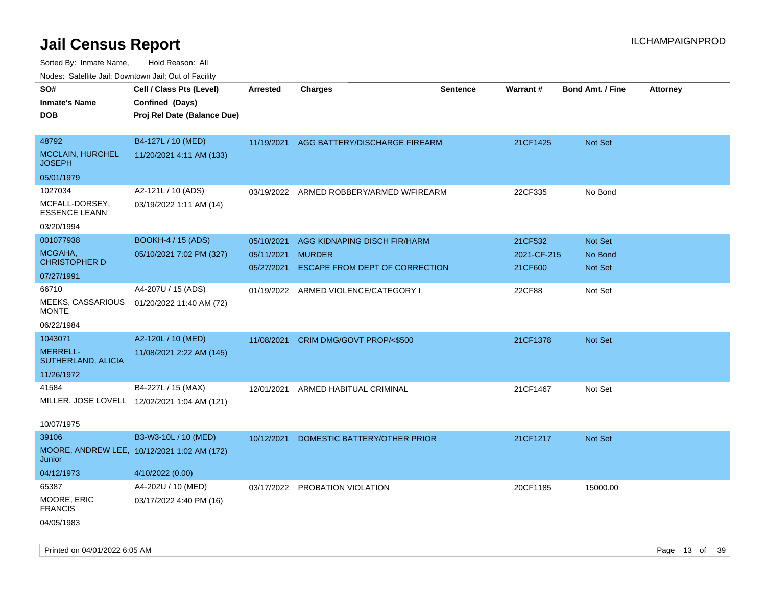| rouco. Calcillo Jali, Downtown Jali, Out of Facility |                                              |                 |                                          |                 |                 |                         |                 |
|------------------------------------------------------|----------------------------------------------|-----------------|------------------------------------------|-----------------|-----------------|-------------------------|-----------------|
| SO#<br><b>Inmate's Name</b>                          | Cell / Class Pts (Level)<br>Confined (Days)  | <b>Arrested</b> | <b>Charges</b>                           | <b>Sentence</b> | <b>Warrant#</b> | <b>Bond Amt. / Fine</b> | <b>Attorney</b> |
| DOB                                                  | Proj Rel Date (Balance Due)                  |                 |                                          |                 |                 |                         |                 |
| 48792                                                | B4-127L / 10 (MED)                           |                 | 11/19/2021 AGG BATTERY/DISCHARGE FIREARM |                 | 21CF1425        | <b>Not Set</b>          |                 |
| <b>MCCLAIN, HURCHEL</b><br>JOSEPH                    | 11/20/2021 4:11 AM (133)                     |                 |                                          |                 |                 |                         |                 |
| 05/01/1979                                           |                                              |                 |                                          |                 |                 |                         |                 |
| 1027034                                              | A2-121L / 10 (ADS)                           | 03/19/2022      | ARMED ROBBERY/ARMED W/FIREARM            |                 | 22CF335         | No Bond                 |                 |
| MCFALL-DORSEY,<br><b>ESSENCE LEANN</b>               | 03/19/2022 1:11 AM (14)                      |                 |                                          |                 |                 |                         |                 |
| 03/20/1994                                           |                                              |                 |                                          |                 |                 |                         |                 |
| 001077938                                            | <b>BOOKH-4 / 15 (ADS)</b>                    | 05/10/2021      | AGG KIDNAPING DISCH FIR/HARM             |                 | 21CF532         | <b>Not Set</b>          |                 |
| MCGAHA,                                              | 05/10/2021 7:02 PM (327)                     | 05/11/2021      | <b>MURDER</b>                            |                 | 2021-CF-215     | No Bond                 |                 |
| <b>CHRISTOPHER D</b>                                 |                                              | 05/27/2021      | ESCAPE FROM DEPT OF CORRECTION           |                 | 21CF600         | <b>Not Set</b>          |                 |
| 07/27/1991                                           |                                              |                 |                                          |                 |                 |                         |                 |
| 66710                                                | A4-207U / 15 (ADS)                           |                 | 01/19/2022 ARMED VIOLENCE/CATEGORY I     |                 | 22CF88          | Not Set                 |                 |
| MEEKS, CASSARIOUS<br>MONTE                           | 01/20/2022 11:40 AM (72)                     |                 |                                          |                 |                 |                         |                 |
| 06/22/1984                                           |                                              |                 |                                          |                 |                 |                         |                 |
| 1043071                                              | A2-120L / 10 (MED)                           |                 | 11/08/2021 CRIM DMG/GOVT PROP/<\$500     |                 | 21CF1378        | <b>Not Set</b>          |                 |
| <b>MERRELL-</b><br>SUTHERLAND, ALICIA                | 11/08/2021 2:22 AM (145)                     |                 |                                          |                 |                 |                         |                 |
| 11/26/1972                                           |                                              |                 |                                          |                 |                 |                         |                 |
| 41584                                                | B4-227L / 15 (MAX)                           | 12/01/2021      | ARMED HABITUAL CRIMINAL                  |                 | 21CF1467        | Not Set                 |                 |
|                                                      | MILLER, JOSE LOVELL 12/02/2021 1:04 AM (121) |                 |                                          |                 |                 |                         |                 |
| 10/07/1975                                           |                                              |                 |                                          |                 |                 |                         |                 |
| 39106                                                | B3-W3-10L / 10 (MED)                         | 10/12/2021      | DOMESTIC BATTERY/OTHER PRIOR             |                 | 21CF1217        | <b>Not Set</b>          |                 |
|                                                      | MOORE, ANDREW LEE, 10/12/2021 1:02 AM (172)  |                 |                                          |                 |                 |                         |                 |
| Junior                                               |                                              |                 |                                          |                 |                 |                         |                 |
| 04/12/1973                                           | 4/10/2022 (0.00)                             |                 |                                          |                 |                 |                         |                 |
| 65387                                                | A4-202U / 10 (MED)                           |                 | 03/17/2022 PROBATION VIOLATION           |                 | 20CF1185        | 15000.00                |                 |
| MOORE, ERIC<br><b>FRANCIS</b>                        | 03/17/2022 4:40 PM (16)                      |                 |                                          |                 |                 |                         |                 |
| 04/05/1983                                           |                                              |                 |                                          |                 |                 |                         |                 |
|                                                      |                                              |                 |                                          |                 |                 |                         |                 |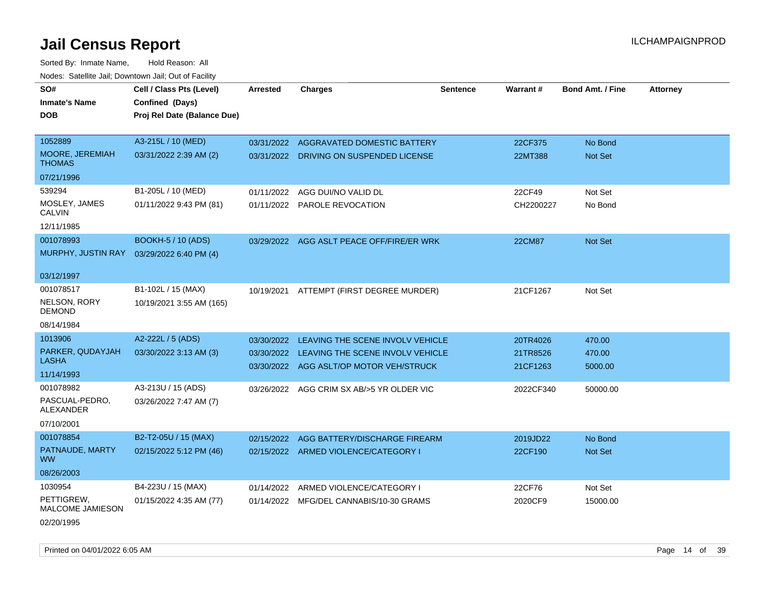Sorted By: Inmate Name, Hold Reason: All Nodes: Satellite Jail; Downtown Jail; Out of Facility

| SO#                                     | Cell / Class Pts (Level)    | <b>Arrested</b> | <b>Charges</b>                              | <b>Sentence</b> | <b>Warrant#</b> | <b>Bond Amt. / Fine</b> | <b>Attorney</b> |
|-----------------------------------------|-----------------------------|-----------------|---------------------------------------------|-----------------|-----------------|-------------------------|-----------------|
| <b>Inmate's Name</b>                    | Confined (Days)             |                 |                                             |                 |                 |                         |                 |
| <b>DOB</b>                              | Proj Rel Date (Balance Due) |                 |                                             |                 |                 |                         |                 |
|                                         |                             |                 |                                             |                 |                 |                         |                 |
| 1052889                                 | A3-215L / 10 (MED)          | 03/31/2022      | AGGRAVATED DOMESTIC BATTERY                 |                 | 22CF375         | No Bond                 |                 |
| <b>MOORE, JEREMIAH</b><br><b>THOMAS</b> | 03/31/2022 2:39 AM (2)      |                 | 03/31/2022 DRIVING ON SUSPENDED LICENSE     |                 | 22MT388         | Not Set                 |                 |
| 07/21/1996                              |                             |                 |                                             |                 |                 |                         |                 |
| 539294                                  | B1-205L / 10 (MED)          | 01/11/2022      | AGG DUI/NO VALID DL                         |                 | 22CF49          | Not Set                 |                 |
| MOSLEY, JAMES<br><b>CALVIN</b>          | 01/11/2022 9:43 PM (81)     |                 | 01/11/2022 PAROLE REVOCATION                |                 | CH2200227       | No Bond                 |                 |
| 12/11/1985                              |                             |                 |                                             |                 |                 |                         |                 |
| 001078993                               | <b>BOOKH-5 / 10 (ADS)</b>   |                 | 03/29/2022 AGG ASLT PEACE OFF/FIRE/ER WRK   |                 | 22CM87          | Not Set                 |                 |
| MURPHY, JUSTIN RAY                      | 03/29/2022 6:40 PM (4)      |                 |                                             |                 |                 |                         |                 |
|                                         |                             |                 |                                             |                 |                 |                         |                 |
| 03/12/1997                              |                             |                 |                                             |                 |                 |                         |                 |
| 001078517                               | B1-102L / 15 (MAX)          |                 | 10/19/2021 ATTEMPT (FIRST DEGREE MURDER)    |                 | 21CF1267        | Not Set                 |                 |
| NELSON, RORY<br><b>DEMOND</b>           | 10/19/2021 3:55 AM (165)    |                 |                                             |                 |                 |                         |                 |
| 08/14/1984                              |                             |                 |                                             |                 |                 |                         |                 |
| 1013906                                 | A2-222L / 5 (ADS)           | 03/30/2022      | LEAVING THE SCENE INVOLV VEHICLE            |                 | 20TR4026        | 470.00                  |                 |
| PARKER, QUDAYJAH                        | 03/30/2022 3:13 AM (3)      |                 | 03/30/2022 LEAVING THE SCENE INVOLV VEHICLE |                 | 21TR8526        | 470.00                  |                 |
| <b>LASHA</b>                            |                             |                 | 03/30/2022 AGG ASLT/OP MOTOR VEH/STRUCK     |                 | 21CF1263        | 5000.00                 |                 |
| 11/14/1993                              |                             |                 |                                             |                 |                 |                         |                 |
| 001078982                               | A3-213U / 15 (ADS)          | 03/26/2022      | AGG CRIM SX AB/>5 YR OLDER VIC              |                 | 2022CF340       | 50000.00                |                 |
| PASCUAL-PEDRO,<br>ALEXANDER             | 03/26/2022 7:47 AM (7)      |                 |                                             |                 |                 |                         |                 |
| 07/10/2001                              |                             |                 |                                             |                 |                 |                         |                 |
| 001078854                               | B2-T2-05U / 15 (MAX)        |                 | 02/15/2022 AGG BATTERY/DISCHARGE FIREARM    |                 | 2019JD22        | No Bond                 |                 |
| PATNAUDE, MARTY<br><b>WW</b>            | 02/15/2022 5:12 PM (46)     |                 | 02/15/2022 ARMED VIOLENCE/CATEGORY I        |                 | 22CF190         | Not Set                 |                 |
| 08/26/2003                              |                             |                 |                                             |                 |                 |                         |                 |
| 1030954                                 | B4-223U / 15 (MAX)          | 01/14/2022      | ARMED VIOLENCE/CATEGORY I                   |                 | 22CF76          | Not Set                 |                 |
| PETTIGREW,<br>MALCOME JAMIESON          | 01/15/2022 4:35 AM (77)     |                 | 01/14/2022 MFG/DEL CANNABIS/10-30 GRAMS     |                 | 2020CF9         | 15000.00                |                 |
| 02/20/1995                              |                             |                 |                                             |                 |                 |                         |                 |

Printed on 04/01/2022 6:05 AM **Page 14** of 39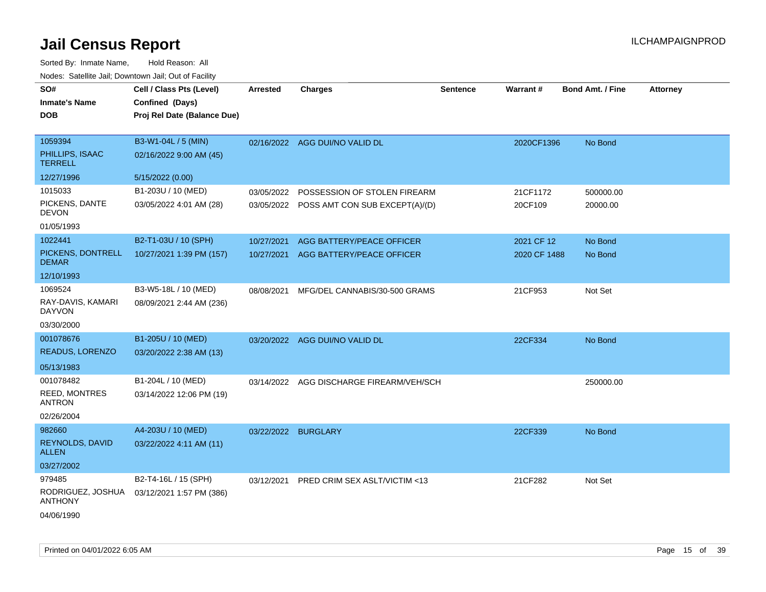| SO#<br><b>Inmate's Name</b><br><b>DOB</b>                   | Cell / Class Pts (Level)<br>Confined (Days)<br>Proj Rel Date (Balance Due) | <b>Arrested</b>          | <b>Charges</b>                                                            | <b>Sentence</b> | Warrant#                   | Bond Amt. / Fine      | <b>Attorney</b> |
|-------------------------------------------------------------|----------------------------------------------------------------------------|--------------------------|---------------------------------------------------------------------------|-----------------|----------------------------|-----------------------|-----------------|
| 1059394<br>PHILLIPS, ISAAC<br><b>TERRELL</b>                | B3-W1-04L / 5 (MIN)<br>02/16/2022 9:00 AM (45)                             |                          | 02/16/2022 AGG DUI/NO VALID DL                                            |                 | 2020CF1396                 | No Bond               |                 |
| 12/27/1996                                                  | 5/15/2022 (0.00)                                                           |                          |                                                                           |                 |                            |                       |                 |
| 1015033<br>PICKENS, DANTE<br><b>DEVON</b>                   | B1-203U / 10 (MED)<br>03/05/2022 4:01 AM (28)                              | 03/05/2022               | POSSESSION OF STOLEN FIREARM<br>03/05/2022 POSS AMT CON SUB EXCEPT(A)/(D) |                 | 21CF1172<br>20CF109        | 500000.00<br>20000.00 |                 |
| 01/05/1993                                                  |                                                                            |                          |                                                                           |                 |                            |                       |                 |
| 1022441<br>PICKENS, DONTRELL<br><b>DEMAR</b>                | B2-T1-03U / 10 (SPH)<br>10/27/2021 1:39 PM (157)                           | 10/27/2021<br>10/27/2021 | AGG BATTERY/PEACE OFFICER<br>AGG BATTERY/PEACE OFFICER                    |                 | 2021 CF 12<br>2020 CF 1488 | No Bond<br>No Bond    |                 |
| 12/10/1993                                                  |                                                                            |                          |                                                                           |                 |                            |                       |                 |
| 1069524<br>RAY-DAVIS, KAMARI<br><b>DAYVON</b><br>03/30/2000 | B3-W5-18L / 10 (MED)<br>08/09/2021 2:44 AM (236)                           | 08/08/2021               | MFG/DEL CANNABIS/30-500 GRAMS                                             |                 | 21CF953                    | Not Set               |                 |
| 001078676                                                   | B1-205U / 10 (MED)                                                         |                          | 03/20/2022 AGG DUI/NO VALID DL                                            |                 | 22CF334                    | No Bond               |                 |
| READUS, LORENZO<br>05/13/1983                               | 03/20/2022 2:38 AM (13)                                                    |                          |                                                                           |                 |                            |                       |                 |
| 001078482<br>REED, MONTRES<br><b>ANTRON</b><br>02/26/2004   | B1-204L / 10 (MED)<br>03/14/2022 12:06 PM (19)                             | 03/14/2022               | AGG DISCHARGE FIREARM/VEH/SCH                                             |                 |                            | 250000.00             |                 |
| 982660<br>REYNOLDS, DAVID<br><b>ALLEN</b><br>03/27/2002     | A4-203U / 10 (MED)<br>03/22/2022 4:11 AM (11)                              | 03/22/2022 BURGLARY      |                                                                           |                 | 22CF339                    | No Bond               |                 |
| 979485<br>RODRIGUEZ, JOSHUA<br><b>ANTHONY</b><br>04/06/1990 | B2-T4-16L / 15 (SPH)<br>03/12/2021 1:57 PM (386)                           | 03/12/2021               | PRED CRIM SEX ASLT/VICTIM <13                                             |                 | 21CF282                    | Not Set               |                 |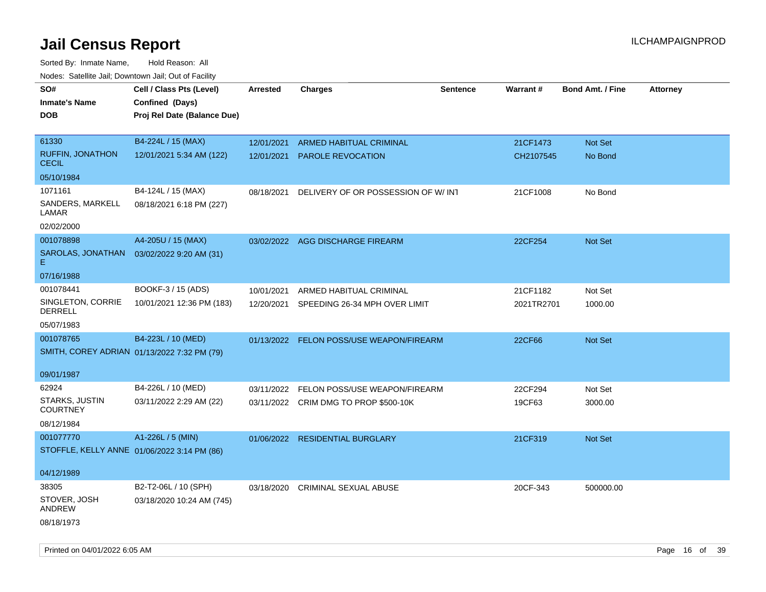| SO#<br><b>Inmate's Name</b>                 | Cell / Class Pts (Level)<br>Confined (Days) | <b>Arrested</b> | <b>Charges</b>                           | <b>Sentence</b> | Warrant#   | <b>Bond Amt. / Fine</b> | <b>Attorney</b> |
|---------------------------------------------|---------------------------------------------|-----------------|------------------------------------------|-----------------|------------|-------------------------|-----------------|
| <b>DOB</b>                                  | Proj Rel Date (Balance Due)                 |                 |                                          |                 |            |                         |                 |
| 61330                                       | B4-224L / 15 (MAX)                          | 12/01/2021      | <b>ARMED HABITUAL CRIMINAL</b>           |                 | 21CF1473   | Not Set                 |                 |
| <b>RUFFIN, JONATHON</b><br><b>CECIL</b>     | 12/01/2021 5:34 AM (122)                    | 12/01/2021      | <b>PAROLE REVOCATION</b>                 |                 | CH2107545  | No Bond                 |                 |
| 05/10/1984                                  |                                             |                 |                                          |                 |            |                         |                 |
| 1071161                                     | B4-124L / 15 (MAX)                          | 08/18/2021      | DELIVERY OF OR POSSESSION OF W/ INT      |                 | 21CF1008   | No Bond                 |                 |
| SANDERS, MARKELL<br>LAMAR                   | 08/18/2021 6:18 PM (227)                    |                 |                                          |                 |            |                         |                 |
| 02/02/2000                                  |                                             |                 |                                          |                 |            |                         |                 |
| 001078898                                   | A4-205U / 15 (MAX)                          |                 | 03/02/2022 AGG DISCHARGE FIREARM         |                 | 22CF254    | Not Set                 |                 |
| SAROLAS, JONATHAN<br>Е                      | 03/02/2022 9:20 AM (31)                     |                 |                                          |                 |            |                         |                 |
| 07/16/1988                                  |                                             |                 |                                          |                 |            |                         |                 |
| 001078441                                   | BOOKF-3 / 15 (ADS)                          | 10/01/2021      | ARMED HABITUAL CRIMINAL                  |                 | 21CF1182   | Not Set                 |                 |
| SINGLETON, CORRIE<br><b>DERRELL</b>         | 10/01/2021 12:36 PM (183)                   | 12/20/2021      | SPEEDING 26-34 MPH OVER LIMIT            |                 | 2021TR2701 | 1000.00                 |                 |
| 05/07/1983                                  |                                             |                 |                                          |                 |            |                         |                 |
| 001078765                                   | B4-223L / 10 (MED)                          |                 | 01/13/2022 FELON POSS/USE WEAPON/FIREARM |                 | 22CF66     | <b>Not Set</b>          |                 |
| SMITH, COREY ADRIAN 01/13/2022 7:32 PM (79) |                                             |                 |                                          |                 |            |                         |                 |
| 09/01/1987                                  |                                             |                 |                                          |                 |            |                         |                 |
| 62924                                       | B4-226L / 10 (MED)                          | 03/11/2022      | FELON POSS/USE WEAPON/FIREARM            |                 | 22CF294    | Not Set                 |                 |
| STARKS, JUSTIN<br><b>COURTNEY</b>           | 03/11/2022 2:29 AM (22)                     |                 | 03/11/2022 CRIM DMG TO PROP \$500-10K    |                 | 19CF63     | 3000.00                 |                 |
| 08/12/1984                                  |                                             |                 |                                          |                 |            |                         |                 |
| 001077770                                   | A1-226L / 5 (MIN)                           |                 | 01/06/2022 RESIDENTIAL BURGLARY          |                 | 21CF319    | Not Set                 |                 |
| STOFFLE, KELLY ANNE 01/06/2022 3:14 PM (86) |                                             |                 |                                          |                 |            |                         |                 |
| 04/12/1989                                  |                                             |                 |                                          |                 |            |                         |                 |
| 38305                                       | B2-T2-06L / 10 (SPH)                        | 03/18/2020      | <b>CRIMINAL SEXUAL ABUSE</b>             |                 | 20CF-343   | 500000.00               |                 |
| STOVER, JOSH<br><b>ANDREW</b>               | 03/18/2020 10:24 AM (745)                   |                 |                                          |                 |            |                         |                 |
| 08/18/1973                                  |                                             |                 |                                          |                 |            |                         |                 |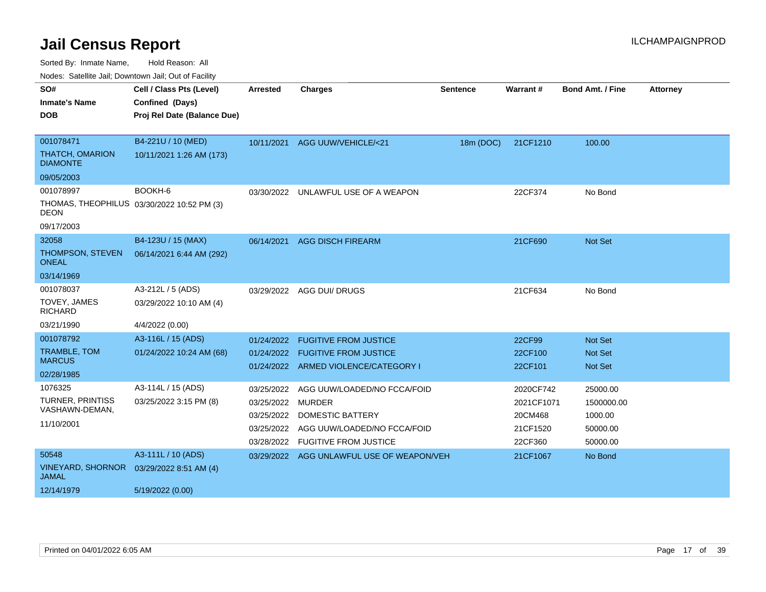Sorted By: Inmate Name, Hold Reason: All

Nodes: Satellite Jail; Downtown Jail; Out of Facility

| SO#<br><b>Inmate's Name</b><br><b>DOB</b>                                     | Cell / Class Pts (Level)<br>Confined (Days)<br>Proj Rel Date (Balance Due) | <b>Arrested</b>                                                           | <b>Charges</b>                                                                                                        | <b>Sentence</b> | Warrant#                                                  | <b>Bond Amt. / Fine</b>                                   | <b>Attorney</b> |
|-------------------------------------------------------------------------------|----------------------------------------------------------------------------|---------------------------------------------------------------------------|-----------------------------------------------------------------------------------------------------------------------|-----------------|-----------------------------------------------------------|-----------------------------------------------------------|-----------------|
| 001078471<br><b>THATCH, OMARION</b><br><b>DIAMONTE</b><br>09/05/2003          | B4-221U / 10 (MED)<br>10/11/2021 1:26 AM (173)                             |                                                                           | 10/11/2021 AGG UUW/VEHICLE/<21                                                                                        | 18m (DOC)       | 21CF1210                                                  | 100.00                                                    |                 |
| 001078997<br>THOMAS, THEOPHILUS 03/30/2022 10:52 PM (3)<br>DEON<br>09/17/2003 | BOOKH-6                                                                    |                                                                           | 03/30/2022 UNLAWFUL USE OF A WEAPON                                                                                   |                 | 22CF374                                                   | No Bond                                                   |                 |
| 32058<br>THOMPSON, STEVEN<br><b>ONEAL</b><br>03/14/1969                       | B4-123U / 15 (MAX)<br>06/14/2021 6:44 AM (292)                             | 06/14/2021                                                                | <b>AGG DISCH FIREARM</b>                                                                                              |                 | 21CF690                                                   | Not Set                                                   |                 |
| 001078037<br>TOVEY, JAMES<br><b>RICHARD</b><br>03/21/1990                     | A3-212L / 5 (ADS)<br>03/29/2022 10:10 AM (4)<br>4/4/2022 (0.00)            |                                                                           | 03/29/2022 AGG DUI/ DRUGS                                                                                             |                 | 21CF634                                                   | No Bond                                                   |                 |
| 001078792<br><b>TRAMBLE, TOM</b><br><b>MARCUS</b><br>02/28/1985               | A3-116L / 15 (ADS)<br>01/24/2022 10:24 AM (68)                             | 01/24/2022<br>01/24/2022                                                  | <b>FUGITIVE FROM JUSTICE</b><br><b>FUGITIVE FROM JUSTICE</b><br>01/24/2022 ARMED VIOLENCE/CATEGORY I                  |                 | 22CF99<br>22CF100<br>22CF101                              | Not Set<br><b>Not Set</b><br><b>Not Set</b>               |                 |
| 1076325<br><b>TURNER, PRINTISS</b><br>VASHAWN-DEMAN,<br>11/10/2001            | A3-114L / 15 (ADS)<br>03/25/2022 3:15 PM (8)                               | 03/25/2022<br>03/25/2022 MURDER<br>03/25/2022<br>03/25/2022<br>03/28/2022 | AGG UUW/LOADED/NO FCCA/FOID<br><b>DOMESTIC BATTERY</b><br>AGG UUW/LOADED/NO FCCA/FOID<br><b>FUGITIVE FROM JUSTICE</b> |                 | 2020CF742<br>2021CF1071<br>20CM468<br>21CF1520<br>22CF360 | 25000.00<br>1500000.00<br>1000.00<br>50000.00<br>50000.00 |                 |
| 50548<br><b>VINEYARD, SHORNOR</b><br><b>JAMAL</b><br>12/14/1979               | A3-111L / 10 (ADS)<br>03/29/2022 8:51 AM (4)<br>5/19/2022 (0.00)           |                                                                           | 03/29/2022 AGG UNLAWFUL USE OF WEAPON/VEH                                                                             |                 | 21CF1067                                                  | No Bond                                                   |                 |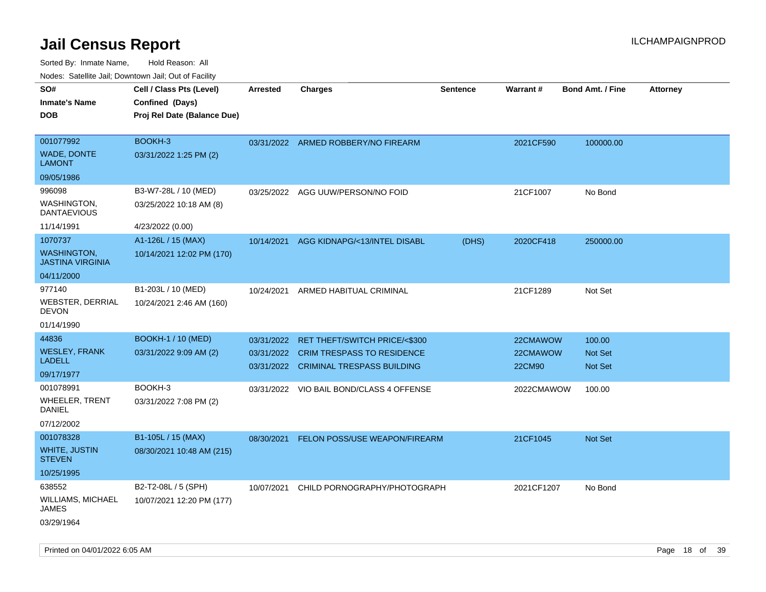| rouco. Calcinic Jan, Downtown Jan, Out of Facility |                             |                 |                                          |                 |                 |                         |                 |
|----------------------------------------------------|-----------------------------|-----------------|------------------------------------------|-----------------|-----------------|-------------------------|-----------------|
| SO#                                                | Cell / Class Pts (Level)    | <b>Arrested</b> | <b>Charges</b>                           | <b>Sentence</b> | <b>Warrant#</b> | <b>Bond Amt. / Fine</b> | <b>Attorney</b> |
| <b>Inmate's Name</b>                               | Confined (Days)             |                 |                                          |                 |                 |                         |                 |
| DOB                                                | Proj Rel Date (Balance Due) |                 |                                          |                 |                 |                         |                 |
|                                                    |                             |                 |                                          |                 |                 |                         |                 |
| 001077992                                          | BOOKH-3                     |                 | 03/31/2022 ARMED ROBBERY/NO FIREARM      |                 | 2021CF590       | 100000.00               |                 |
| <b>WADE, DONTE</b><br>LAMONT                       | 03/31/2022 1:25 PM (2)      |                 |                                          |                 |                 |                         |                 |
| 09/05/1986                                         |                             |                 |                                          |                 |                 |                         |                 |
| 996098                                             | B3-W7-28L / 10 (MED)        |                 | 03/25/2022 AGG UUW/PERSON/NO FOID        |                 | 21CF1007        | No Bond                 |                 |
| WASHINGTON.<br>DANTAEVIOUS                         | 03/25/2022 10:18 AM (8)     |                 |                                          |                 |                 |                         |                 |
| 11/14/1991                                         | 4/23/2022 (0.00)            |                 |                                          |                 |                 |                         |                 |
| 1070737                                            | A1-126L / 15 (MAX)          | 10/14/2021      | AGG KIDNAPG/<13/INTEL DISABL             | (DHS)           | 2020CF418       | 250000.00               |                 |
| <b>WASHINGTON,</b><br>JASTINA VIRGINIA             | 10/14/2021 12:02 PM (170)   |                 |                                          |                 |                 |                         |                 |
| 04/11/2000                                         |                             |                 |                                          |                 |                 |                         |                 |
| 977140                                             | B1-203L / 10 (MED)          | 10/24/2021      | ARMED HABITUAL CRIMINAL                  |                 | 21CF1289        | Not Set                 |                 |
| WEBSTER, DERRIAL<br>DEVON                          | 10/24/2021 2:46 AM (160)    |                 |                                          |                 |                 |                         |                 |
| 01/14/1990                                         |                             |                 |                                          |                 |                 |                         |                 |
| 44836                                              | <b>BOOKH-1 / 10 (MED)</b>   | 03/31/2022      | RET THEFT/SWITCH PRICE/<\$300            |                 | 22CMAWOW        | 100.00                  |                 |
| <b>WESLEY, FRANK</b>                               | 03/31/2022 9:09 AM (2)      | 03/31/2022      | <b>CRIM TRESPASS TO RESIDENCE</b>        |                 | 22CMAWOW        | <b>Not Set</b>          |                 |
| LADELL                                             |                             |                 | 03/31/2022 CRIMINAL TRESPASS BUILDING    |                 | 22CM90          | <b>Not Set</b>          |                 |
| 09/17/1977                                         |                             |                 |                                          |                 |                 |                         |                 |
| 001078991                                          | BOOKH-3                     |                 | 03/31/2022 VIO BAIL BOND/CLASS 4 OFFENSE |                 | 2022CMAWOW      | 100.00                  |                 |
| WHEELER, TRENT<br>DANIEL                           | 03/31/2022 7:08 PM (2)      |                 |                                          |                 |                 |                         |                 |
| 07/12/2002                                         |                             |                 |                                          |                 |                 |                         |                 |
| 001078328                                          | B1-105L / 15 (MAX)          | 08/30/2021      | <b>FELON POSS/USE WEAPON/FIREARM</b>     |                 | 21CF1045        | Not Set                 |                 |
| WHITE, JUSTIN<br>STEVEN                            | 08/30/2021 10:48 AM (215)   |                 |                                          |                 |                 |                         |                 |
| 10/25/1995                                         |                             |                 |                                          |                 |                 |                         |                 |
| 638552                                             | B2-T2-08L / 5 (SPH)         | 10/07/2021      | CHILD PORNOGRAPHY/PHOTOGRAPH             |                 | 2021CF1207      | No Bond                 |                 |
| WILLIAMS, MICHAEL<br>JAMES                         | 10/07/2021 12:20 PM (177)   |                 |                                          |                 |                 |                         |                 |
| 03/29/1964                                         |                             |                 |                                          |                 |                 |                         |                 |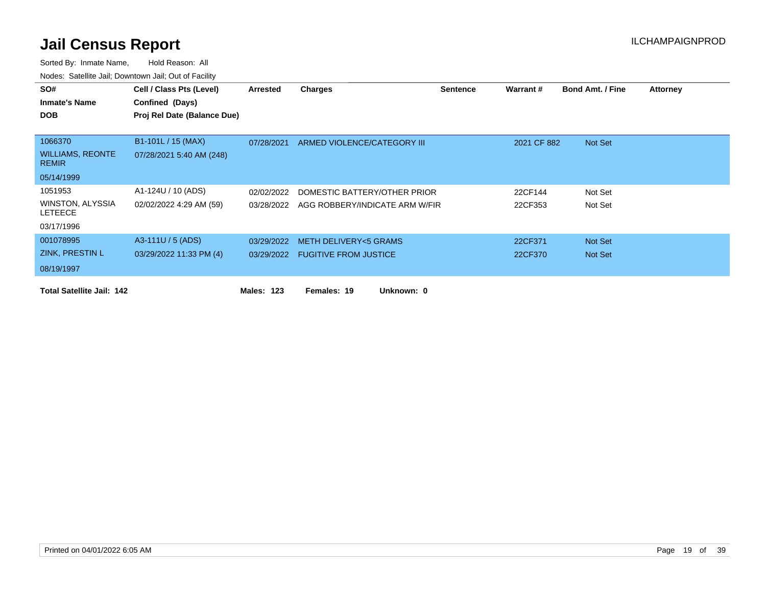| SO#                                     | Cell / Class Pts (Level)    | Arrested          | <b>Charges</b>                  | <b>Sentence</b> | Warrant#    | <b>Bond Amt. / Fine</b> | <b>Attorney</b> |
|-----------------------------------------|-----------------------------|-------------------|---------------------------------|-----------------|-------------|-------------------------|-----------------|
| <b>Inmate's Name</b>                    | Confined (Days)             |                   |                                 |                 |             |                         |                 |
| <b>DOB</b>                              | Proj Rel Date (Balance Due) |                   |                                 |                 |             |                         |                 |
|                                         |                             |                   |                                 |                 |             |                         |                 |
| 1066370                                 | B1-101L / 15 (MAX)          | 07/28/2021        | ARMED VIOLENCE/CATEGORY III     |                 | 2021 CF 882 | Not Set                 |                 |
| <b>WILLIAMS, REONTE</b><br><b>REMIR</b> | 07/28/2021 5:40 AM (248)    |                   |                                 |                 |             |                         |                 |
| 05/14/1999                              |                             |                   |                                 |                 |             |                         |                 |
| 1051953                                 | A1-124U / 10 (ADS)          | 02/02/2022        | DOMESTIC BATTERY/OTHER PRIOR    |                 | 22CF144     | Not Set                 |                 |
| WINSTON, ALYSSIA<br>LETEECE             | 02/02/2022 4:29 AM (59)     | 03/28/2022        | AGG ROBBERY/INDICATE ARM W/FIR  |                 | 22CF353     | Not Set                 |                 |
| 03/17/1996                              |                             |                   |                                 |                 |             |                         |                 |
| 001078995                               | A3-111U / 5 (ADS)           | 03/29/2022        | <b>METH DELIVERY&lt;5 GRAMS</b> |                 | 22CF371     | Not Set                 |                 |
| <b>ZINK, PRESTIN L</b>                  | 03/29/2022 11:33 PM (4)     | 03/29/2022        | <b>FUGITIVE FROM JUSTICE</b>    |                 | 22CF370     | Not Set                 |                 |
| 08/19/1997                              |                             |                   |                                 |                 |             |                         |                 |
| <b>Total Satellite Jail: 142</b>        |                             | <b>Males: 123</b> | Females: 19<br>Unknown: 0       |                 |             |                         |                 |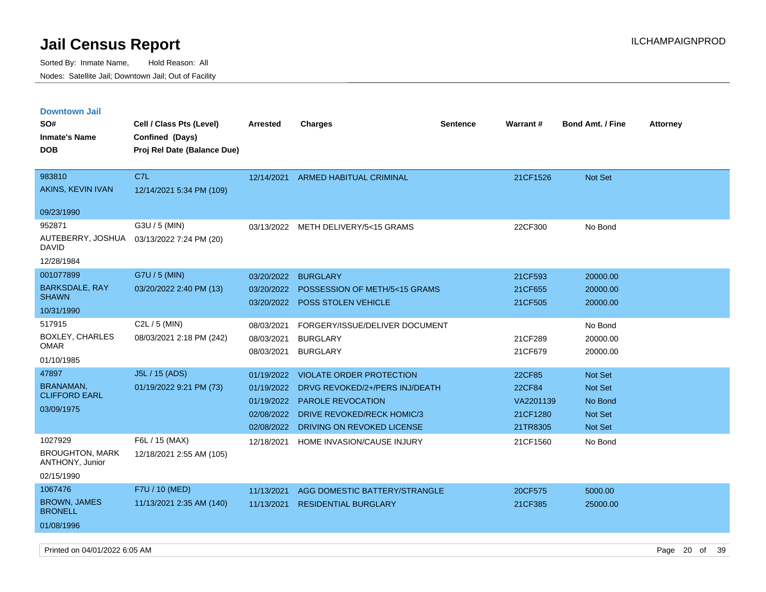| <b>Downtown Jail</b><br>SO#               | Cell / Class Pts (Level)    | <b>Arrested</b> | <b>Charges</b>                      | <b>Sentence</b> | <b>Warrant#</b> | <b>Bond Amt. / Fine</b> | <b>Attorney</b> |
|-------------------------------------------|-----------------------------|-----------------|-------------------------------------|-----------------|-----------------|-------------------------|-----------------|
| <b>Inmate's Name</b>                      | Confined (Days)             |                 |                                     |                 |                 |                         |                 |
| <b>DOB</b>                                | Proj Rel Date (Balance Due) |                 |                                     |                 |                 |                         |                 |
| 983810                                    | C7L                         | 12/14/2021      | <b>ARMED HABITUAL CRIMINAL</b>      |                 | 21CF1526        | Not Set                 |                 |
| AKINS, KEVIN IVAN                         | 12/14/2021 5:34 PM (109)    |                 |                                     |                 |                 |                         |                 |
| 09/23/1990                                |                             |                 |                                     |                 |                 |                         |                 |
| 952871                                    | G3U / 5 (MIN)               |                 | 03/13/2022 METH DELIVERY/5<15 GRAMS |                 | 22CF300         | No Bond                 |                 |
| AUTEBERRY, JOSHUA<br>David                | 03/13/2022 7:24 PM (20)     |                 |                                     |                 |                 |                         |                 |
| 12/28/1984                                |                             |                 |                                     |                 |                 |                         |                 |
| 001077899                                 | G7U / 5 (MIN)               | 03/20/2022      | <b>BURGLARY</b>                     |                 | 21CF593         | 20000.00                |                 |
| <b>BARKSDALE, RAY</b><br><b>SHAWN</b>     | 03/20/2022 2:40 PM (13)     | 03/20/2022      | POSSESSION OF METH/5<15 GRAMS       |                 | 21CF655         | 20000.00                |                 |
| 10/31/1990                                |                             | 03/20/2022      | POSS STOLEN VEHICLE                 |                 | 21CF505         | 20000.00                |                 |
| 517915                                    | C2L / 5 (MIN)               | 08/03/2021      | FORGERY/ISSUE/DELIVER DOCUMENT      |                 |                 | No Bond                 |                 |
| <b>BOXLEY, CHARLES</b><br><b>OMAR</b>     | 08/03/2021 2:18 PM (242)    | 08/03/2021      | <b>BURGLARY</b>                     |                 | 21CF289         | 20000.00                |                 |
| 01/10/1985                                |                             | 08/03/2021      | <b>BURGLARY</b>                     |                 | 21CF679         | 20000.00                |                 |
| 47897                                     | J5L / 15 (ADS)              | 01/19/2022      | <b>VIOLATE ORDER PROTECTION</b>     |                 | 22CF85          | Not Set                 |                 |
| BRANAMAN,                                 | 01/19/2022 9:21 PM (73)     | 01/19/2022      | DRVG REVOKED/2+/PERS INJ/DEATH      |                 | 22CF84          | <b>Not Set</b>          |                 |
| <b>CLIFFORD EARL</b>                      |                             | 01/19/2022      | <b>PAROLE REVOCATION</b>            |                 | VA2201139       | No Bond                 |                 |
| 03/09/1975                                |                             | 02/08/2022      | DRIVE REVOKED/RECK HOMIC/3          |                 | 21CF1280        | <b>Not Set</b>          |                 |
|                                           |                             | 02/08/2022      | DRIVING ON REVOKED LICENSE          |                 | 21TR8305        | Not Set                 |                 |
| 1027929                                   | F6L / 15 (MAX)              | 12/18/2021      | HOME INVASION/CAUSE INJURY          |                 | 21CF1560        | No Bond                 |                 |
| <b>BROUGHTON, MARK</b><br>ANTHONY, Junior | 12/18/2021 2:55 AM (105)    |                 |                                     |                 |                 |                         |                 |
| 02/15/1990                                |                             |                 |                                     |                 |                 |                         |                 |
| 1067476                                   | F7U / 10 (MED)              | 11/13/2021      | AGG DOMESTIC BATTERY/STRANGLE       |                 | 20CF575         | 5000.00                 |                 |
| <b>BROWN, JAMES</b><br><b>BRONELL</b>     | 11/13/2021 2:35 AM (140)    | 11/13/2021      | <b>RESIDENTIAL BURGLARY</b>         |                 | 21CF385         | 25000.00                |                 |
| 01/08/1996                                |                             |                 |                                     |                 |                 |                         |                 |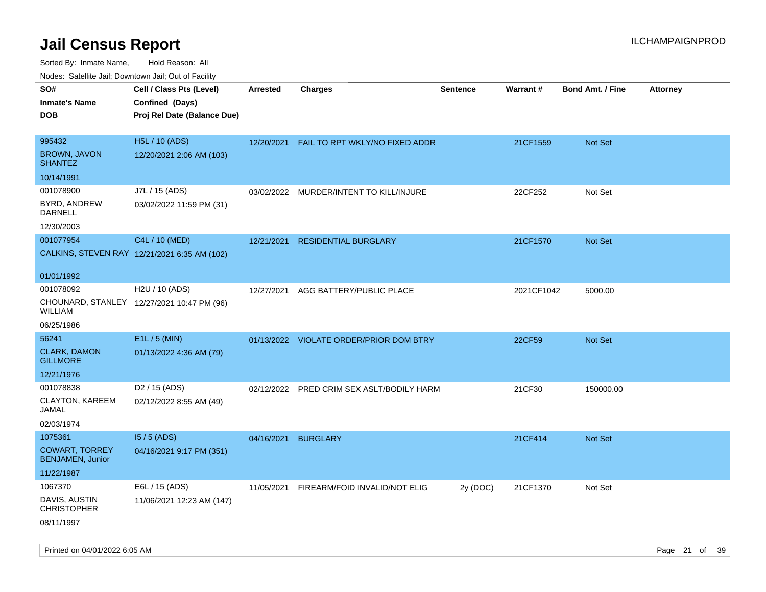| rouco. Calcillo Jali, Downtown Jali, Out of Facility |                                                                            |                 |                                         |                 |            |                         |                 |
|------------------------------------------------------|----------------------------------------------------------------------------|-----------------|-----------------------------------------|-----------------|------------|-------------------------|-----------------|
| SO#<br>Inmate's Name<br><b>DOB</b>                   | Cell / Class Pts (Level)<br>Confined (Days)<br>Proj Rel Date (Balance Due) | <b>Arrested</b> | <b>Charges</b>                          | <b>Sentence</b> | Warrant#   | <b>Bond Amt. / Fine</b> | <b>Attorney</b> |
|                                                      |                                                                            |                 |                                         |                 |            |                         |                 |
| 995432                                               | H5L / 10 (ADS)                                                             | 12/20/2021      | FAIL TO RPT WKLY/NO FIXED ADDR          |                 | 21CF1559   | Not Set                 |                 |
| <b>BROWN, JAVON</b><br><b>SHANTEZ</b>                | 12/20/2021 2:06 AM (103)                                                   |                 |                                         |                 |            |                         |                 |
| 10/14/1991                                           |                                                                            |                 |                                         |                 |            |                         |                 |
| 001078900                                            | J7L / 15 (ADS)                                                             |                 | 03/02/2022 MURDER/INTENT TO KILL/INJURE |                 | 22CF252    | Not Set                 |                 |
| BYRD, ANDREW<br>DARNELL                              | 03/02/2022 11:59 PM (31)                                                   |                 |                                         |                 |            |                         |                 |
| 12/30/2003                                           |                                                                            |                 |                                         |                 |            |                         |                 |
| 001077954                                            | C4L / 10 (MED)                                                             | 12/21/2021      | <b>RESIDENTIAL BURGLARY</b>             |                 | 21CF1570   | <b>Not Set</b>          |                 |
|                                                      | CALKINS, STEVEN RAY 12/21/2021 6:35 AM (102)                               |                 |                                         |                 |            |                         |                 |
| 01/01/1992                                           |                                                                            |                 |                                         |                 |            |                         |                 |
| 001078092                                            | H2U / 10 (ADS)                                                             | 12/27/2021      | AGG BATTERY/PUBLIC PLACE                |                 | 2021CF1042 | 5000.00                 |                 |
| WILLIAM                                              | CHOUNARD, STANLEY 12/27/2021 10:47 PM (96)                                 |                 |                                         |                 |            |                         |                 |
| 06/25/1986                                           |                                                                            |                 |                                         |                 |            |                         |                 |
| 56241                                                | E1L / 5 (MIN)                                                              |                 | 01/13/2022 VIOLATE ORDER/PRIOR DOM BTRY |                 | 22CF59     | Not Set                 |                 |
| <b>CLARK, DAMON</b><br><b>GILLMORE</b>               | 01/13/2022 4:36 AM (79)                                                    |                 |                                         |                 |            |                         |                 |
| 12/21/1976                                           |                                                                            |                 |                                         |                 |            |                         |                 |
| 001078838                                            | D <sub>2</sub> / 15 (ADS)                                                  | 02/12/2022      | PRED CRIM SEX ASLT/BODILY HARM          |                 | 21CF30     | 150000.00               |                 |
| CLAYTON, KAREEM<br>JAMAL                             | 02/12/2022 8:55 AM (49)                                                    |                 |                                         |                 |            |                         |                 |
| 02/03/1974                                           |                                                                            |                 |                                         |                 |            |                         |                 |
| 1075361                                              | $15/5$ (ADS)                                                               | 04/16/2021      | <b>BURGLARY</b>                         |                 | 21CF414    | <b>Not Set</b>          |                 |
| <b>COWART, TORREY</b><br><b>BENJAMEN, Junior</b>     | 04/16/2021 9:17 PM (351)                                                   |                 |                                         |                 |            |                         |                 |
| 11/22/1987                                           |                                                                            |                 |                                         |                 |            |                         |                 |
| 1067370                                              | E6L / 15 (ADS)                                                             | 11/05/2021      | FIREARM/FOID INVALID/NOT ELIG           | 2y (DOC)        | 21CF1370   | Not Set                 |                 |
| DAVIS, AUSTIN<br><b>CHRISTOPHER</b>                  | 11/06/2021 12:23 AM (147)                                                  |                 |                                         |                 |            |                         |                 |
| 08/11/1997                                           |                                                                            |                 |                                         |                 |            |                         |                 |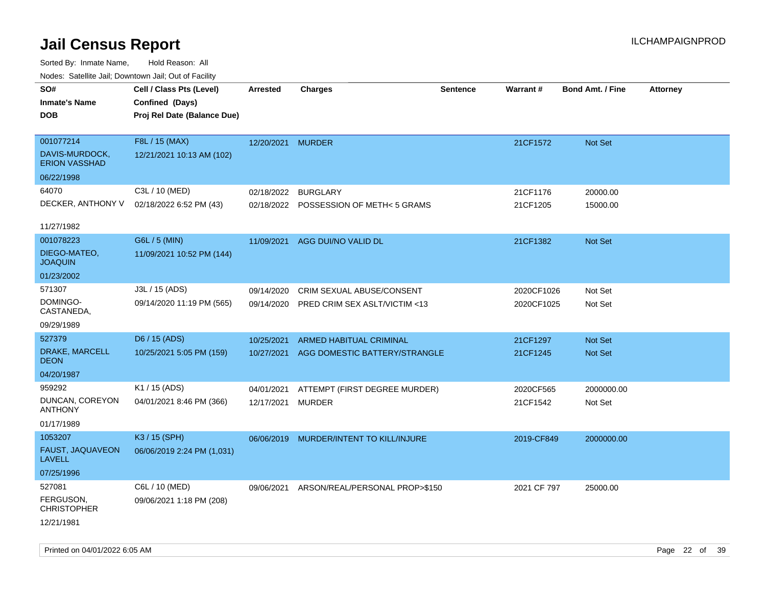| vouco. Catolino cali, Downtown cali, Out of Facility |                             |            |                                        |                 |             |                         |                 |
|------------------------------------------------------|-----------------------------|------------|----------------------------------------|-----------------|-------------|-------------------------|-----------------|
| SO#                                                  | Cell / Class Pts (Level)    | Arrested   | <b>Charges</b>                         | <b>Sentence</b> | Warrant#    | <b>Bond Amt. / Fine</b> | <b>Attorney</b> |
| <b>Inmate's Name</b>                                 | Confined (Days)             |            |                                        |                 |             |                         |                 |
| <b>DOB</b>                                           | Proj Rel Date (Balance Due) |            |                                        |                 |             |                         |                 |
|                                                      |                             |            |                                        |                 |             |                         |                 |
| 001077214                                            | F8L / 15 (MAX)              | 12/20/2021 | <b>MURDER</b>                          |                 | 21CF1572    | Not Set                 |                 |
| DAVIS-MURDOCK,<br><b>ERION VASSHAD</b>               | 12/21/2021 10:13 AM (102)   |            |                                        |                 |             |                         |                 |
| 06/22/1998                                           |                             |            |                                        |                 |             |                         |                 |
| 64070                                                | C3L / 10 (MED)              | 02/18/2022 | <b>BURGLARY</b>                        |                 | 21CF1176    | 20000.00                |                 |
| DECKER, ANTHONY V                                    | 02/18/2022 6:52 PM (43)     |            | 02/18/2022 POSSESSION OF METH< 5 GRAMS |                 | 21CF1205    | 15000.00                |                 |
|                                                      |                             |            |                                        |                 |             |                         |                 |
| 11/27/1982                                           |                             |            |                                        |                 |             |                         |                 |
| 001078223                                            | G6L / 5 (MIN)               | 11/09/2021 | AGG DUI/NO VALID DL                    |                 | 21CF1382    | <b>Not Set</b>          |                 |
| DIEGO-MATEO,<br><b>JOAQUIN</b>                       | 11/09/2021 10:52 PM (144)   |            |                                        |                 |             |                         |                 |
| 01/23/2002                                           |                             |            |                                        |                 |             |                         |                 |
| 571307                                               | J3L / 15 (ADS)              | 09/14/2020 | CRIM SEXUAL ABUSE/CONSENT              |                 | 2020CF1026  | Not Set                 |                 |
| DOMINGO-<br>CASTANEDA,                               | 09/14/2020 11:19 PM (565)   | 09/14/2020 | PRED CRIM SEX ASLT/VICTIM <13          |                 | 2020CF1025  | Not Set                 |                 |
| 09/29/1989                                           |                             |            |                                        |                 |             |                         |                 |
| 527379                                               | D6 / 15 (ADS)               | 10/25/2021 | <b>ARMED HABITUAL CRIMINAL</b>         |                 | 21CF1297    | <b>Not Set</b>          |                 |
| DRAKE, MARCELL<br>DEON                               | 10/25/2021 5:05 PM (159)    | 10/27/2021 | AGG DOMESTIC BATTERY/STRANGLE          |                 | 21CF1245    | <b>Not Set</b>          |                 |
| 04/20/1987                                           |                             |            |                                        |                 |             |                         |                 |
| 959292                                               | K1 / 15 (ADS)               | 04/01/2021 | ATTEMPT (FIRST DEGREE MURDER)          |                 | 2020CF565   | 2000000.00              |                 |
| DUNCAN, COREYON<br><b>ANTHONY</b>                    | 04/01/2021 8:46 PM (366)    | 12/17/2021 | <b>MURDER</b>                          |                 | 21CF1542    | Not Set                 |                 |
| 01/17/1989                                           |                             |            |                                        |                 |             |                         |                 |
| 1053207                                              | K3 / 15 (SPH)               | 06/06/2019 | MURDER/INTENT TO KILL/INJURE           |                 | 2019-CF849  | 2000000.00              |                 |
| FAUST, JAQUAVEON<br><b>LAVELL</b>                    | 06/06/2019 2:24 PM (1,031)  |            |                                        |                 |             |                         |                 |
| 07/25/1996                                           |                             |            |                                        |                 |             |                         |                 |
| 527081                                               | C6L / 10 (MED)              | 09/06/2021 | ARSON/REAL/PERSONAL PROP>\$150         |                 | 2021 CF 797 | 25000.00                |                 |
| FERGUSON,<br><b>CHRISTOPHER</b>                      | 09/06/2021 1:18 PM (208)    |            |                                        |                 |             |                         |                 |
| 12/21/1981                                           |                             |            |                                        |                 |             |                         |                 |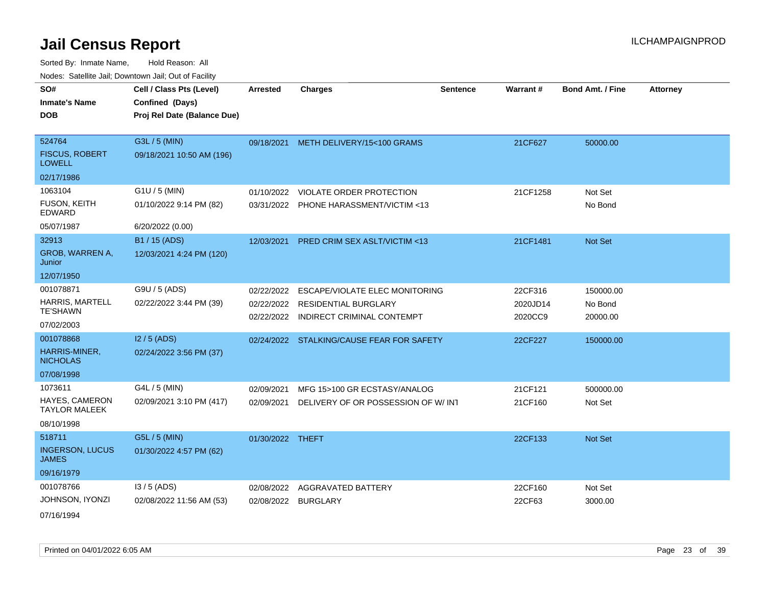| roaco. Catolino cali, Downtown cali, Out of Fability |                             |                  |                                           |                 |          |                         |                 |
|------------------------------------------------------|-----------------------------|------------------|-------------------------------------------|-----------------|----------|-------------------------|-----------------|
| SO#                                                  | Cell / Class Pts (Level)    | <b>Arrested</b>  | <b>Charges</b>                            | <b>Sentence</b> | Warrant# | <b>Bond Amt. / Fine</b> | <b>Attorney</b> |
| <b>Inmate's Name</b>                                 | Confined (Days)             |                  |                                           |                 |          |                         |                 |
| <b>DOB</b>                                           | Proj Rel Date (Balance Due) |                  |                                           |                 |          |                         |                 |
|                                                      |                             |                  |                                           |                 |          |                         |                 |
| 524764                                               | G3L / 5 (MIN)               |                  | 09/18/2021 METH DELIVERY/15<100 GRAMS     |                 | 21CF627  | 50000.00                |                 |
| <b>FISCUS, ROBERT</b><br><b>LOWELL</b>               | 09/18/2021 10:50 AM (196)   |                  |                                           |                 |          |                         |                 |
| 02/17/1986                                           |                             |                  |                                           |                 |          |                         |                 |
| 1063104                                              | G1U / 5 (MIN)               | 01/10/2022       | VIOLATE ORDER PROTECTION                  |                 | 21CF1258 | Not Set                 |                 |
| FUSON, KEITH<br>EDWARD                               | 01/10/2022 9:14 PM (82)     |                  | 03/31/2022 PHONE HARASSMENT/VICTIM <13    |                 |          | No Bond                 |                 |
| 05/07/1987                                           | 6/20/2022 (0.00)            |                  |                                           |                 |          |                         |                 |
| 32913                                                | B1 / 15 (ADS)               | 12/03/2021       | PRED CRIM SEX ASLT/VICTIM <13             |                 | 21CF1481 | Not Set                 |                 |
| GROB, WARREN A,<br>Junior                            | 12/03/2021 4:24 PM (120)    |                  |                                           |                 |          |                         |                 |
| 12/07/1950                                           |                             |                  |                                           |                 |          |                         |                 |
| 001078871                                            | G9U / 5 (ADS)               | 02/22/2022       | ESCAPE/VIOLATE ELEC MONITORING            |                 | 22CF316  | 150000.00               |                 |
| <b>HARRIS, MARTELL</b>                               | 02/22/2022 3:44 PM (39)     | 02/22/2022       | RESIDENTIAL BURGLARY                      |                 | 2020JD14 | No Bond                 |                 |
| <b>TE'SHAWN</b>                                      |                             | 02/22/2022       | INDIRECT CRIMINAL CONTEMPT                |                 | 2020CC9  | 20000.00                |                 |
| 07/02/2003                                           |                             |                  |                                           |                 |          |                         |                 |
| 001078868                                            | $12/5$ (ADS)                |                  | 02/24/2022 STALKING/CAUSE FEAR FOR SAFETY |                 | 22CF227  | 150000.00               |                 |
| HARRIS-MINER,<br><b>NICHOLAS</b>                     | 02/24/2022 3:56 PM (37)     |                  |                                           |                 |          |                         |                 |
| 07/08/1998                                           |                             |                  |                                           |                 |          |                         |                 |
| 1073611                                              | G4L / 5 (MIN)               | 02/09/2021       | MFG 15>100 GR ECSTASY/ANALOG              |                 | 21CF121  | 500000.00               |                 |
| <b>HAYES, CAMERON</b><br><b>TAYLOR MALEEK</b>        | 02/09/2021 3:10 PM (417)    | 02/09/2021       | DELIVERY OF OR POSSESSION OF W/INT        |                 | 21CF160  | Not Set                 |                 |
| 08/10/1998                                           |                             |                  |                                           |                 |          |                         |                 |
| 518711                                               | G5L / 5 (MIN)               | 01/30/2022 THEFT |                                           |                 | 22CF133  | Not Set                 |                 |
| <b>INGERSON, LUCUS</b><br><b>JAMES</b>               | 01/30/2022 4:57 PM (62)     |                  |                                           |                 |          |                         |                 |
| 09/16/1979                                           |                             |                  |                                           |                 |          |                         |                 |
| 001078766                                            | $13/5$ (ADS)                | 02/08/2022       | <b>AGGRAVATED BATTERY</b>                 |                 | 22CF160  | Not Set                 |                 |
| JOHNSON, IYONZI                                      | 02/08/2022 11:56 AM (53)    |                  | 02/08/2022 BURGLARY                       |                 | 22CF63   | 3000.00                 |                 |
| 07/16/1994                                           |                             |                  |                                           |                 |          |                         |                 |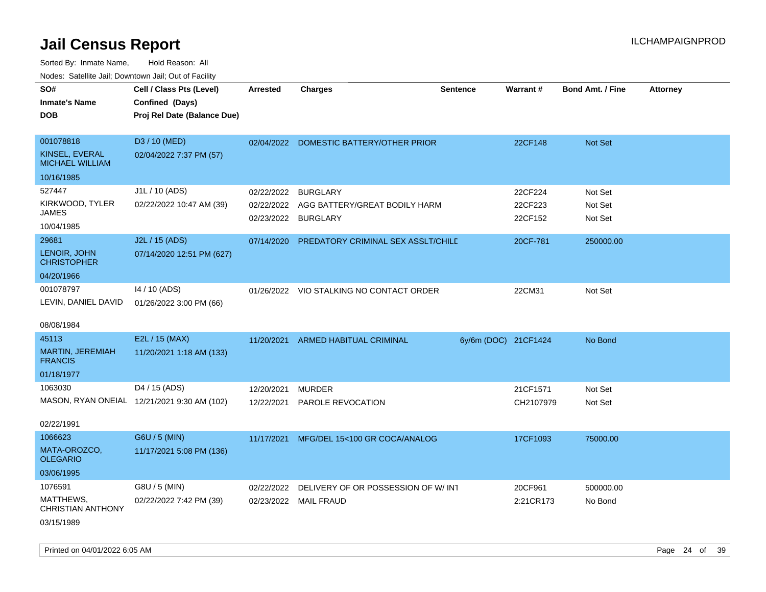Sorted By: Inmate Name, Hold Reason: All

| Nodes: Satellite Jail; Downtown Jail; Out of Facility |                                             |                 |                                           |                      |           |                         |                 |
|-------------------------------------------------------|---------------------------------------------|-----------------|-------------------------------------------|----------------------|-----------|-------------------------|-----------------|
| SO#                                                   | Cell / Class Pts (Level)                    | <b>Arrested</b> | <b>Charges</b>                            | <b>Sentence</b>      | Warrant#  | <b>Bond Amt. / Fine</b> | <b>Attorney</b> |
| <b>Inmate's Name</b>                                  | Confined (Days)                             |                 |                                           |                      |           |                         |                 |
| <b>DOB</b>                                            | Proj Rel Date (Balance Due)                 |                 |                                           |                      |           |                         |                 |
|                                                       |                                             |                 |                                           |                      |           |                         |                 |
| 001078818                                             | D3 / 10 (MED)                               |                 | 02/04/2022 DOMESTIC BATTERY/OTHER PRIOR   |                      | 22CF148   | Not Set                 |                 |
| KINSEL, EVERAL<br><b>MICHAEL WILLIAM</b>              | 02/04/2022 7:37 PM (57)                     |                 |                                           |                      |           |                         |                 |
| 10/16/1985                                            |                                             |                 |                                           |                      |           |                         |                 |
| 527447                                                | J1L / 10 (ADS)                              | 02/22/2022      | <b>BURGLARY</b>                           |                      | 22CF224   | Not Set                 |                 |
| KIRKWOOD, TYLER                                       | 02/22/2022 10:47 AM (39)                    |                 | 02/22/2022 AGG BATTERY/GREAT BODILY HARM  |                      | 22CF223   | Not Set                 |                 |
| <b>JAMES</b>                                          |                                             |                 | 02/23/2022 BURGLARY                       |                      | 22CF152   | Not Set                 |                 |
| 10/04/1985                                            |                                             |                 |                                           |                      |           |                         |                 |
| 29681                                                 | J2L / 15 (ADS)                              | 07/14/2020      | <b>PREDATORY CRIMINAL SEX ASSLT/CHILE</b> |                      | 20CF-781  | 250000.00               |                 |
| LENOIR, JOHN<br><b>CHRISTOPHER</b>                    | 07/14/2020 12:51 PM (627)                   |                 |                                           |                      |           |                         |                 |
| 04/20/1966                                            |                                             |                 |                                           |                      |           |                         |                 |
| 001078797                                             | 14 / 10 (ADS)                               |                 | 01/26/2022 VIO STALKING NO CONTACT ORDER  |                      | 22CM31    | Not Set                 |                 |
| LEVIN, DANIEL DAVID                                   | 01/26/2022 3:00 PM (66)                     |                 |                                           |                      |           |                         |                 |
|                                                       |                                             |                 |                                           |                      |           |                         |                 |
| 08/08/1984                                            |                                             |                 |                                           |                      |           |                         |                 |
| 45113                                                 | E2L / 15 (MAX)                              |                 | 11/20/2021 ARMED HABITUAL CRIMINAL        | 6y/6m (DOC) 21CF1424 |           | No Bond                 |                 |
| MARTIN, JEREMIAH<br><b>FRANCIS</b>                    | 11/20/2021 1:18 AM (133)                    |                 |                                           |                      |           |                         |                 |
| 01/18/1977                                            |                                             |                 |                                           |                      |           |                         |                 |
| 1063030                                               | D4 / 15 (ADS)                               |                 |                                           |                      |           |                         |                 |
|                                                       |                                             | 12/20/2021      | MURDER                                    |                      | 21CF1571  | Not Set                 |                 |
|                                                       | MASON, RYAN ONEIAL 12/21/2021 9:30 AM (102) |                 | 12/22/2021 PAROLE REVOCATION              |                      | CH2107979 | Not Set                 |                 |
| 02/22/1991                                            |                                             |                 |                                           |                      |           |                         |                 |
| 1066623                                               | G6U / 5 (MIN)                               | 11/17/2021      | MFG/DEL 15<100 GR COCA/ANALOG             |                      | 17CF1093  | 75000.00                |                 |
| MATA-OROZCO,<br><b>OLEGARIO</b>                       | 11/17/2021 5:08 PM (136)                    |                 |                                           |                      |           |                         |                 |
| 03/06/1995                                            |                                             |                 |                                           |                      |           |                         |                 |
| 1076591                                               | G8U / 5 (MIN)                               | 02/22/2022      | DELIVERY OF OR POSSESSION OF W/INT        |                      | 20CF961   | 500000.00               |                 |
| MATTHEWS,<br>CHRISTIAN ANTHONY                        | 02/22/2022 7:42 PM (39)                     |                 | 02/23/2022 MAIL FRAUD                     |                      | 2:21CR173 | No Bond                 |                 |
| 03/15/1989                                            |                                             |                 |                                           |                      |           |                         |                 |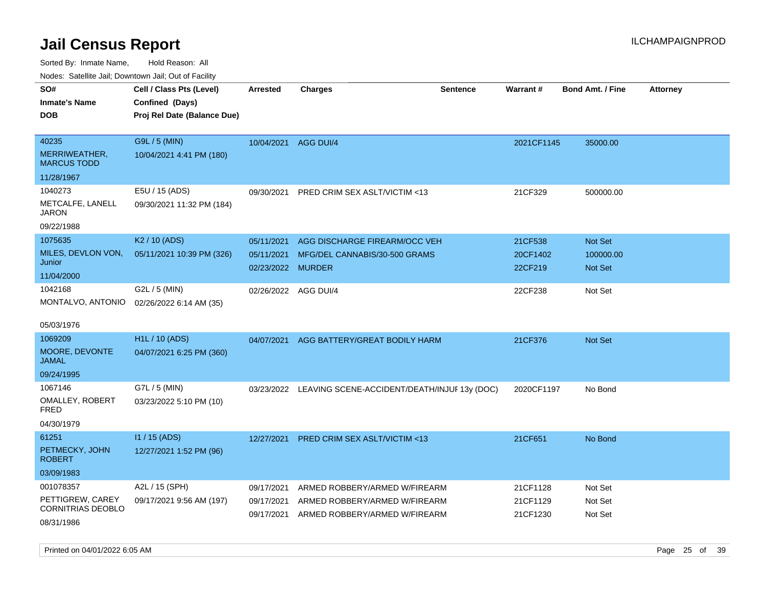Sorted By: Inmate Name, Hold Reason: All

Nodes: Satellite Jail; Downtown Jail; Out of Facility

| SO#<br><b>Inmate's Name</b><br><b>DOB</b>                 | Cell / Class Pts (Level)<br>Confined (Days)<br>Proj Rel Date (Balance Due) | <b>Arrested</b>                 | <b>Charges</b>                                                 | <b>Sentence</b> | Warrant#             | <b>Bond Amt. / Fine</b> | <b>Attorney</b> |
|-----------------------------------------------------------|----------------------------------------------------------------------------|---------------------------------|----------------------------------------------------------------|-----------------|----------------------|-------------------------|-----------------|
| 40235<br>MERRIWEATHER,<br><b>MARCUS TODD</b>              | G9L / 5 (MIN)<br>10/04/2021 4:41 PM (180)                                  | 10/04/2021                      | AGG DUI/4                                                      |                 | 2021CF1145           | 35000.00                |                 |
| 11/28/1967                                                |                                                                            |                                 |                                                                |                 |                      |                         |                 |
| 1040273<br>METCALFE, LANELL<br><b>JARON</b><br>09/22/1988 | E5U / 15 (ADS)<br>09/30/2021 11:32 PM (184)                                | 09/30/2021                      | PRED CRIM SEX ASLT/VICTIM <13                                  |                 | 21CF329              | 500000.00               |                 |
| 1075635                                                   | K <sub>2</sub> / 10 (ADS)                                                  | 05/11/2021                      | AGG DISCHARGE FIREARM/OCC VEH                                  |                 | 21CF538              | Not Set                 |                 |
| MILES, DEVLON VON,<br>Junior<br>11/04/2000                | 05/11/2021 10:39 PM (326)                                                  | 05/11/2021<br>02/23/2022 MURDER | MFG/DEL CANNABIS/30-500 GRAMS                                  |                 | 20CF1402<br>22CF219  | 100000.00<br>Not Set    |                 |
| 1042168<br>MONTALVO, ANTONIO<br>05/03/1976                | G2L / 5 (MIN)<br>02/26/2022 6:14 AM (35)                                   | 02/26/2022 AGG DUI/4            |                                                                |                 | 22CF238              | Not Set                 |                 |
| 1069209                                                   | <b>H1L / 10 (ADS)</b>                                                      | 04/07/2021                      | AGG BATTERY/GREAT BODILY HARM                                  |                 | 21CF376              | Not Set                 |                 |
| MOORE, DEVONTE<br><b>JAMAL</b>                            | 04/07/2021 6:25 PM (360)                                                   |                                 |                                                                |                 |                      |                         |                 |
| 09/24/1995                                                |                                                                            |                                 |                                                                |                 |                      |                         |                 |
| 1067146<br>OMALLEY, ROBERT<br>FRED<br>04/30/1979          | G7L / 5 (MIN)<br>03/23/2022 5:10 PM (10)                                   | 03/23/2022                      | LEAVING SCENE-ACCIDENT/DEATH/INJUF 13y (DOC)                   |                 | 2020CF1197           | No Bond                 |                 |
| 61251<br>PETMECKY, JOHN<br><b>ROBERT</b><br>03/09/1983    | $11/15$ (ADS)<br>12/27/2021 1:52 PM (96)                                   | 12/27/2021                      | <b>PRED CRIM SEX ASLT/VICTIM &lt;13</b>                        |                 | 21CF651              | No Bond                 |                 |
| 001078357                                                 | A2L / 15 (SPH)                                                             | 09/17/2021                      | ARMED ROBBERY/ARMED W/FIREARM                                  |                 | 21CF1128             | Not Set                 |                 |
| PETTIGREW, CAREY<br>CORNITRIAS DEOBLO<br>08/31/1986       | 09/17/2021 9:56 AM (197)                                                   | 09/17/2021<br>09/17/2021        | ARMED ROBBERY/ARMED W/FIREARM<br>ARMED ROBBERY/ARMED W/FIREARM |                 | 21CF1129<br>21CF1230 | Not Set<br>Not Set      |                 |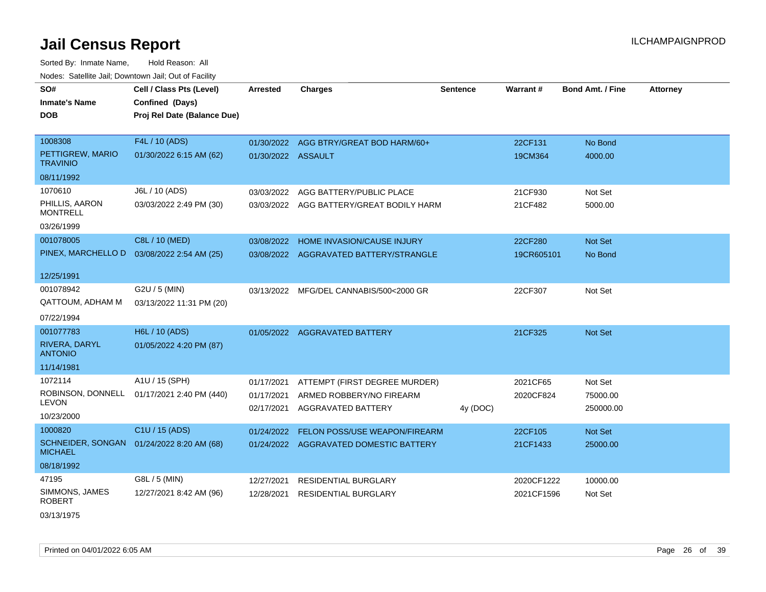Sorted By: Inmate Name, Hold Reason: All Nodes: Satellite Jail; Downtown Jail; Out of Facility

| SO#<br><b>Inmate's Name</b><br><b>DOB</b> | Cell / Class Pts (Level)<br>Confined (Days)<br>Proj Rel Date (Balance Due) | <b>Arrested</b>    | <b>Charges</b>                           | <b>Sentence</b> | Warrant#   | Bond Amt. / Fine | <b>Attorney</b> |
|-------------------------------------------|----------------------------------------------------------------------------|--------------------|------------------------------------------|-----------------|------------|------------------|-----------------|
|                                           |                                                                            |                    |                                          |                 |            |                  |                 |
| 1008308                                   | F4L / 10 (ADS)                                                             |                    | 01/30/2022 AGG BTRY/GREAT BOD HARM/60+   |                 | 22CF131    | No Bond          |                 |
| PETTIGREW, MARIO<br><b>TRAVINIO</b>       | 01/30/2022 6:15 AM (62)                                                    | 01/30/2022 ASSAULT |                                          |                 | 19CM364    | 4000.00          |                 |
| 08/11/1992                                |                                                                            |                    |                                          |                 |            |                  |                 |
| 1070610                                   | J6L / 10 (ADS)                                                             | 03/03/2022         | AGG BATTERY/PUBLIC PLACE                 |                 | 21CF930    | Not Set          |                 |
| PHILLIS, AARON<br><b>MONTRELL</b>         | 03/03/2022 2:49 PM (30)                                                    |                    | 03/03/2022 AGG BATTERY/GREAT BODILY HARM |                 | 21CF482    | 5000.00          |                 |
| 03/26/1999                                |                                                                            |                    |                                          |                 |            |                  |                 |
| 001078005                                 | C8L / 10 (MED)                                                             | 03/08/2022         | HOME INVASION/CAUSE INJURY               |                 | 22CF280    | Not Set          |                 |
| PINEX, MARCHELLO D                        | 03/08/2022 2:54 AM (25)                                                    |                    | 03/08/2022 AGGRAVATED BATTERY/STRANGLE   |                 | 19CR605101 | No Bond          |                 |
| 12/25/1991                                |                                                                            |                    |                                          |                 |            |                  |                 |
| 001078942                                 | G2U / 5 (MIN)                                                              |                    | 03/13/2022 MFG/DEL CANNABIS/500<2000 GR  |                 | 22CF307    | Not Set          |                 |
| <b>QATTOUM, ADHAM M</b>                   | 03/13/2022 11:31 PM (20)                                                   |                    |                                          |                 |            |                  |                 |
| 07/22/1994                                |                                                                            |                    |                                          |                 |            |                  |                 |
| 001077783                                 | H6L / 10 (ADS)                                                             |                    | 01/05/2022 AGGRAVATED BATTERY            |                 | 21CF325    | Not Set          |                 |
| RIVERA, DARYL<br><b>ANTONIO</b>           | 01/05/2022 4:20 PM (87)                                                    |                    |                                          |                 |            |                  |                 |
| 11/14/1981                                |                                                                            |                    |                                          |                 |            |                  |                 |
| 1072114                                   | A1U / 15 (SPH)                                                             | 01/17/2021         | ATTEMPT (FIRST DEGREE MURDER)            |                 | 2021CF65   | Not Set          |                 |
| ROBINSON, DONNELL                         | 01/17/2021 2:40 PM (440)                                                   | 01/17/2021         | ARMED ROBBERY/NO FIREARM                 |                 | 2020CF824  | 75000.00         |                 |
| <b>LEVON</b>                              |                                                                            | 02/17/2021         | AGGRAVATED BATTERY                       | 4y (DOC)        |            | 250000.00        |                 |
| 10/23/2000                                |                                                                            |                    |                                          |                 |            |                  |                 |
| 1000820                                   | C1U / 15 (ADS)                                                             | 01/24/2022         | FELON POSS/USE WEAPON/FIREARM            |                 | 22CF105    | Not Set          |                 |
| <b>MICHAEL</b>                            | SCHNEIDER, SONGAN 01/24/2022 8:20 AM (68)                                  |                    | 01/24/2022 AGGRAVATED DOMESTIC BATTERY   |                 | 21CF1433   | 25000.00         |                 |
| 08/18/1992                                |                                                                            |                    |                                          |                 |            |                  |                 |
| 47195                                     | G8L / 5 (MIN)                                                              | 12/27/2021         | <b>RESIDENTIAL BURGLARY</b>              |                 | 2020CF1222 | 10000.00         |                 |
| SIMMONS, JAMES<br><b>ROBERT</b>           | 12/27/2021 8:42 AM (96)                                                    | 12/28/2021         | <b>RESIDENTIAL BURGLARY</b>              |                 | 2021CF1596 | Not Set          |                 |

03/13/1975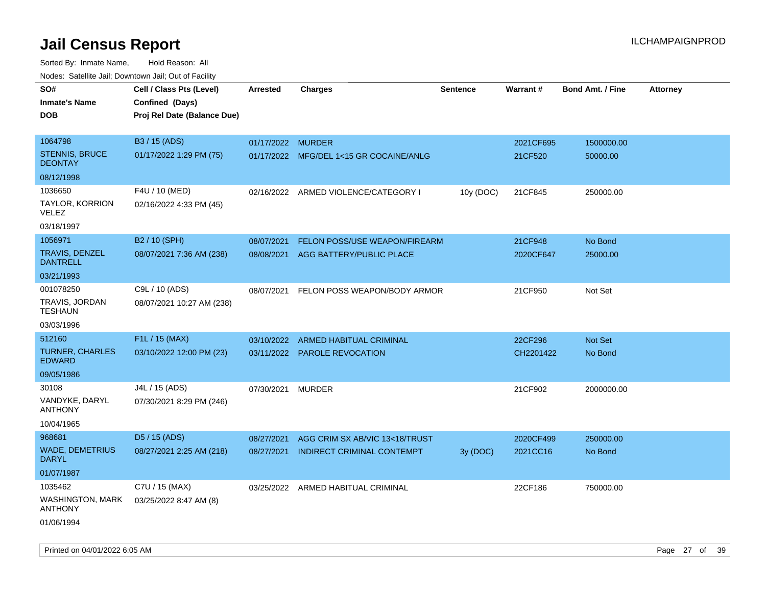| rougs. Calcing Jan, Downtown Jan, Out of Facility |                             |                   |                                         |                 |           |                         |                 |
|---------------------------------------------------|-----------------------------|-------------------|-----------------------------------------|-----------------|-----------|-------------------------|-----------------|
| SO#                                               | Cell / Class Pts (Level)    | <b>Arrested</b>   | <b>Charges</b>                          | <b>Sentence</b> | Warrant#  | <b>Bond Amt. / Fine</b> | <b>Attorney</b> |
| <b>Inmate's Name</b>                              | Confined (Days)             |                   |                                         |                 |           |                         |                 |
| <b>DOB</b>                                        | Proj Rel Date (Balance Due) |                   |                                         |                 |           |                         |                 |
|                                                   |                             |                   |                                         |                 |           |                         |                 |
| 1064798                                           | B3 / 15 (ADS)               | 01/17/2022 MURDER |                                         |                 | 2021CF695 | 1500000.00              |                 |
| STENNIS, BRUCE<br><b>DEONTAY</b>                  | 01/17/2022 1:29 PM (75)     |                   | 01/17/2022 MFG/DEL 1<15 GR COCAINE/ANLG |                 | 21CF520   | 50000.00                |                 |
| 08/12/1998                                        |                             |                   |                                         |                 |           |                         |                 |
| 1036650                                           | F4U / 10 (MED)              |                   | 02/16/2022 ARMED VIOLENCE/CATEGORY I    | 10y (DOC)       | 21CF845   | 250000.00               |                 |
| TAYLOR, KORRION<br>VELEZ                          | 02/16/2022 4:33 PM (45)     |                   |                                         |                 |           |                         |                 |
| 03/18/1997                                        |                             |                   |                                         |                 |           |                         |                 |
| 1056971                                           | B2 / 10 (SPH)               | 08/07/2021        | FELON POSS/USE WEAPON/FIREARM           |                 | 21CF948   | No Bond                 |                 |
| TRAVIS, DENZEL<br><b>DANTRELL</b>                 | 08/07/2021 7:36 AM (238)    | 08/08/2021        | AGG BATTERY/PUBLIC PLACE                |                 | 2020CF647 | 25000.00                |                 |
| 03/21/1993                                        |                             |                   |                                         |                 |           |                         |                 |
| 001078250                                         | C9L / 10 (ADS)              | 08/07/2021        | FELON POSS WEAPON/BODY ARMOR            |                 | 21CF950   | Not Set                 |                 |
| TRAVIS, JORDAN<br><b>TESHAUN</b>                  | 08/07/2021 10:27 AM (238)   |                   |                                         |                 |           |                         |                 |
| 03/03/1996                                        |                             |                   |                                         |                 |           |                         |                 |
| 512160                                            | F1L / 15 (MAX)              | 03/10/2022        | ARMED HABITUAL CRIMINAL                 |                 | 22CF296   | <b>Not Set</b>          |                 |
| <b>TURNER, CHARLES</b><br><b>EDWARD</b>           | 03/10/2022 12:00 PM (23)    |                   | 03/11/2022 PAROLE REVOCATION            |                 | CH2201422 | No Bond                 |                 |
| 09/05/1986                                        |                             |                   |                                         |                 |           |                         |                 |
| 30108                                             | J4L / 15 (ADS)              | 07/30/2021 MURDER |                                         |                 | 21CF902   | 2000000.00              |                 |
| VANDYKE, DARYL<br><b>ANTHONY</b>                  | 07/30/2021 8:29 PM (246)    |                   |                                         |                 |           |                         |                 |
| 10/04/1965                                        |                             |                   |                                         |                 |           |                         |                 |
| 968681                                            | D <sub>5</sub> / 15 (ADS)   | 08/27/2021        | AGG CRIM SX AB/VIC 13<18/TRUST          |                 | 2020CF499 | 250000.00               |                 |
| <b>WADE, DEMETRIUS</b><br><b>DARYL</b>            | 08/27/2021 2:25 AM (218)    | 08/27/2021        | INDIRECT CRIMINAL CONTEMPT              | 3y (DOC)        | 2021CC16  | No Bond                 |                 |
| 01/07/1987                                        |                             |                   |                                         |                 |           |                         |                 |
| 1035462                                           | C7U / 15 (MAX)              |                   | 03/25/2022 ARMED HABITUAL CRIMINAL      |                 | 22CF186   | 750000.00               |                 |
| <b>WASHINGTON, MARK</b><br><b>ANTHONY</b>         | 03/25/2022 8:47 AM (8)      |                   |                                         |                 |           |                         |                 |
| 01/06/1994                                        |                             |                   |                                         |                 |           |                         |                 |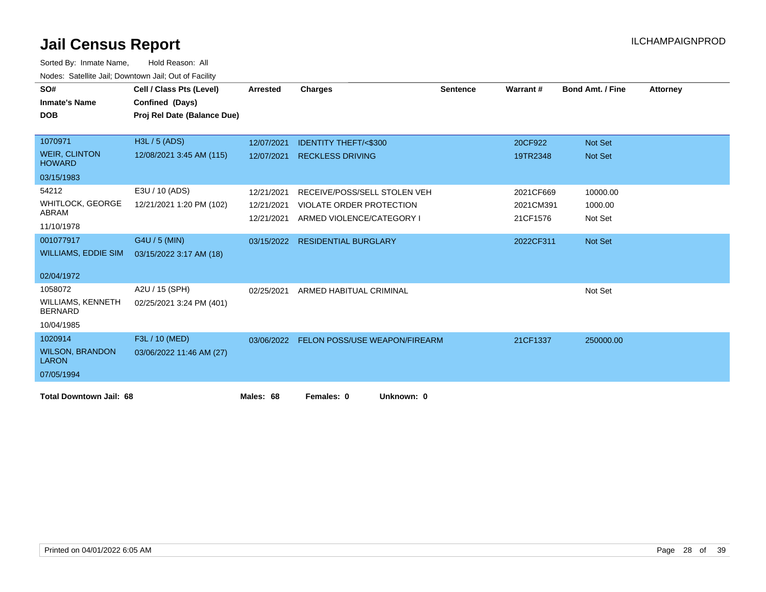| SO#                                        | Cell / Class Pts (Level)    | <b>Arrested</b> | <b>Charges</b>                  | <b>Sentence</b> | Warrant#  | <b>Bond Amt. / Fine</b> | <b>Attorney</b> |
|--------------------------------------------|-----------------------------|-----------------|---------------------------------|-----------------|-----------|-------------------------|-----------------|
| <b>Inmate's Name</b>                       | Confined (Days)             |                 |                                 |                 |           |                         |                 |
| <b>DOB</b>                                 | Proj Rel Date (Balance Due) |                 |                                 |                 |           |                         |                 |
|                                            |                             |                 |                                 |                 |           |                         |                 |
| 1070971                                    | H3L / 5 (ADS)               | 12/07/2021      | <b>IDENTITY THEFT/&lt;\$300</b> |                 | 20CF922   | Not Set                 |                 |
| <b>WEIR, CLINTON</b><br><b>HOWARD</b>      | 12/08/2021 3:45 AM (115)    | 12/07/2021      | <b>RECKLESS DRIVING</b>         |                 | 19TR2348  | Not Set                 |                 |
| 03/15/1983                                 |                             |                 |                                 |                 |           |                         |                 |
| 54212                                      | E3U / 10 (ADS)              | 12/21/2021      | RECEIVE/POSS/SELL STOLEN VEH    |                 | 2021CF669 | 10000.00                |                 |
| <b>WHITLOCK, GEORGE</b>                    | 12/21/2021 1:20 PM (102)    | 12/21/2021      | <b>VIOLATE ORDER PROTECTION</b> |                 | 2021CM391 | 1000.00                 |                 |
| ABRAM                                      |                             | 12/21/2021      | ARMED VIOLENCE/CATEGORY I       |                 | 21CF1576  | Not Set                 |                 |
| 11/10/1978                                 |                             |                 |                                 |                 |           |                         |                 |
| 001077917                                  | G4U / 5 (MIN)               | 03/15/2022      | <b>RESIDENTIAL BURGLARY</b>     |                 | 2022CF311 | Not Set                 |                 |
| <b>WILLIAMS, EDDIE SIM</b>                 | 03/15/2022 3:17 AM (18)     |                 |                                 |                 |           |                         |                 |
| 02/04/1972                                 |                             |                 |                                 |                 |           |                         |                 |
| 1058072                                    | A2U / 15 (SPH)              | 02/25/2021      | ARMED HABITUAL CRIMINAL         |                 |           | Not Set                 |                 |
| <b>WILLIAMS, KENNETH</b><br><b>BERNARD</b> | 02/25/2021 3:24 PM (401)    |                 |                                 |                 |           |                         |                 |
| 10/04/1985                                 |                             |                 |                                 |                 |           |                         |                 |
| 1020914                                    | F3L / 10 (MED)              | 03/06/2022      | FELON POSS/USE WEAPON/FIREARM   |                 | 21CF1337  | 250000.00               |                 |
| <b>WILSON, BRANDON</b><br><b>LARON</b>     | 03/06/2022 11:46 AM (27)    |                 |                                 |                 |           |                         |                 |
| 07/05/1994                                 |                             |                 |                                 |                 |           |                         |                 |
| <b>Total Downtown Jail: 68</b>             |                             | Males: 68       | Females: 0<br>Unknown: 0        |                 |           |                         |                 |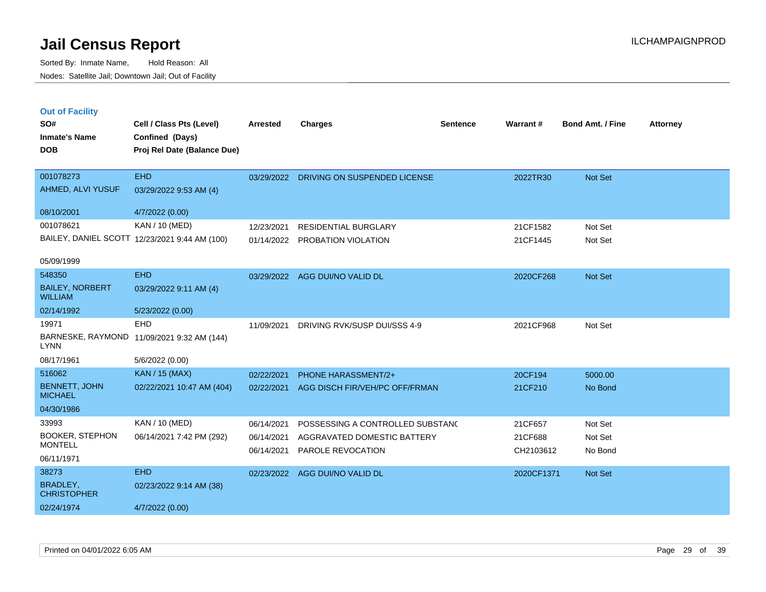Sorted By: Inmate Name, Hold Reason: All Nodes: Satellite Jail; Downtown Jail; Out of Facility

| <b>Out of Facility</b>                   |                                               |                 |                                         |                 |                 |                         |                 |
|------------------------------------------|-----------------------------------------------|-----------------|-----------------------------------------|-----------------|-----------------|-------------------------|-----------------|
| SO#                                      | Cell / Class Pts (Level)                      | <b>Arrested</b> | <b>Charges</b>                          | <b>Sentence</b> | <b>Warrant#</b> | <b>Bond Amt. / Fine</b> | <b>Attorney</b> |
| <b>Inmate's Name</b>                     | Confined (Days)                               |                 |                                         |                 |                 |                         |                 |
| <b>DOB</b>                               | Proj Rel Date (Balance Due)                   |                 |                                         |                 |                 |                         |                 |
|                                          |                                               |                 |                                         |                 |                 |                         |                 |
| 001078273                                | <b>EHD</b>                                    |                 | 03/29/2022 DRIVING ON SUSPENDED LICENSE |                 | 2022TR30        | Not Set                 |                 |
| AHMED, ALVI YUSUF                        | 03/29/2022 9:53 AM (4)                        |                 |                                         |                 |                 |                         |                 |
|                                          |                                               |                 |                                         |                 |                 |                         |                 |
| 08/10/2001                               | 4/7/2022 (0.00)                               |                 |                                         |                 |                 |                         |                 |
| 001078621                                | <b>KAN / 10 (MED)</b>                         | 12/23/2021      | <b>RESIDENTIAL BURGLARY</b>             |                 | 21CF1582        | Not Set                 |                 |
|                                          | BAILEY, DANIEL SCOTT 12/23/2021 9:44 AM (100) | 01/14/2022      | PROBATION VIOLATION                     |                 | 21CF1445        | Not Set                 |                 |
|                                          |                                               |                 |                                         |                 |                 |                         |                 |
| 05/09/1999                               |                                               |                 |                                         |                 |                 |                         |                 |
| 548350                                   | <b>EHD</b>                                    | 03/29/2022      | AGG DUI/NO VALID DL                     |                 | 2020CF268       | Not Set                 |                 |
| <b>BAILEY, NORBERT</b><br><b>WILLIAM</b> | 03/29/2022 9:11 AM (4)                        |                 |                                         |                 |                 |                         |                 |
| 02/14/1992                               | 5/23/2022 (0.00)                              |                 |                                         |                 |                 |                         |                 |
| 19971                                    | EHD                                           | 11/09/2021      | DRIVING RVK/SUSP DUI/SSS 4-9            |                 | 2021CF968       | Not Set                 |                 |
| <b>LYNN</b>                              | BARNESKE, RAYMOND 11/09/2021 9:32 AM (144)    |                 |                                         |                 |                 |                         |                 |
| 08/17/1961                               | 5/6/2022 (0.00)                               |                 |                                         |                 |                 |                         |                 |
| 516062                                   | KAN / 15 (MAX)                                | 02/22/2021      | <b>PHONE HARASSMENT/2+</b>              |                 | 20CF194         | 5000.00                 |                 |
| BENNETT, JOHN<br><b>MICHAEL</b>          | 02/22/2021 10:47 AM (404)                     | 02/22/2021      | AGG DISCH FIR/VEH/PC OFF/FRMAN          |                 | 21CF210         | No Bond                 |                 |
| 04/30/1986                               |                                               |                 |                                         |                 |                 |                         |                 |
| 33993                                    | KAN / 10 (MED)                                | 06/14/2021      | POSSESSING A CONTROLLED SUBSTAND        |                 | 21CF657         | Not Set                 |                 |
| <b>BOOKER, STEPHON</b>                   | 06/14/2021 7:42 PM (292)                      | 06/14/2021      | AGGRAVATED DOMESTIC BATTERY             |                 | 21CF688         | Not Set                 |                 |
| <b>MONTELL</b>                           |                                               | 06/14/2021      | PAROLE REVOCATION                       |                 | CH2103612       | No Bond                 |                 |
| 06/11/1971                               |                                               |                 |                                         |                 |                 |                         |                 |
| 38273                                    | <b>EHD</b>                                    | 02/23/2022      | AGG DUI/NO VALID DL                     |                 | 2020CF1371      | <b>Not Set</b>          |                 |
| <b>BRADLEY,</b><br><b>CHRISTOPHER</b>    | 02/23/2022 9:14 AM (38)                       |                 |                                         |                 |                 |                         |                 |

02/24/1974 4/7/2022 (0.00)

Printed on 04/01/2022 6:05 AM Page 29 of 39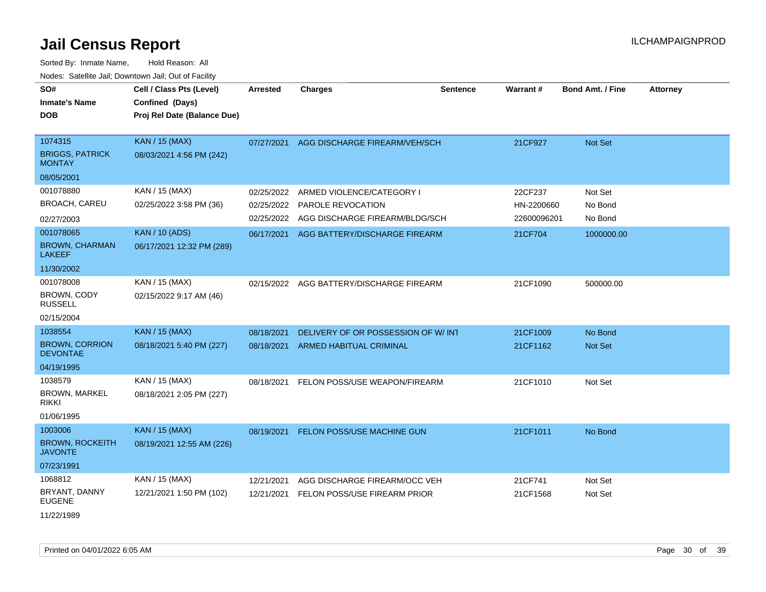| SO#<br><b>Inmate's Name</b><br>DOB                 | Cell / Class Pts (Level)<br>Confined (Days)<br>Proj Rel Date (Balance Due) | <b>Arrested</b> | <b>Charges</b>                     | <b>Sentence</b> | <b>Warrant#</b> | <b>Bond Amt. / Fine</b> | <b>Attorney</b> |
|----------------------------------------------------|----------------------------------------------------------------------------|-----------------|------------------------------------|-----------------|-----------------|-------------------------|-----------------|
| 1074315<br><b>BRIGGS, PATRICK</b><br><b>MONTAY</b> | <b>KAN / 15 (MAX)</b><br>08/03/2021 4:56 PM (242)                          | 07/27/2021      | AGG DISCHARGE FIREARM/VEH/SCH      |                 | 21CF927         | Not Set                 |                 |
| 08/05/2001                                         |                                                                            |                 |                                    |                 |                 |                         |                 |
| 001078880                                          | KAN / 15 (MAX)                                                             | 02/25/2022      | ARMED VIOLENCE/CATEGORY I          |                 | 22CF237         | Not Set                 |                 |
| BROACH, CAREU                                      | 02/25/2022 3:58 PM (36)                                                    | 02/25/2022      | PAROLE REVOCATION                  |                 | HN-2200660      | No Bond                 |                 |
| 02/27/2003                                         |                                                                            | 02/25/2022      | AGG DISCHARGE FIREARM/BLDG/SCH     |                 | 22600096201     | No Bond                 |                 |
| 001078065                                          | <b>KAN / 10 (ADS)</b>                                                      | 06/17/2021      | AGG BATTERY/DISCHARGE FIREARM      |                 | 21CF704         | 1000000.00              |                 |
| <b>BROWN, CHARMAN</b><br>LAKEEF                    | 06/17/2021 12:32 PM (289)                                                  |                 |                                    |                 |                 |                         |                 |
| 11/30/2002                                         |                                                                            |                 |                                    |                 |                 |                         |                 |
| 001078008                                          | KAN / 15 (MAX)                                                             | 02/15/2022      | AGG BATTERY/DISCHARGE FIREARM      |                 | 21CF1090        | 500000.00               |                 |
| <b>BROWN, CODY</b><br><b>RUSSELL</b>               | 02/15/2022 9:17 AM (46)                                                    |                 |                                    |                 |                 |                         |                 |
| 02/15/2004                                         |                                                                            |                 |                                    |                 |                 |                         |                 |
| 1038554                                            | <b>KAN / 15 (MAX)</b>                                                      | 08/18/2021      | DELIVERY OF OR POSSESSION OF W/INT |                 | 21CF1009        | No Bond                 |                 |
| <b>BROWN, CORRION</b><br><b>DEVONTAE</b>           | 08/18/2021 5:40 PM (227)                                                   | 08/18/2021      | ARMED HABITUAL CRIMINAL            |                 | 21CF1162        | <b>Not Set</b>          |                 |
| 04/19/1995                                         |                                                                            |                 |                                    |                 |                 |                         |                 |
| 1038579                                            | KAN / 15 (MAX)                                                             | 08/18/2021      | FELON POSS/USE WEAPON/FIREARM      |                 | 21CF1010        | Not Set                 |                 |
| <b>BROWN, MARKEL</b><br>rikki                      | 08/18/2021 2:05 PM (227)                                                   |                 |                                    |                 |                 |                         |                 |
| 01/06/1995                                         |                                                                            |                 |                                    |                 |                 |                         |                 |
| 1003006                                            | <b>KAN / 15 (MAX)</b>                                                      | 08/19/2021      | FELON POSS/USE MACHINE GUN         |                 | 21CF1011        | No Bond                 |                 |
| <b>BROWN, ROCKEITH</b><br><b>JAVONTE</b>           | 08/19/2021 12:55 AM (226)                                                  |                 |                                    |                 |                 |                         |                 |
| 07/23/1991                                         |                                                                            |                 |                                    |                 |                 |                         |                 |
| 1068812                                            | KAN / 15 (MAX)                                                             | 12/21/2021      | AGG DISCHARGE FIREARM/OCC VEH      |                 | 21CF741         | Not Set                 |                 |
| BRYANT, DANNY<br><b>EUGENE</b>                     | 12/21/2021 1:50 PM (102)                                                   | 12/21/2021      | FELON POSS/USE FIREARM PRIOR       |                 | 21CF1568        | Not Set                 |                 |
| 11/22/1989                                         |                                                                            |                 |                                    |                 |                 |                         |                 |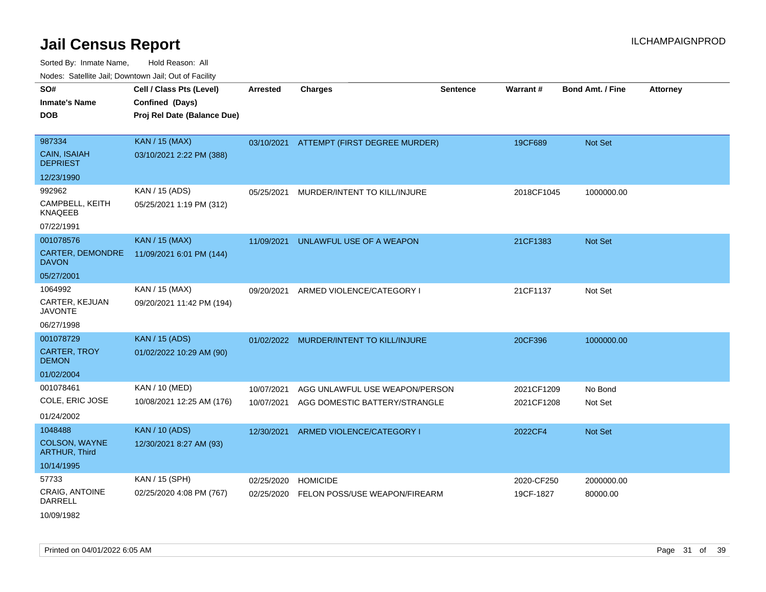Sorted By: Inmate Name, Hold Reason: All Nodes: Satellite Jail; Downtown Jail; Out of Facility

| <u>Houce.</u> Catoling bail, Downtown bail, Out of Fability |                                             |                 |                                          |                 |                 |                         |                 |
|-------------------------------------------------------------|---------------------------------------------|-----------------|------------------------------------------|-----------------|-----------------|-------------------------|-----------------|
| SO#<br><b>Inmate's Name</b>                                 | Cell / Class Pts (Level)<br>Confined (Days) | <b>Arrested</b> | <b>Charges</b>                           | <b>Sentence</b> | <b>Warrant#</b> | <b>Bond Amt. / Fine</b> | <b>Attorney</b> |
| <b>DOB</b>                                                  | Proj Rel Date (Balance Due)                 |                 |                                          |                 |                 |                         |                 |
| 987334                                                      | <b>KAN / 15 (MAX)</b>                       |                 | 03/10/2021 ATTEMPT (FIRST DEGREE MURDER) |                 | 19CF689         | Not Set                 |                 |
| <b>CAIN, ISAIAH</b><br><b>DEPRIEST</b>                      | 03/10/2021 2:22 PM (388)                    |                 |                                          |                 |                 |                         |                 |
| 12/23/1990                                                  |                                             |                 |                                          |                 |                 |                         |                 |
| 992962                                                      | KAN / 15 (ADS)                              | 05/25/2021      | MURDER/INTENT TO KILL/INJURE             |                 | 2018CF1045      | 1000000.00              |                 |
| CAMPBELL, KEITH<br><b>KNAQEEB</b>                           | 05/25/2021 1:19 PM (312)                    |                 |                                          |                 |                 |                         |                 |
| 07/22/1991                                                  |                                             |                 |                                          |                 |                 |                         |                 |
| 001078576                                                   | <b>KAN / 15 (MAX)</b>                       | 11/09/2021      | UNLAWFUL USE OF A WEAPON                 |                 | 21CF1383        | <b>Not Set</b>          |                 |
| <b>CARTER, DEMONDRE</b><br><b>DAVON</b>                     | 11/09/2021 6:01 PM (144)                    |                 |                                          |                 |                 |                         |                 |
| 05/27/2001                                                  |                                             |                 |                                          |                 |                 |                         |                 |
| 1064992                                                     | KAN / 15 (MAX)                              | 09/20/2021      | ARMED VIOLENCE/CATEGORY I                |                 | 21CF1137        | Not Set                 |                 |
| CARTER, KEJUAN<br><b>JAVONTE</b>                            | 09/20/2021 11:42 PM (194)                   |                 |                                          |                 |                 |                         |                 |
| 06/27/1998                                                  |                                             |                 |                                          |                 |                 |                         |                 |
| 001078729                                                   | <b>KAN / 15 (ADS)</b>                       |                 | 01/02/2022 MURDER/INTENT TO KILL/INJURE  |                 | 20CF396         | 1000000.00              |                 |
| <b>CARTER, TROY</b><br><b>DEMON</b>                         | 01/02/2022 10:29 AM (90)                    |                 |                                          |                 |                 |                         |                 |
| 01/02/2004                                                  |                                             |                 |                                          |                 |                 |                         |                 |
| 001078461                                                   | KAN / 10 (MED)                              | 10/07/2021      | AGG UNLAWFUL USE WEAPON/PERSON           |                 | 2021CF1209      | No Bond                 |                 |
| COLE, ERIC JOSE                                             | 10/08/2021 12:25 AM (176)                   | 10/07/2021      | AGG DOMESTIC BATTERY/STRANGLE            |                 | 2021CF1208      | Not Set                 |                 |
| 01/24/2002                                                  |                                             |                 |                                          |                 |                 |                         |                 |
| 1048488                                                     | <b>KAN / 10 (ADS)</b>                       | 12/30/2021      | ARMED VIOLENCE/CATEGORY I                |                 | 2022CF4         | <b>Not Set</b>          |                 |
| <b>COLSON, WAYNE</b><br><b>ARTHUR, Third</b>                | 12/30/2021 8:27 AM (93)                     |                 |                                          |                 |                 |                         |                 |
| 10/14/1995                                                  |                                             |                 |                                          |                 |                 |                         |                 |
| 57733                                                       | KAN / 15 (SPH)                              | 02/25/2020      | <b>HOMICIDE</b>                          |                 | 2020-CF250      | 2000000.00              |                 |
| <b>CRAIG, ANTOINE</b><br>DARRELL                            | 02/25/2020 4:08 PM (767)                    | 02/25/2020      | FELON POSS/USE WEAPON/FIREARM            |                 | 19CF-1827       | 80000.00                |                 |

10/09/1982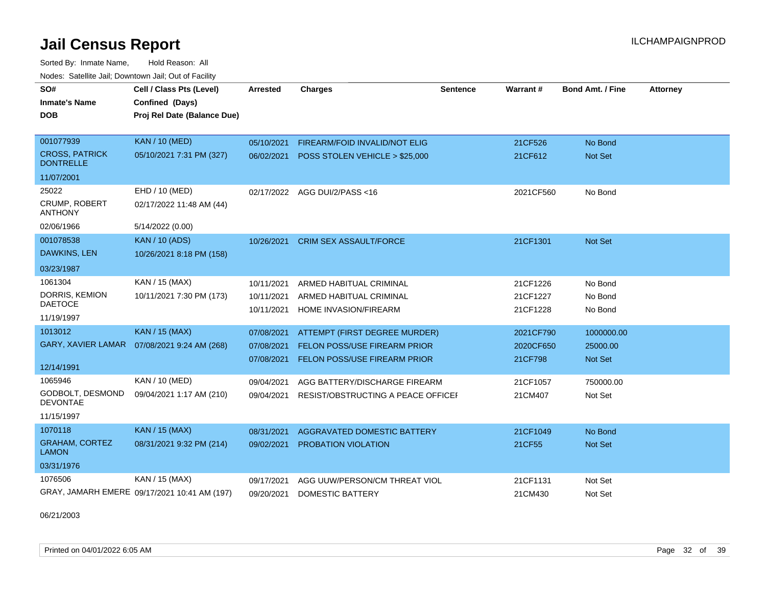Sorted By: Inmate Name, Hold Reason: All Nodes: Satellite Jail; Downtown Jail; Out of Facility

| SO#<br><b>Inmate's Name</b><br><b>DOB</b> | Cell / Class Pts (Level)<br>Confined (Days)<br>Proj Rel Date (Balance Due) | <b>Arrested</b> | <b>Charges</b>                       | <b>Sentence</b> | <b>Warrant#</b> | <b>Bond Amt. / Fine</b> | <b>Attorney</b> |
|-------------------------------------------|----------------------------------------------------------------------------|-----------------|--------------------------------------|-----------------|-----------------|-------------------------|-----------------|
| 001077939                                 | <b>KAN / 10 (MED)</b>                                                      | 05/10/2021      | <b>FIREARM/FOID INVALID/NOT ELIG</b> |                 | 21CF526         | No Bond                 |                 |
| <b>CROSS, PATRICK</b><br><b>DONTRELLE</b> | 05/10/2021 7:31 PM (327)                                                   | 06/02/2021      | POSS STOLEN VEHICLE > \$25,000       |                 | 21CF612         | Not Set                 |                 |
| 11/07/2001                                |                                                                            |                 |                                      |                 |                 |                         |                 |
| 25022                                     | EHD / 10 (MED)                                                             | 02/17/2022      | AGG DUI/2/PASS <16                   |                 | 2021CF560       | No Bond                 |                 |
| <b>CRUMP, ROBERT</b><br><b>ANTHONY</b>    | 02/17/2022 11:48 AM (44)                                                   |                 |                                      |                 |                 |                         |                 |
| 02/06/1966                                | 5/14/2022 (0.00)                                                           |                 |                                      |                 |                 |                         |                 |
| 001078538                                 | <b>KAN / 10 (ADS)</b>                                                      | 10/26/2021      | <b>CRIM SEX ASSAULT/FORCE</b>        |                 | 21CF1301        | <b>Not Set</b>          |                 |
| DAWKINS, LEN                              | 10/26/2021 8:18 PM (158)                                                   |                 |                                      |                 |                 |                         |                 |
| 03/23/1987                                |                                                                            |                 |                                      |                 |                 |                         |                 |
| 1061304                                   | KAN / 15 (MAX)                                                             | 10/11/2021      | ARMED HABITUAL CRIMINAL              |                 | 21CF1226        | No Bond                 |                 |
| DORRIS, KEMION                            | 10/11/2021 7:30 PM (173)                                                   | 10/11/2021      | ARMED HABITUAL CRIMINAL              |                 | 21CF1227        | No Bond                 |                 |
| <b>DAETOCE</b>                            |                                                                            | 10/11/2021      | HOME INVASION/FIREARM                |                 | 21CF1228        | No Bond                 |                 |
| 11/19/1997                                |                                                                            |                 |                                      |                 |                 |                         |                 |
| 1013012                                   | <b>KAN / 15 (MAX)</b>                                                      | 07/08/2021      | ATTEMPT (FIRST DEGREE MURDER)        |                 | 2021CF790       | 1000000.00              |                 |
|                                           | GARY, XAVIER LAMAR  07/08/2021 9:24 AM (268)                               | 07/08/2021      | <b>FELON POSS/USE FIREARM PRIOR</b>  |                 | 2020CF650       | 25000.00                |                 |
| 12/14/1991                                |                                                                            | 07/08/2021      | FELON POSS/USE FIREARM PRIOR         |                 | 21CF798         | <b>Not Set</b>          |                 |
| 1065946                                   | KAN / 10 (MED)                                                             | 09/04/2021      | AGG BATTERY/DISCHARGE FIREARM        |                 | 21CF1057        | 750000.00               |                 |
| GODBOLT, DESMOND<br><b>DEVONTAE</b>       | 09/04/2021 1:17 AM (210)                                                   | 09/04/2021      | RESIST/OBSTRUCTING A PEACE OFFICEI   |                 | 21CM407         | Not Set                 |                 |
| 11/15/1997                                |                                                                            |                 |                                      |                 |                 |                         |                 |
| 1070118                                   | <b>KAN / 15 (MAX)</b>                                                      | 08/31/2021      | AGGRAVATED DOMESTIC BATTERY          |                 | 21CF1049        | No Bond                 |                 |
| <b>GRAHAM, CORTEZ</b><br><b>LAMON</b>     | 08/31/2021 9:32 PM (214)                                                   | 09/02/2021      | <b>PROBATION VIOLATION</b>           |                 | 21CF55          | Not Set                 |                 |
| 03/31/1976                                |                                                                            |                 |                                      |                 |                 |                         |                 |
| 1076506                                   | KAN / 15 (MAX)                                                             | 09/17/2021      | AGG UUW/PERSON/CM THREAT VIOL        |                 | 21CF1131        | Not Set                 |                 |
|                                           | GRAY, JAMARH EMERE 09/17/2021 10:41 AM (197)                               | 09/20/2021      | <b>DOMESTIC BATTERY</b>              |                 | 21CM430         | Not Set                 |                 |

06/21/2003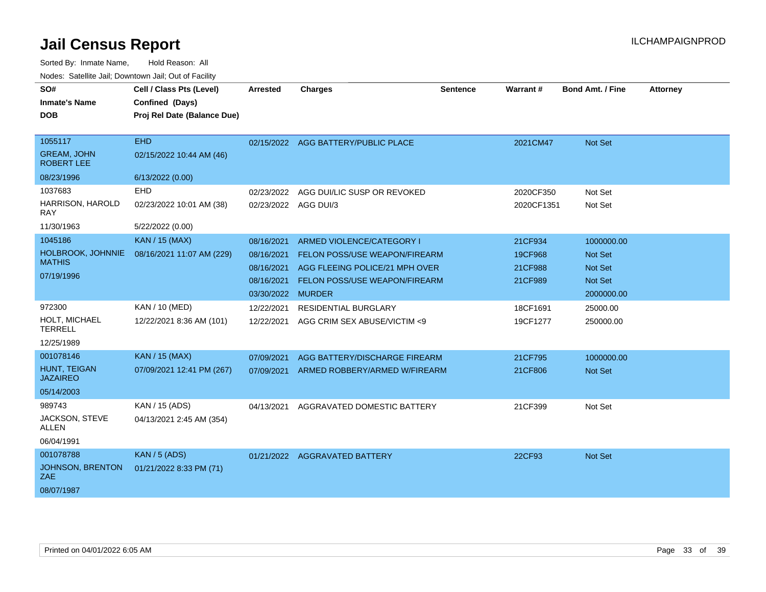| SO#<br><b>Inmate's Name</b><br><b>DOB</b>                        | Cell / Class Pts (Level)<br>Confined (Days)<br>Proj Rel Date (Balance Due) | <b>Arrested</b>                                                           | <b>Charges</b>                                                                                                                       | Sentence | Warrant#                                 | <b>Bond Amt. / Fine</b>                                                 | <b>Attorney</b> |
|------------------------------------------------------------------|----------------------------------------------------------------------------|---------------------------------------------------------------------------|--------------------------------------------------------------------------------------------------------------------------------------|----------|------------------------------------------|-------------------------------------------------------------------------|-----------------|
| 1055117<br><b>GREAM, JOHN</b><br><b>ROBERT LEE</b><br>08/23/1996 | <b>EHD</b><br>02/15/2022 10:44 AM (46)<br>6/13/2022 (0.00)                 |                                                                           | 02/15/2022 AGG BATTERY/PUBLIC PLACE                                                                                                  |          | 2021CM47                                 | Not Set                                                                 |                 |
| 1037683<br>HARRISON, HAROLD<br><b>RAY</b><br>11/30/1963          | <b>EHD</b><br>02/23/2022 10:01 AM (38)<br>5/22/2022 (0.00)                 | 02/23/2022                                                                | AGG DUI/LIC SUSP OR REVOKED<br>02/23/2022 AGG DUI/3                                                                                  |          | 2020CF350<br>2020CF1351                  | Not Set<br>Not Set                                                      |                 |
| 1045186<br>HOLBROOK, JOHNNIE<br><b>MATHIS</b><br>07/19/1996      | KAN / 15 (MAX)<br>08/16/2021 11:07 AM (229)                                | 08/16/2021<br>08/16/2021<br>08/16/2021<br>08/16/2021<br>03/30/2022 MURDER | ARMED VIOLENCE/CATEGORY I<br>FELON POSS/USE WEAPON/FIREARM<br>AGG FLEEING POLICE/21 MPH OVER<br><b>FELON POSS/USE WEAPON/FIREARM</b> |          | 21CF934<br>19CF968<br>21CF988<br>21CF989 | 1000000.00<br>Not Set<br><b>Not Set</b><br><b>Not Set</b><br>2000000.00 |                 |
| 972300<br>HOLT, MICHAEL<br><b>TERRELL</b><br>12/25/1989          | <b>KAN / 10 (MED)</b><br>12/22/2021 8:36 AM (101)                          | 12/22/2021<br>12/22/2021                                                  | <b>RESIDENTIAL BURGLARY</b><br>AGG CRIM SEX ABUSE/VICTIM <9                                                                          |          | 18CF1691<br>19CF1277                     | 25000.00<br>250000.00                                                   |                 |
| 001078146<br>HUNT, TEIGAN<br><b>JAZAIREO</b><br>05/14/2003       | <b>KAN / 15 (MAX)</b><br>07/09/2021 12:41 PM (267)                         | 07/09/2021<br>07/09/2021                                                  | AGG BATTERY/DISCHARGE FIREARM<br>ARMED ROBBERY/ARMED W/FIREARM                                                                       |          | 21CF795<br>21CF806                       | 1000000.00<br><b>Not Set</b>                                            |                 |
| 989743<br>JACKSON, STEVE<br><b>ALLEN</b><br>06/04/1991           | KAN / 15 (ADS)<br>04/13/2021 2:45 AM (354)                                 | 04/13/2021                                                                | AGGRAVATED DOMESTIC BATTERY                                                                                                          |          | 21CF399                                  | Not Set                                                                 |                 |
| 001078788<br>JOHNSON, BRENTON<br>ZAE.<br>08/07/1987              | <b>KAN / 5 (ADS)</b><br>01/21/2022 8:33 PM (71)                            |                                                                           | 01/21/2022 AGGRAVATED BATTERY                                                                                                        |          | 22CF93                                   | <b>Not Set</b>                                                          |                 |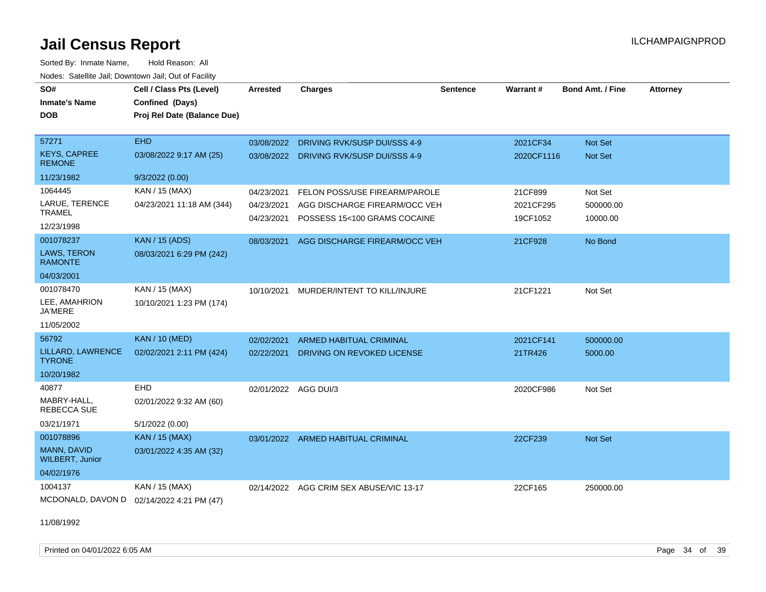Sorted By: Inmate Name, Hold Reason: All Nodes: Satellite Jail; Downtown Jail; Out of Facility

| SO#                                   | Cell / Class Pts (Level)                  | <b>Arrested</b>      | <b>Charges</b>                          | <b>Sentence</b> | <b>Warrant#</b> | <b>Bond Amt. / Fine</b> | <b>Attorney</b> |
|---------------------------------------|-------------------------------------------|----------------------|-----------------------------------------|-----------------|-----------------|-------------------------|-----------------|
| <b>Inmate's Name</b>                  | Confined (Days)                           |                      |                                         |                 |                 |                         |                 |
| <b>DOB</b>                            | Proj Rel Date (Balance Due)               |                      |                                         |                 |                 |                         |                 |
|                                       |                                           |                      |                                         |                 |                 |                         |                 |
| 57271                                 | <b>EHD</b>                                | 03/08/2022           | DRIVING RVK/SUSP DUI/SSS 4-9            |                 | 2021CF34        | Not Set                 |                 |
| <b>KEYS, CAPREE</b><br><b>REMONE</b>  | 03/08/2022 9:17 AM (25)                   | 03/08/2022           | DRIVING RVK/SUSP DUI/SSS 4-9            |                 | 2020CF1116      | <b>Not Set</b>          |                 |
| 11/23/1982                            | 9/3/2022 (0.00)                           |                      |                                         |                 |                 |                         |                 |
| 1064445                               | KAN / 15 (MAX)                            | 04/23/2021           | FELON POSS/USE FIREARM/PAROLE           |                 | 21CF899         | Not Set                 |                 |
| LARUE, TERENCE                        | 04/23/2021 11:18 AM (344)                 | 04/23/2021           | AGG DISCHARGE FIREARM/OCC VEH           |                 | 2021CF295       | 500000.00               |                 |
| <b>TRAMEL</b>                         |                                           | 04/23/2021           | POSSESS 15<100 GRAMS COCAINE            |                 | 19CF1052        | 10000.00                |                 |
| 12/23/1998                            |                                           |                      |                                         |                 |                 |                         |                 |
| 001078237                             | <b>KAN / 15 (ADS)</b>                     | 08/03/2021           | AGG DISCHARGE FIREARM/OCC VEH           |                 | 21CF928         | No Bond                 |                 |
| LAWS, TERON<br><b>RAMONTE</b>         | 08/03/2021 6:29 PM (242)                  |                      |                                         |                 |                 |                         |                 |
| 04/03/2001                            |                                           |                      |                                         |                 |                 |                         |                 |
| 001078470                             | KAN / 15 (MAX)                            | 10/10/2021           | MURDER/INTENT TO KILL/INJURE            |                 | 21CF1221        | Not Set                 |                 |
| LEE, AMAHRION<br><b>JA'MERE</b>       | 10/10/2021 1:23 PM (174)                  |                      |                                         |                 |                 |                         |                 |
| 11/05/2002                            |                                           |                      |                                         |                 |                 |                         |                 |
| 56792                                 | <b>KAN / 10 (MED)</b>                     | 02/02/2021           | ARMED HABITUAL CRIMINAL                 |                 | 2021CF141       | 500000.00               |                 |
| LILLARD, LAWRENCE<br><b>TYRONE</b>    | 02/02/2021 2:11 PM (424)                  | 02/22/2021           | DRIVING ON REVOKED LICENSE              |                 | 21TR426         | 5000.00                 |                 |
| 10/20/1982                            |                                           |                      |                                         |                 |                 |                         |                 |
| 40877                                 | <b>EHD</b>                                | 02/01/2022 AGG DUI/3 |                                         |                 | 2020CF986       | Not Set                 |                 |
| MABRY-HALL,<br><b>REBECCA SUE</b>     | 02/01/2022 9:32 AM (60)                   |                      |                                         |                 |                 |                         |                 |
| 03/21/1971                            | 5/1/2022 (0.00)                           |                      |                                         |                 |                 |                         |                 |
| 001078896                             | <b>KAN / 15 (MAX)</b>                     |                      | 03/01/2022 ARMED HABITUAL CRIMINAL      |                 | 22CF239         | <b>Not Set</b>          |                 |
| MANN, DAVID<br><b>WILBERT, Junior</b> | 03/01/2022 4:35 AM (32)                   |                      |                                         |                 |                 |                         |                 |
| 04/02/1976                            |                                           |                      |                                         |                 |                 |                         |                 |
| 1004137                               | KAN / 15 (MAX)                            |                      | 02/14/2022 AGG CRIM SEX ABUSE/VIC 13-17 |                 | 22CF165         | 250000.00               |                 |
|                                       | MCDONALD, DAVON D 02/14/2022 4:21 PM (47) |                      |                                         |                 |                 |                         |                 |

11/08/1992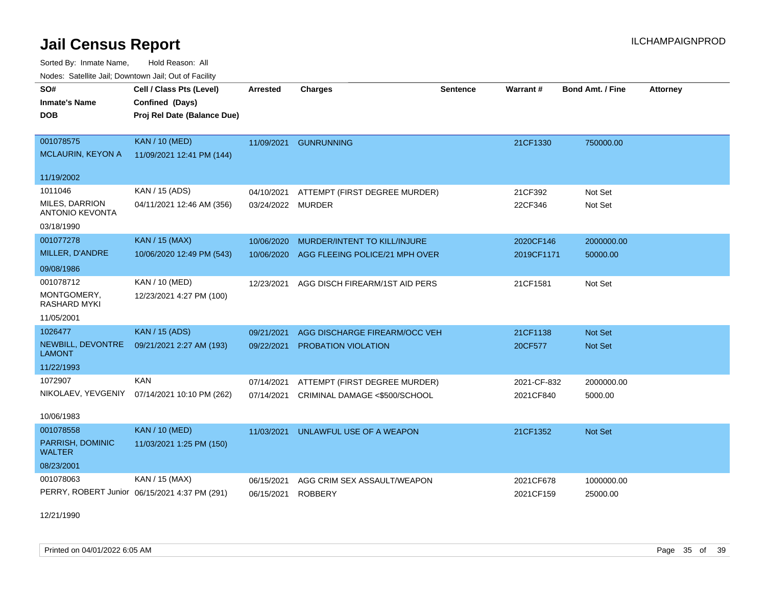Sorted By: Inmate Name, Hold Reason: All Nodes: Satellite Jail; Downtown Jail; Out of Facility

| voues. Salemie Jan, Downlown Jan, Out of Facility |                                               |                 |                                |                 |             |                         |                 |  |
|---------------------------------------------------|-----------------------------------------------|-----------------|--------------------------------|-----------------|-------------|-------------------------|-----------------|--|
| SO#                                               | Cell / Class Pts (Level)                      | <b>Arrested</b> | <b>Charges</b>                 | <b>Sentence</b> | Warrant#    | <b>Bond Amt. / Fine</b> | <b>Attorney</b> |  |
| <b>Inmate's Name</b>                              | Confined (Days)                               |                 |                                |                 |             |                         |                 |  |
| DOB.                                              | Proj Rel Date (Balance Due)                   |                 |                                |                 |             |                         |                 |  |
|                                                   |                                               |                 |                                |                 |             |                         |                 |  |
| 001078575                                         | <b>KAN / 10 (MED)</b>                         | 11/09/2021      | <b>GUNRUNNING</b>              |                 | 21CF1330    | 750000.00               |                 |  |
| <b>MCLAURIN, KEYON A</b>                          | 11/09/2021 12:41 PM (144)                     |                 |                                |                 |             |                         |                 |  |
| 11/19/2002                                        |                                               |                 |                                |                 |             |                         |                 |  |
| 1011046                                           | KAN / 15 (ADS)                                | 04/10/2021      | ATTEMPT (FIRST DEGREE MURDER)  |                 | 21CF392     | Not Set                 |                 |  |
| MILES, DARRION                                    | 04/11/2021 12:46 AM (356)                     | 03/24/2022      | MURDER                         |                 | 22CF346     | Not Set                 |                 |  |
| <b>ANTONIO KEVONTA</b>                            |                                               |                 |                                |                 |             |                         |                 |  |
| 03/18/1990                                        |                                               |                 |                                |                 |             |                         |                 |  |
| 001077278                                         | <b>KAN / 15 (MAX)</b>                         | 10/06/2020      | MURDER/INTENT TO KILL/INJURE   |                 | 2020CF146   | 2000000.00              |                 |  |
| MILLER, D'ANDRE                                   | 10/06/2020 12:49 PM (543)                     | 10/06/2020      | AGG FLEEING POLICE/21 MPH OVER |                 | 2019CF1171  | 50000.00                |                 |  |
| 09/08/1986                                        |                                               |                 |                                |                 |             |                         |                 |  |
| 001078712                                         | KAN / 10 (MED)                                | 12/23/2021      | AGG DISCH FIREARM/1ST AID PERS |                 | 21CF1581    | Not Set                 |                 |  |
| MONTGOMERY,<br>RASHARD MYKI                       | 12/23/2021 4:27 PM (100)                      |                 |                                |                 |             |                         |                 |  |
| 11/05/2001                                        |                                               |                 |                                |                 |             |                         |                 |  |
| 1026477                                           | <b>KAN / 15 (ADS)</b>                         | 09/21/2021      | AGG DISCHARGE FIREARM/OCC VEH  |                 | 21CF1138    | Not Set                 |                 |  |
| NEWBILL, DEVONTRE<br><b>LAMONT</b>                | 09/21/2021 2:27 AM (193)                      | 09/22/2021      | <b>PROBATION VIOLATION</b>     |                 | 20CF577     | Not Set                 |                 |  |
| 11/22/1993                                        |                                               |                 |                                |                 |             |                         |                 |  |
| 1072907                                           | <b>KAN</b>                                    | 07/14/2021      | ATTEMPT (FIRST DEGREE MURDER)  |                 | 2021-CF-832 | 2000000.00              |                 |  |
| NIKOLAEV, YEVGENIY                                | 07/14/2021 10:10 PM (262)                     | 07/14/2021      | CRIMINAL DAMAGE <\$500/SCHOOL  |                 | 2021CF840   | 5000.00                 |                 |  |
|                                                   |                                               |                 |                                |                 |             |                         |                 |  |
| 10/06/1983                                        |                                               |                 |                                |                 |             |                         |                 |  |
| 001078558                                         | <b>KAN / 10 (MED)</b>                         | 11/03/2021      | UNLAWFUL USE OF A WEAPON       |                 | 21CF1352    | Not Set                 |                 |  |
| PARRISH, DOMINIC<br><b>WALTER</b>                 | 11/03/2021 1:25 PM (150)                      |                 |                                |                 |             |                         |                 |  |
| 08/23/2001                                        |                                               |                 |                                |                 |             |                         |                 |  |
| 001078063                                         | KAN / 15 (MAX)                                | 06/15/2021      | AGG CRIM SEX ASSAULT/WEAPON    |                 | 2021CF678   | 1000000.00              |                 |  |
|                                                   | PERRY, ROBERT Junior 06/15/2021 4:37 PM (291) | 06/15/2021      | <b>ROBBERY</b>                 |                 | 2021CF159   | 25000.00                |                 |  |

12/21/1990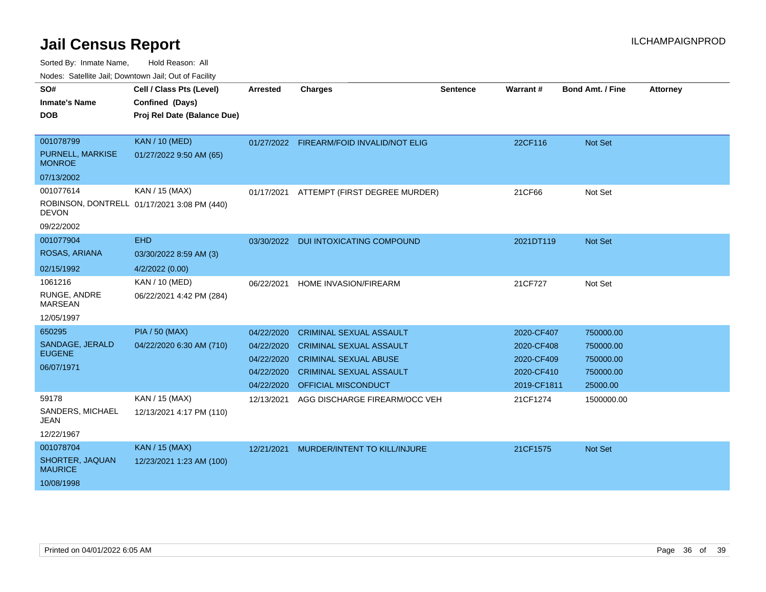Sorted By: Inmate Name, Hold Reason: All

Nodes: Satellite Jail; Downtown Jail; Out of Facility

| SO#<br><b>Inmate's Name</b><br><b>DOB</b>      | Cell / Class Pts (Level)<br>Confined (Days)<br>Proj Rel Date (Balance Due) | <b>Arrested</b> | <b>Charges</b>                   | <b>Sentence</b> | Warrant#    | <b>Bond Amt. / Fine</b> | <b>Attorney</b> |
|------------------------------------------------|----------------------------------------------------------------------------|-----------------|----------------------------------|-----------------|-------------|-------------------------|-----------------|
| 001078799<br>PURNELL, MARKISE<br><b>MONROE</b> | <b>KAN / 10 (MED)</b><br>01/27/2022 9:50 AM (65)                           | 01/27/2022      | FIREARM/FOID INVALID/NOT ELIG    |                 | 22CF116     | Not Set                 |                 |
| 07/13/2002                                     |                                                                            |                 |                                  |                 |             |                         |                 |
| 001077614                                      | KAN / 15 (MAX)                                                             | 01/17/2021      | ATTEMPT (FIRST DEGREE MURDER)    |                 | 21CF66      | Not Set                 |                 |
| <b>DEVON</b>                                   | ROBINSON, DONTRELL 01/17/2021 3:08 PM (440)                                |                 |                                  |                 |             |                         |                 |
| 09/22/2002                                     |                                                                            |                 |                                  |                 |             |                         |                 |
| 001077904                                      | <b>EHD</b>                                                                 | 03/30/2022      | <b>DUI INTOXICATING COMPOUND</b> |                 | 2021DT119   | Not Set                 |                 |
| ROSAS, ARIANA                                  | 03/30/2022 8:59 AM (3)                                                     |                 |                                  |                 |             |                         |                 |
| 02/15/1992                                     | 4/2/2022 (0.00)                                                            |                 |                                  |                 |             |                         |                 |
| 1061216                                        | KAN / 10 (MED)                                                             | 06/22/2021      | HOME INVASION/FIREARM            |                 | 21CF727     | Not Set                 |                 |
| RUNGE, ANDRE<br><b>MARSEAN</b>                 | 06/22/2021 4:42 PM (284)                                                   |                 |                                  |                 |             |                         |                 |
| 12/05/1997                                     |                                                                            |                 |                                  |                 |             |                         |                 |
| 650295                                         | <b>PIA / 50 (MAX)</b>                                                      | 04/22/2020      | <b>CRIMINAL SEXUAL ASSAULT</b>   |                 | 2020-CF407  | 750000.00               |                 |
| SANDAGE, JERALD                                | 04/22/2020 6:30 AM (710)                                                   | 04/22/2020      | <b>CRIMINAL SEXUAL ASSAULT</b>   |                 | 2020-CF408  | 750000.00               |                 |
| <b>EUGENE</b>                                  |                                                                            | 04/22/2020      | <b>CRIMINAL SEXUAL ABUSE</b>     |                 | 2020-CF409  | 750000.00               |                 |
| 06/07/1971                                     |                                                                            | 04/22/2020      | <b>CRIMINAL SEXUAL ASSAULT</b>   |                 | 2020-CF410  | 750000.00               |                 |
|                                                |                                                                            | 04/22/2020      | <b>OFFICIAL MISCONDUCT</b>       |                 | 2019-CF1811 | 25000.00                |                 |
| 59178                                          | KAN / 15 (MAX)                                                             | 12/13/2021      | AGG DISCHARGE FIREARM/OCC VEH    |                 | 21CF1274    | 1500000.00              |                 |
| SANDERS, MICHAEL<br>JEAN                       | 12/13/2021 4:17 PM (110)                                                   |                 |                                  |                 |             |                         |                 |
| 12/22/1967                                     |                                                                            |                 |                                  |                 |             |                         |                 |
| 001078704                                      | <b>KAN / 15 (MAX)</b>                                                      | 12/21/2021      | MURDER/INTENT TO KILL/INJURE     |                 | 21CF1575    | Not Set                 |                 |
| SHORTER, JAQUAN<br><b>MAURICE</b>              | 12/23/2021 1:23 AM (100)                                                   |                 |                                  |                 |             |                         |                 |
| 10/08/1998                                     |                                                                            |                 |                                  |                 |             |                         |                 |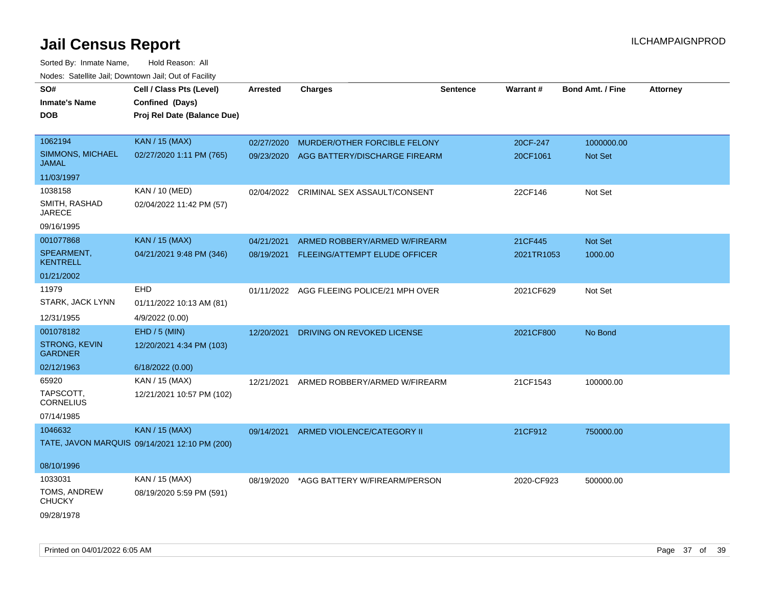| SO#<br><b>Inmate's Name</b><br><b>DOB</b> | Cell / Class Pts (Level)<br>Confined (Days)<br>Proj Rel Date (Balance Due) | <b>Arrested</b> | <b>Charges</b>                            | <b>Sentence</b> | <b>Warrant#</b> | <b>Bond Amt. / Fine</b> | <b>Attorney</b> |
|-------------------------------------------|----------------------------------------------------------------------------|-----------------|-------------------------------------------|-----------------|-----------------|-------------------------|-----------------|
| 1062194                                   | <b>KAN / 15 (MAX)</b>                                                      | 02/27/2020      | MURDER/OTHER FORCIBLE FELONY              |                 | 20CF-247        | 1000000.00              |                 |
| SIMMONS, MICHAEL<br>JAMAL                 | 02/27/2020 1:11 PM (765)                                                   |                 | 09/23/2020 AGG BATTERY/DISCHARGE FIREARM  |                 | 20CF1061        | Not Set                 |                 |
| 11/03/1997                                |                                                                            |                 |                                           |                 |                 |                         |                 |
| 1038158                                   | KAN / 10 (MED)                                                             | 02/04/2022      | CRIMINAL SEX ASSAULT/CONSENT              |                 | 22CF146         | Not Set                 |                 |
| SMITH, RASHAD<br><b>JARECE</b>            | 02/04/2022 11:42 PM (57)                                                   |                 |                                           |                 |                 |                         |                 |
| 09/16/1995                                |                                                                            |                 |                                           |                 |                 |                         |                 |
| 001077868                                 | <b>KAN / 15 (MAX)</b>                                                      | 04/21/2021      | ARMED ROBBERY/ARMED W/FIREARM             |                 | 21CF445         | Not Set                 |                 |
| SPEARMENT,<br><b>KENTRELL</b>             | 04/21/2021 9:48 PM (346)                                                   | 08/19/2021      | FLEEING/ATTEMPT ELUDE OFFICER             |                 | 2021TR1053      | 1000.00                 |                 |
| 01/21/2002                                |                                                                            |                 |                                           |                 |                 |                         |                 |
| 11979                                     | EHD                                                                        |                 | 01/11/2022 AGG FLEEING POLICE/21 MPH OVER |                 | 2021CF629       | Not Set                 |                 |
| STARK, JACK LYNN                          | 01/11/2022 10:13 AM (81)                                                   |                 |                                           |                 |                 |                         |                 |
| 12/31/1955                                | 4/9/2022 (0.00)                                                            |                 |                                           |                 |                 |                         |                 |
| 001078182                                 | EHD / 5 (MIN)                                                              | 12/20/2021      | DRIVING ON REVOKED LICENSE                |                 | 2021CF800       | No Bond                 |                 |
| <b>STRONG, KEVIN</b><br><b>GARDNER</b>    | 12/20/2021 4:34 PM (103)                                                   |                 |                                           |                 |                 |                         |                 |
| 02/12/1963                                | 6/18/2022 (0.00)                                                           |                 |                                           |                 |                 |                         |                 |
| 65920                                     | KAN / 15 (MAX)                                                             | 12/21/2021      | ARMED ROBBERY/ARMED W/FIREARM             |                 | 21CF1543        | 100000.00               |                 |
| TAPSCOTT,<br><b>CORNELIUS</b>             | 12/21/2021 10:57 PM (102)                                                  |                 |                                           |                 |                 |                         |                 |
| 07/14/1985                                |                                                                            |                 |                                           |                 |                 |                         |                 |
| 1046632                                   | <b>KAN / 15 (MAX)</b>                                                      | 09/14/2021      | ARMED VIOLENCE/CATEGORY II                |                 | 21CF912         | 750000.00               |                 |
|                                           | TATE, JAVON MARQUIS 09/14/2021 12:10 PM (200)                              |                 |                                           |                 |                 |                         |                 |
| 08/10/1996                                |                                                                            |                 |                                           |                 |                 |                         |                 |
| 1033031                                   | KAN / 15 (MAX)                                                             | 08/19/2020      | *AGG BATTERY W/FIREARM/PERSON             |                 | 2020-CF923      | 500000.00               |                 |
| TOMS, ANDREW<br><b>CHUCKY</b>             | 08/19/2020 5:59 PM (591)                                                   |                 |                                           |                 |                 |                         |                 |
| 09/28/1978                                |                                                                            |                 |                                           |                 |                 |                         |                 |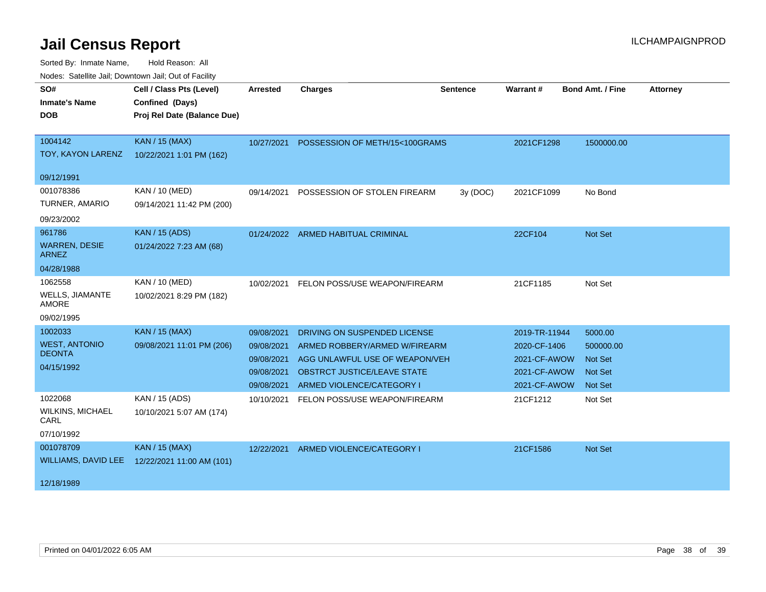| SO#                                  | Cell / Class Pts (Level)    | <b>Arrested</b> | <b>Charges</b>                       | <b>Sentence</b> | <b>Warrant#</b> | <b>Bond Amt. / Fine</b> | <b>Attorney</b> |
|--------------------------------------|-----------------------------|-----------------|--------------------------------------|-----------------|-----------------|-------------------------|-----------------|
| <b>Inmate's Name</b>                 | Confined (Days)             |                 |                                      |                 |                 |                         |                 |
| <b>DOB</b>                           | Proj Rel Date (Balance Due) |                 |                                      |                 |                 |                         |                 |
|                                      |                             |                 |                                      |                 |                 |                         |                 |
| 1004142                              | <b>KAN / 15 (MAX)</b>       | 10/27/2021      | POSSESSION OF METH/15<100GRAMS       |                 | 2021CF1298      | 1500000.00              |                 |
| TOY, KAYON LARENZ                    | 10/22/2021 1:01 PM (162)    |                 |                                      |                 |                 |                         |                 |
| 09/12/1991                           |                             |                 |                                      |                 |                 |                         |                 |
| 001078386                            | KAN / 10 (MED)              | 09/14/2021      | POSSESSION OF STOLEN FIREARM         | 3y (DOC)        | 2021CF1099      | No Bond                 |                 |
| TURNER, AMARIO                       | 09/14/2021 11:42 PM (200)   |                 |                                      |                 |                 |                         |                 |
| 09/23/2002                           |                             |                 |                                      |                 |                 |                         |                 |
| 961786                               | <b>KAN / 15 (ADS)</b>       |                 | 01/24/2022 ARMED HABITUAL CRIMINAL   |                 | 22CF104         | Not Set                 |                 |
| <b>WARREN, DESIE</b><br><b>ARNEZ</b> | 01/24/2022 7:23 AM (68)     |                 |                                      |                 |                 |                         |                 |
| 04/28/1988                           |                             |                 |                                      |                 |                 |                         |                 |
| 1062558                              | KAN / 10 (MED)              | 10/02/2021      | FELON POSS/USE WEAPON/FIREARM        |                 | 21CF1185        | Not Set                 |                 |
| WELLS, JIAMANTE<br><b>AMORE</b>      | 10/02/2021 8:29 PM (182)    |                 |                                      |                 |                 |                         |                 |
| 09/02/1995                           |                             |                 |                                      |                 |                 |                         |                 |
| 1002033                              | <b>KAN / 15 (MAX)</b>       | 09/08/2021      | DRIVING ON SUSPENDED LICENSE         |                 | 2019-TR-11944   | 5000.00                 |                 |
| <b>WEST, ANTONIO</b>                 | 09/08/2021 11:01 PM (206)   | 09/08/2021      | ARMED ROBBERY/ARMED W/FIREARM        |                 | 2020-CF-1406    | 500000.00               |                 |
| <b>DEONTA</b>                        |                             | 09/08/2021      | AGG UNLAWFUL USE OF WEAPON/VEH       |                 | 2021-CF-AWOW    | <b>Not Set</b>          |                 |
| 04/15/1992                           |                             | 09/08/2021      | <b>OBSTRCT JUSTICE/LEAVE STATE</b>   |                 | 2021-CF-AWOW    | <b>Not Set</b>          |                 |
|                                      |                             | 09/08/2021      | ARMED VIOLENCE/CATEGORY I            |                 | 2021-CF-AWOW    | Not Set                 |                 |
| 1022068                              | KAN / 15 (ADS)              | 10/10/2021      | FELON POSS/USE WEAPON/FIREARM        |                 | 21CF1212        | Not Set                 |                 |
| <b>WILKINS, MICHAEL</b><br>CARL      | 10/10/2021 5:07 AM (174)    |                 |                                      |                 |                 |                         |                 |
| 07/10/1992                           |                             |                 |                                      |                 |                 |                         |                 |
| 001078709                            | <b>KAN / 15 (MAX)</b>       |                 | 12/22/2021 ARMED VIOLENCE/CATEGORY I |                 | 21CF1586        | <b>Not Set</b>          |                 |
| <b>WILLIAMS, DAVID LEE</b>           | 12/22/2021 11:00 AM (101)   |                 |                                      |                 |                 |                         |                 |
| 12/18/1989                           |                             |                 |                                      |                 |                 |                         |                 |